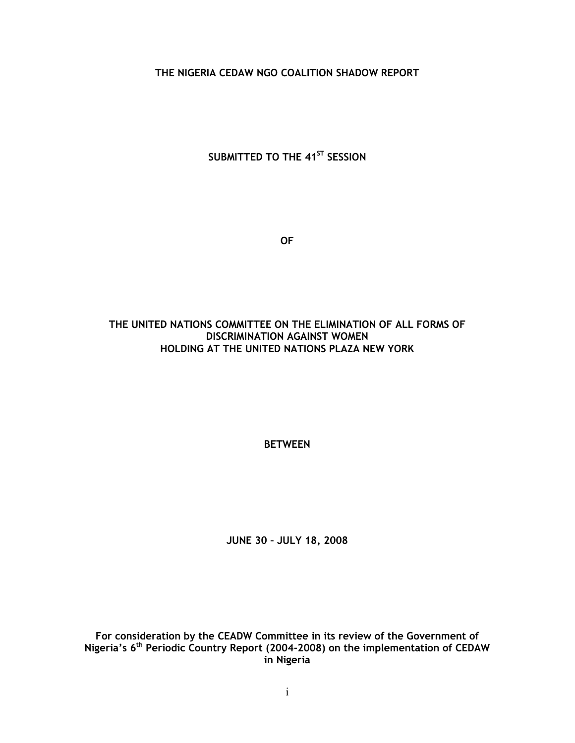THE NIGERIA CEDAW NGO COALITION SHADOW REPORT

SUBMITTED TO THE 41<sup>ST</sup> SESSION

OF

## THE UNITED NATIONS COMMITTEE ON THE ELIMINATION OF ALL FORMS OF DISCRIMINATION AGAINST WOMEN HOLDING AT THE UNITED NATIONS PLAZA NEW YORK

BETWEEN

JUNE 30 – JULY 18, 2008

For consideration by the CEADW Committee in its review of the Government of Nigeria's  $6<sup>th</sup>$  Periodic Country Report (2004-2008) on the implementation of CEDAW in Nigeria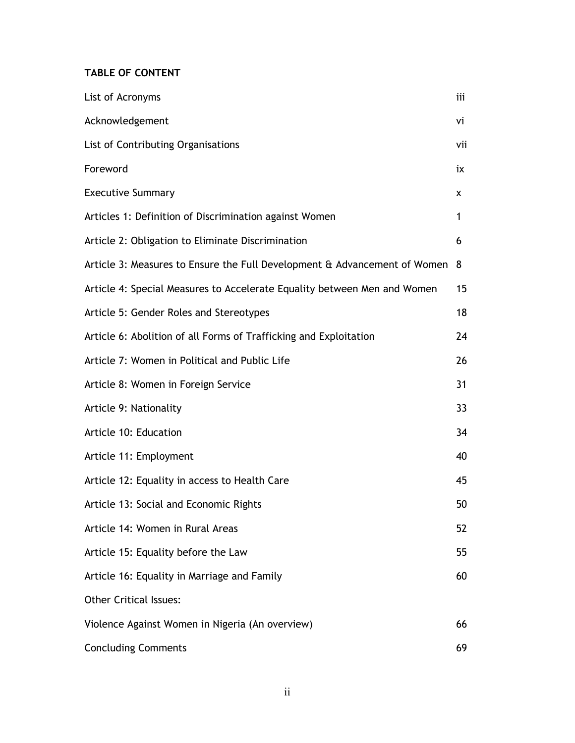# TABLE OF CONTENT

| List of Acronyms                                                          | iii |
|---------------------------------------------------------------------------|-----|
| Acknowledgement                                                           | vi  |
| List of Contributing Organisations                                        | vii |
| Foreword                                                                  | ix  |
| <b>Executive Summary</b>                                                  | x   |
| Articles 1: Definition of Discrimination against Women                    | 1   |
| Article 2: Obligation to Eliminate Discrimination                         | 6   |
| Article 3: Measures to Ensure the Full Development & Advancement of Women | 8   |
| Article 4: Special Measures to Accelerate Equality between Men and Women  | 15  |
| Article 5: Gender Roles and Stereotypes                                   | 18  |
| Article 6: Abolition of all Forms of Trafficking and Exploitation         | 24  |
| Article 7: Women in Political and Public Life                             | 26  |
| Article 8: Women in Foreign Service                                       | 31  |
| Article 9: Nationality                                                    | 33  |
| Article 10: Education                                                     | 34  |
| Article 11: Employment                                                    | 40  |
| Article 12: Equality in access to Health Care                             | 45  |
| Article 13: Social and Economic Rights                                    | 50  |
| Article 14: Women in Rural Areas                                          | 52  |
| Article 15: Equality before the Law                                       | 55  |
| Article 16: Equality in Marriage and Family                               | 60  |
| <b>Other Critical Issues:</b>                                             |     |
| Violence Against Women in Nigeria (An overview)                           | 66  |
| <b>Concluding Comments</b>                                                | 69  |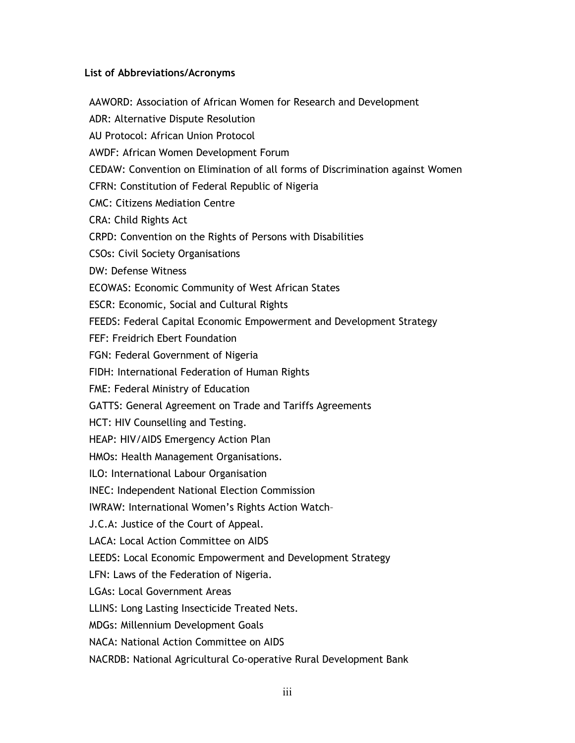## List of Abbreviations/Acronyms

AAWORD: Association of African Women for Research and Development ADR: Alternative Dispute Resolution AU Protocol: African Union Protocol AWDF: African Women Development Forum CEDAW: Convention on Elimination of all forms of Discrimination against Women CFRN: Constitution of Federal Republic of Nigeria CMC: Citizens Mediation Centre CRA: Child Rights Act CRPD: Convention on the Rights of Persons with Disabilities CSOs: Civil Society Organisations DW: Defense Witness ECOWAS: Economic Community of West African States ESCR: Economic, Social and Cultural Rights FEEDS: Federal Capital Economic Empowerment and Development Strategy FEF: Freidrich Ebert Foundation FGN: Federal Government of Nigeria FIDH: International Federation of Human Rights FME: Federal Ministry of Education GATTS: General Agreement on Trade and Tariffs Agreements HCT: HIV Counselling and Testing. HEAP: HIV/AIDS Emergency Action Plan HMOs: Health Management Organisations. ILO: International Labour Organisation INEC: Independent National Election Commission IWRAW: International Women's Rights Action Watch– J.C.A: Justice of the Court of Appeal. LACA: Local Action Committee on AIDS LEEDS: Local Economic Empowerment and Development Strategy LFN: Laws of the Federation of Nigeria. LGAs: Local Government Areas LLINS: Long Lasting Insecticide Treated Nets. MDGs: Millennium Development Goals NACA: National Action Committee on AIDS NACRDB: National Agricultural Co-operative Rural Development Bank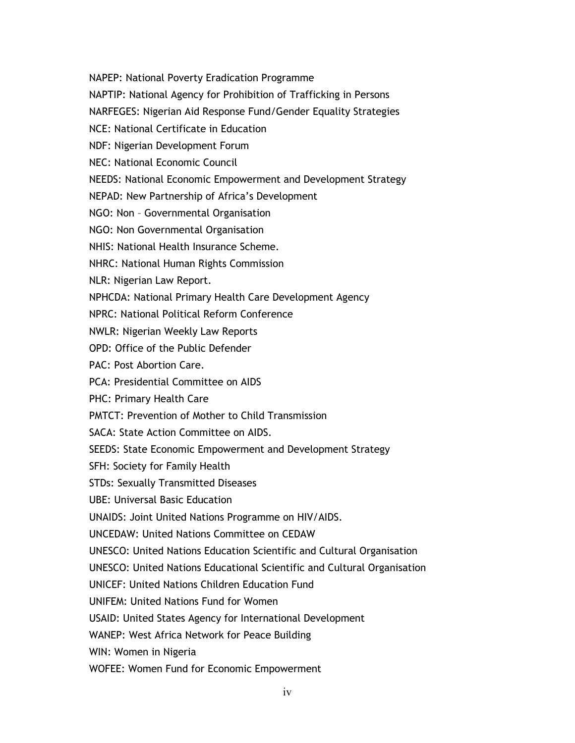NAPEP: National Poverty Eradication Programme

NAPTIP: National Agency for Prohibition of Trafficking in Persons

NARFEGES: Nigerian Aid Response Fund/Gender Equality Strategies

NCE: National Certificate in Education

NDF: Nigerian Development Forum

NEC: National Economic Council

NEEDS: National Economic Empowerment and Development Strategy

NEPAD: New Partnership of Africa's Development

NGO: Non – Governmental Organisation

NGO: Non Governmental Organisation

NHIS: National Health Insurance Scheme.

NHRC: National Human Rights Commission

NLR: Nigerian Law Report.

NPHCDA: National Primary Health Care Development Agency

NPRC: National Political Reform Conference

NWLR: Nigerian Weekly Law Reports

OPD: Office of the Public Defender

PAC: Post Abortion Care.

PCA: Presidential Committee on AIDS

PHC: Primary Health Care

PMTCT: Prevention of Mother to Child Transmission

SACA: State Action Committee on AIDS.

SEEDS: State Economic Empowerment and Development Strategy

SFH: Society for Family Health

STDs: Sexually Transmitted Diseases

UBE: Universal Basic Education

UNAIDS: Joint United Nations Programme on HIV/AIDS.

UNCEDAW: United Nations Committee on CEDAW

UNESCO: United Nations Education Scientific and Cultural Organisation

UNESCO: United Nations Educational Scientific and Cultural Organisation

UNICEF: United Nations Children Education Fund

UNIFEM: United Nations Fund for Women

USAID: United States Agency for International Development

WANEP: West Africa Network for Peace Building

WIN: Women in Nigeria

WOFEE: Women Fund for Economic Empowerment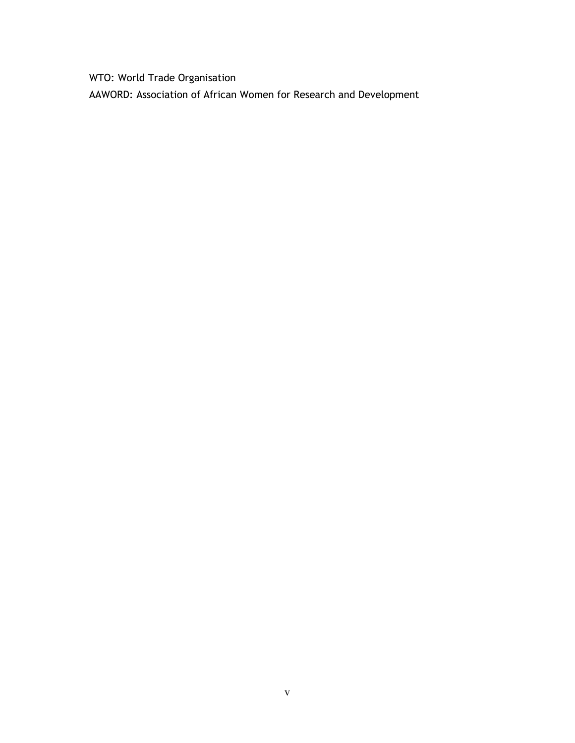WTO: World Trade Organisation

AAWORD: Association of African Women for Research and Development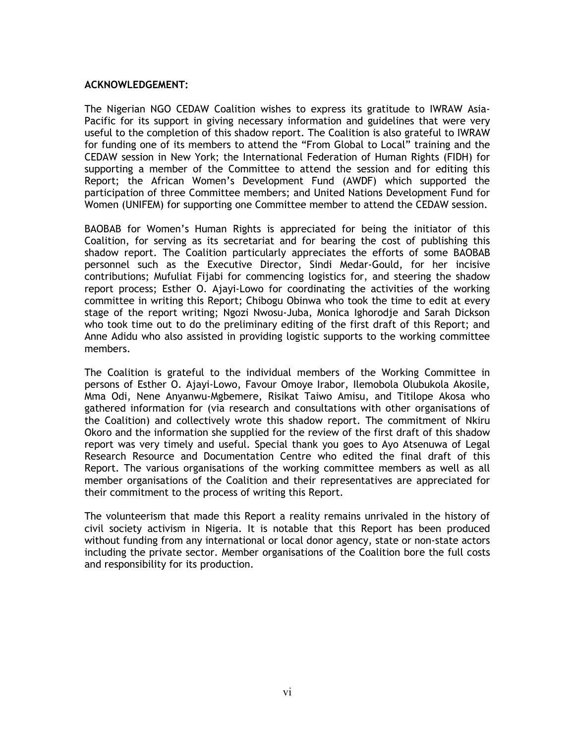#### ACKNOWLEDGEMENT:

The Nigerian NGO CEDAW Coalition wishes to express its gratitude to IWRAW Asia-Pacific for its support in giving necessary information and guidelines that were very useful to the completion of this shadow report. The Coalition is also grateful to IWRAW for funding one of its members to attend the "From Global to Local" training and the CEDAW session in New York; the International Federation of Human Rights (FIDH) for supporting a member of the Committee to attend the session and for editing this Report; the African Women's Development Fund (AWDF) which supported the participation of three Committee members; and United Nations Development Fund for Women (UNIFEM) for supporting one Committee member to attend the CEDAW session.

BAOBAB for Women's Human Rights is appreciated for being the initiator of this Coalition, for serving as its secretariat and for bearing the cost of publishing this shadow report. The Coalition particularly appreciates the efforts of some BAOBAB personnel such as the Executive Director, Sindi Medar-Gould, for her incisive contributions; Mufuliat Fijabi for commencing logistics for, and steering the shadow report process; Esther O. Ajayi-Lowo for coordinating the activities of the working committee in writing this Report; Chibogu Obinwa who took the time to edit at every stage of the report writing; Ngozi Nwosu-Juba, Monica Ighorodje and Sarah Dickson who took time out to do the preliminary editing of the first draft of this Report; and Anne Adidu who also assisted in providing logistic supports to the working committee members.

The Coalition is grateful to the individual members of the Working Committee in persons of Esther O. Ajayi-Lowo, Favour Omoye Irabor, Ilemobola Olubukola Akosile, Mma Odi, Nene Anyanwu-Mgbemere, Risikat Taiwo Amisu, and Titilope Akosa who gathered information for (via research and consultations with other organisations of the Coalition) and collectively wrote this shadow report. The commitment of Nkiru Okoro and the information she supplied for the review of the first draft of this shadow report was very timely and useful. Special thank you goes to Ayo Atsenuwa of Legal Research Resource and Documentation Centre who edited the final draft of this Report. The various organisations of the working committee members as well as all member organisations of the Coalition and their representatives are appreciated for their commitment to the process of writing this Report.

The volunteerism that made this Report a reality remains unrivaled in the history of civil society activism in Nigeria. It is notable that this Report has been produced without funding from any international or local donor agency, state or non-state actors including the private sector. Member organisations of the Coalition bore the full costs and responsibility for its production.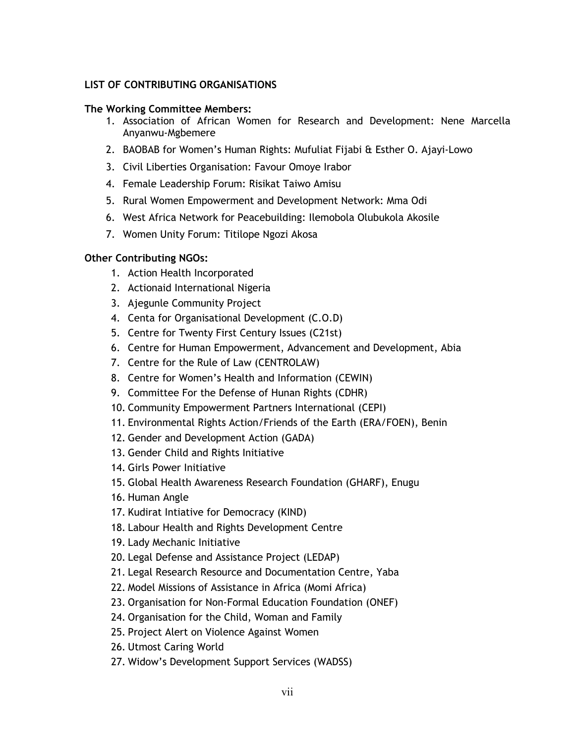## LIST OF CONTRIBUTING ORGANISATIONS

### The Working Committee Members:

- 1. Association of African Women for Research and Development: Nene Marcella Anyanwu-Mgbemere
- 2. BAOBAB for Women's Human Rights: Mufuliat Fijabi & Esther O. Ajayi-Lowo
- 3. Civil Liberties Organisation: Favour Omoye Irabor
- 4. Female Leadership Forum: Risikat Taiwo Amisu
- 5. Rural Women Empowerment and Development Network: Mma Odi
- 6. West Africa Network for Peacebuilding: Ilemobola Olubukola Akosile
- 7. Women Unity Forum: Titilope Ngozi Akosa

## Other Contributing NGOs:

- 1. Action Health Incorporated
- 2. Actionaid International Nigeria
- 3. Ajegunle Community Project
- 4. Centa for Organisational Development (C.O.D)
- 5. Centre for Twenty First Century Issues (C21st)
- 6. Centre for Human Empowerment, Advancement and Development, Abia
- 7. Centre for the Rule of Law (CENTROLAW)
- 8. Centre for Women's Health and Information (CEWIN)
- 9. Committee For the Defense of Hunan Rights (CDHR)
- 10. Community Empowerment Partners International (CEPI)
- 11. Environmental Rights Action/Friends of the Earth (ERA/FOEN), Benin
- 12. Gender and Development Action (GADA)
- 13. Gender Child and Rights Initiative
- 14. Girls Power Initiative
- 15. Global Health Awareness Research Foundation (GHARF), Enugu
- 16. Human Angle
- 17. Kudirat Intiative for Democracy (KIND)
- 18. Labour Health and Rights Development Centre
- 19. Lady Mechanic Initiative
- 20. Legal Defense and Assistance Project (LEDAP)
- 21. Legal Research Resource and Documentation Centre, Yaba
- 22. Model Missions of Assistance in Africa (Momi Africa)
- 23. Organisation for Non-Formal Education Foundation (ONEF)
- 24. Organisation for the Child, Woman and Family
- 25. Project Alert on Violence Against Women
- 26. Utmost Caring World
- 27. Widow's Development Support Services (WADSS)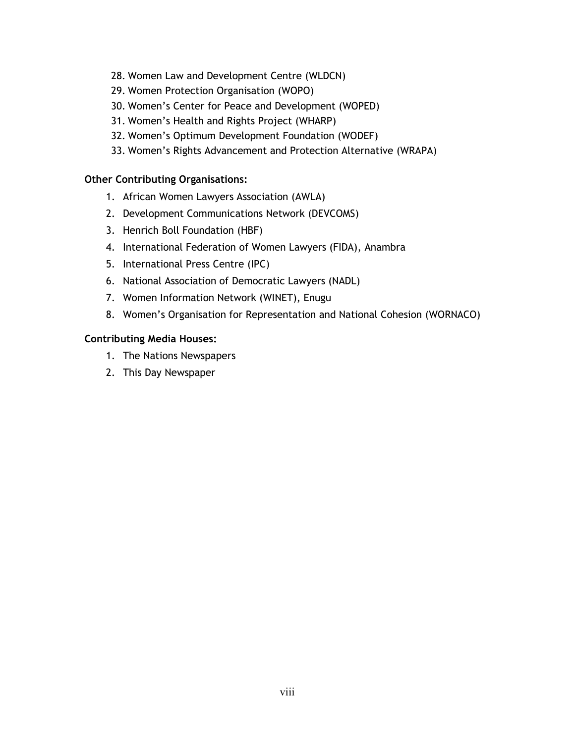- 28. Women Law and Development Centre (WLDCN)
- 29. Women Protection Organisation (WOPO)
- 30. Women's Center for Peace and Development (WOPED)
- 31. Women's Health and Rights Project (WHARP)
- 32. Women's Optimum Development Foundation (WODEF)
- 33. Women's Rights Advancement and Protection Alternative (WRAPA)

## Other Contributing Organisations:

- 1. African Women Lawyers Association (AWLA)
- 2. Development Communications Network (DEVCOMS)
- 3. Henrich Boll Foundation (HBF)
- 4. International Federation of Women Lawyers (FIDA), Anambra
- 5. International Press Centre (IPC)
- 6. National Association of Democratic Lawyers (NADL)
- 7. Women Information Network (WINET), Enugu
- 8. Women's Organisation for Representation and National Cohesion (WORNACO)

## Contributing Media Houses:

- 1. The Nations Newspapers
- 2. This Day Newspaper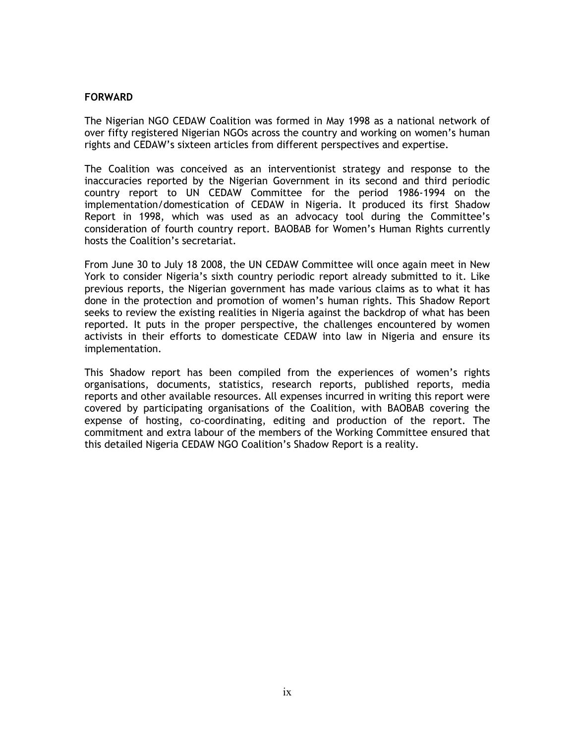#### FORWARD

The Nigerian NGO CEDAW Coalition was formed in May 1998 as a national network of over fifty registered Nigerian NGOs across the country and working on women's human rights and CEDAW's sixteen articles from different perspectives and expertise.

The Coalition was conceived as an interventionist strategy and response to the inaccuracies reported by the Nigerian Government in its second and third periodic country report to UN CEDAW Committee for the period 1986-1994 on the implementation/domestication of CEDAW in Nigeria. It produced its first Shadow Report in 1998, which was used as an advocacy tool during the Committee's consideration of fourth country report. BAOBAB for Women's Human Rights currently hosts the Coalition's secretariat.

From June 30 to July 18 2008, the UN CEDAW Committee will once again meet in New York to consider Nigeria's sixth country periodic report already submitted to it. Like previous reports, the Nigerian government has made various claims as to what it has done in the protection and promotion of women's human rights. This Shadow Report seeks to review the existing realities in Nigeria against the backdrop of what has been reported. It puts in the proper perspective, the challenges encountered by women activists in their efforts to domesticate CEDAW into law in Nigeria and ensure its implementation.

This Shadow report has been compiled from the experiences of women's rights organisations, documents, statistics, research reports, published reports, media reports and other available resources. All expenses incurred in writing this report were covered by participating organisations of the Coalition, with BAOBAB covering the expense of hosting, co-coordinating, editing and production of the report. The commitment and extra labour of the members of the Working Committee ensured that this detailed Nigeria CEDAW NGO Coalition's Shadow Report is a reality.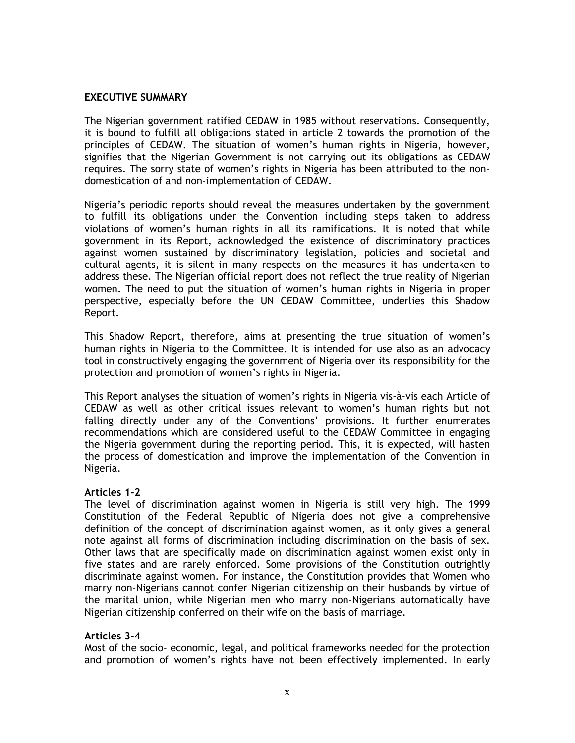#### EXECUTIVE SUMMARY

The Nigerian government ratified CEDAW in 1985 without reservations. Consequently, it is bound to fulfill all obligations stated in article 2 towards the promotion of the principles of CEDAW. The situation of women's human rights in Nigeria, however, signifies that the Nigerian Government is not carrying out its obligations as CEDAW requires. The sorry state of women's rights in Nigeria has been attributed to the nondomestication of and non-implementation of CEDAW.

Nigeria's periodic reports should reveal the measures undertaken by the government to fulfill its obligations under the Convention including steps taken to address violations of women's human rights in all its ramifications. It is noted that while government in its Report, acknowledged the existence of discriminatory practices against women sustained by discriminatory legislation, policies and societal and cultural agents, it is silent in many respects on the measures it has undertaken to address these. The Nigerian official report does not reflect the true reality of Nigerian women. The need to put the situation of women's human rights in Nigeria in proper perspective, especially before the UN CEDAW Committee, underlies this Shadow Report.

This Shadow Report, therefore, aims at presenting the true situation of women's human rights in Nigeria to the Committee. It is intended for use also as an advocacy tool in constructively engaging the government of Nigeria over its responsibility for the protection and promotion of women's rights in Nigeria.

This Report analyses the situation of women's rights in Nigeria vis-à-vis each Article of CEDAW as well as other critical issues relevant to women's human rights but not falling directly under any of the Conventions' provisions. It further enumerates recommendations which are considered useful to the CEDAW Committee in engaging the Nigeria government during the reporting period. This, it is expected, will hasten the process of domestication and improve the implementation of the Convention in Nigeria.

## Articles 1-2

The level of discrimination against women in Nigeria is still very high. The 1999 Constitution of the Federal Republic of Nigeria does not give a comprehensive definition of the concept of discrimination against women, as it only gives a general note against all forms of discrimination including discrimination on the basis of sex. Other laws that are specifically made on discrimination against women exist only in five states and are rarely enforced. Some provisions of the Constitution outrightly discriminate against women. For instance, the Constitution provides that Women who marry non-Nigerians cannot confer Nigerian citizenship on their husbands by virtue of the marital union, while Nigerian men who marry non-Nigerians automatically have Nigerian citizenship conferred on their wife on the basis of marriage.

## Articles 3-4

Most of the socio- economic, legal, and political frameworks needed for the protection and promotion of women's rights have not been effectively implemented. In early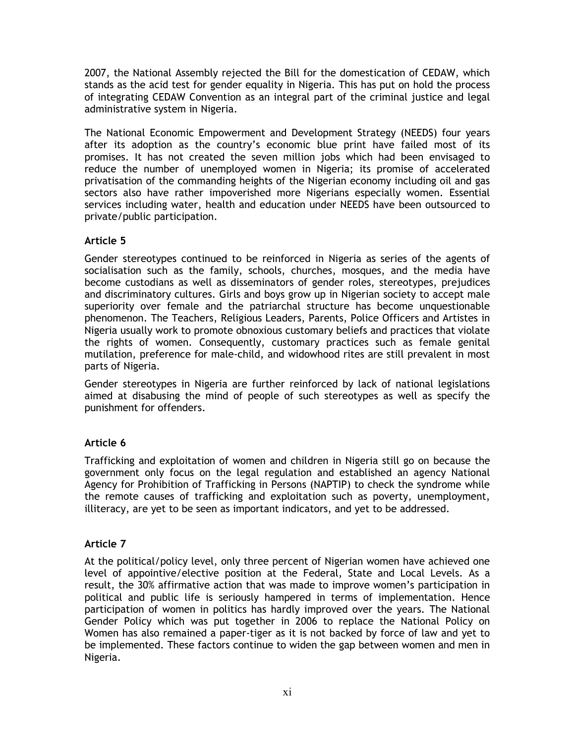2007, the National Assembly rejected the Bill for the domestication of CEDAW, which stands as the acid test for gender equality in Nigeria. This has put on hold the process of integrating CEDAW Convention as an integral part of the criminal justice and legal administrative system in Nigeria.

The National Economic Empowerment and Development Strategy (NEEDS) four years after its adoption as the country's economic blue print have failed most of its promises. It has not created the seven million jobs which had been envisaged to reduce the number of unemployed women in Nigeria; its promise of accelerated privatisation of the commanding heights of the Nigerian economy including oil and gas sectors also have rather impoverished more Nigerians especially women. Essential services including water, health and education under NEEDS have been outsourced to private/public participation.

## Article 5

Gender stereotypes continued to be reinforced in Nigeria as series of the agents of socialisation such as the family, schools, churches, mosques, and the media have become custodians as well as disseminators of gender roles, stereotypes, prejudices and discriminatory cultures. Girls and boys grow up in Nigerian society to accept male superiority over female and the patriarchal structure has become unquestionable phenomenon. The Teachers, Religious Leaders, Parents, Police Officers and Artistes in Nigeria usually work to promote obnoxious customary beliefs and practices that violate the rights of women. Consequently, customary practices such as female genital mutilation, preference for male-child, and widowhood rites are still prevalent in most parts of Nigeria.

Gender stereotypes in Nigeria are further reinforced by lack of national legislations aimed at disabusing the mind of people of such stereotypes as well as specify the punishment for offenders.

# Article 6

Trafficking and exploitation of women and children in Nigeria still go on because the government only focus on the legal regulation and established an agency National Agency for Prohibition of Trafficking in Persons (NAPTIP) to check the syndrome while the remote causes of trafficking and exploitation such as poverty, unemployment, illiteracy, are yet to be seen as important indicators, and yet to be addressed.

# Article 7

At the political/policy level, only three percent of Nigerian women have achieved one level of appointive/elective position at the Federal, State and Local Levels. As a result, the 30% affirmative action that was made to improve women's participation in political and public life is seriously hampered in terms of implementation. Hence participation of women in politics has hardly improved over the years. The National Gender Policy which was put together in 2006 to replace the National Policy on Women has also remained a paper-tiger as it is not backed by force of law and yet to be implemented. These factors continue to widen the gap between women and men in Nigeria.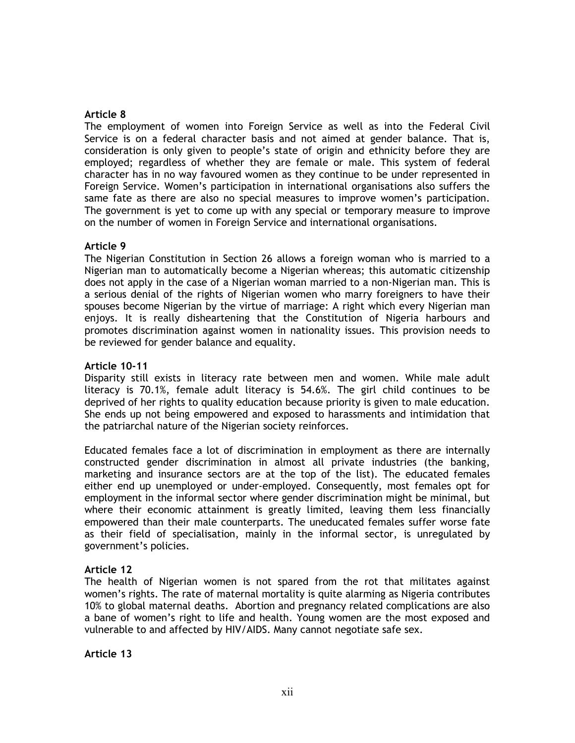### Article 8

The employment of women into Foreign Service as well as into the Federal Civil Service is on a federal character basis and not aimed at gender balance. That is, consideration is only given to people's state of origin and ethnicity before they are employed; regardless of whether they are female or male. This system of federal character has in no way favoured women as they continue to be under represented in Foreign Service. Women's participation in international organisations also suffers the same fate as there are also no special measures to improve women's participation. The government is yet to come up with any special or temporary measure to improve on the number of women in Foreign Service and international organisations.

#### Article 9

The Nigerian Constitution in Section 26 allows a foreign woman who is married to a Nigerian man to automatically become a Nigerian whereas; this automatic citizenship does not apply in the case of a Nigerian woman married to a non-Nigerian man. This is a serious denial of the rights of Nigerian women who marry foreigners to have their spouses become Nigerian by the virtue of marriage: A right which every Nigerian man enjoys. It is really disheartening that the Constitution of Nigeria harbours and promotes discrimination against women in nationality issues. This provision needs to be reviewed for gender balance and equality.

### Article 10-11

Disparity still exists in literacy rate between men and women. While male adult literacy is 70.1%, female adult literacy is 54.6%. The girl child continues to be deprived of her rights to quality education because priority is given to male education. She ends up not being empowered and exposed to harassments and intimidation that the patriarchal nature of the Nigerian society reinforces.

Educated females face a lot of discrimination in employment as there are internally constructed gender discrimination in almost all private industries (the banking, marketing and insurance sectors are at the top of the list). The educated females either end up unemployed or under-employed. Consequently, most females opt for employment in the informal sector where gender discrimination might be minimal, but where their economic attainment is greatly limited, leaving them less financially empowered than their male counterparts. The uneducated females suffer worse fate as their field of specialisation, mainly in the informal sector, is unregulated by government's policies.

## Article 12

The health of Nigerian women is not spared from the rot that militates against women's rights. The rate of maternal mortality is quite alarming as Nigeria contributes 10% to global maternal deaths. Abortion and pregnancy related complications are also a bane of women's right to life and health. Young women are the most exposed and vulnerable to and affected by HIV/AIDS. Many cannot negotiate safe sex.

Article 13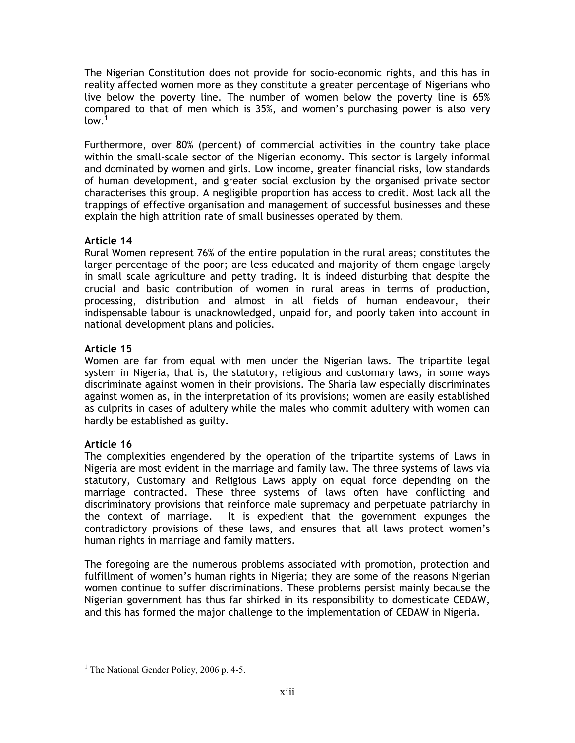The Nigerian Constitution does not provide for socio-economic rights, and this has in reality affected women more as they constitute a greater percentage of Nigerians who live below the poverty line. The number of women below the poverty line is 65% compared to that of men which is 35%, and women's purchasing power is also very  $low.<sup>1</sup>$ 

Furthermore, over 80% (percent) of commercial activities in the country take place within the small-scale sector of the Nigerian economy. This sector is largely informal and dominated by women and girls. Low income, greater financial risks, low standards of human development, and greater social exclusion by the organised private sector characterises this group. A negligible proportion has access to credit. Most lack all the trappings of effective organisation and management of successful businesses and these explain the high attrition rate of small businesses operated by them.

# Article 14

Rural Women represent 76% of the entire population in the rural areas; constitutes the larger percentage of the poor; are less educated and majority of them engage largely in small scale agriculture and petty trading. It is indeed disturbing that despite the crucial and basic contribution of women in rural areas in terms of production, processing, distribution and almost in all fields of human endeavour, their indispensable labour is unacknowledged, unpaid for, and poorly taken into account in national development plans and policies.

# Article 15

Women are far from equal with men under the Nigerian laws. The tripartite legal system in Nigeria, that is, the statutory, religious and customary laws, in some ways discriminate against women in their provisions. The Sharia law especially discriminates against women as, in the interpretation of its provisions; women are easily established as culprits in cases of adultery while the males who commit adultery with women can hardly be established as guilty.

# Article 16

The complexities engendered by the operation of the tripartite systems of Laws in Nigeria are most evident in the marriage and family law. The three systems of laws via statutory, Customary and Religious Laws apply on equal force depending on the marriage contracted. These three systems of laws often have conflicting and discriminatory provisions that reinforce male supremacy and perpetuate patriarchy in the context of marriage. It is expedient that the government expunges the contradictory provisions of these laws, and ensures that all laws protect women's human rights in marriage and family matters.

The foregoing are the numerous problems associated with promotion, protection and fulfillment of women's human rights in Nigeria; they are some of the reasons Nigerian women continue to suffer discriminations. These problems persist mainly because the Nigerian government has thus far shirked in its responsibility to domesticate CEDAW, and this has formed the major challenge to the implementation of CEDAW in Nigeria.

 $\overline{a}$ <sup>1</sup> The National Gender Policy, 2006 p. 4-5.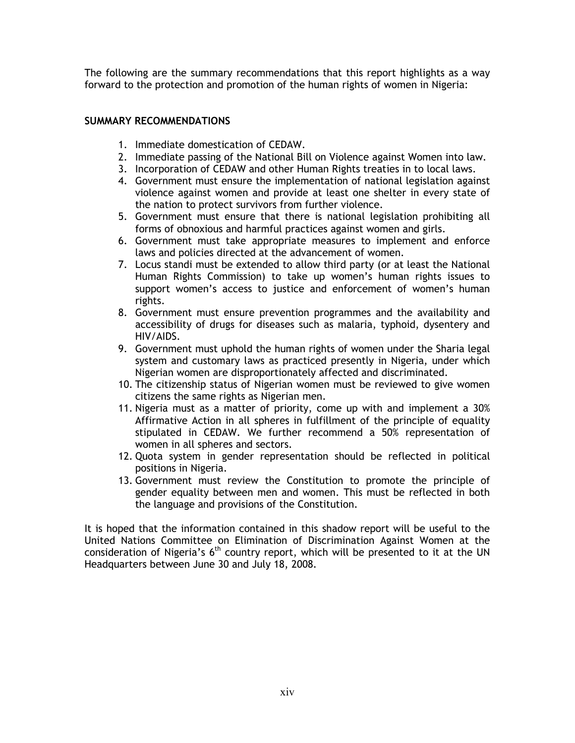The following are the summary recommendations that this report highlights as a way forward to the protection and promotion of the human rights of women in Nigeria:

## SUMMARY RECOMMENDATIONS

- 1. Immediate domestication of CEDAW.
- 2. Immediate passing of the National Bill on Violence against Women into law.
- 3. Incorporation of CEDAW and other Human Rights treaties in to local laws.
- 4. Government must ensure the implementation of national legislation against violence against women and provide at least one shelter in every state of the nation to protect survivors from further violence.
- 5. Government must ensure that there is national legislation prohibiting all forms of obnoxious and harmful practices against women and girls.
- 6. Government must take appropriate measures to implement and enforce laws and policies directed at the advancement of women.
- 7. Locus standi must be extended to allow third party (or at least the National Human Rights Commission) to take up women's human rights issues to support women's access to justice and enforcement of women's human rights.
- 8. Government must ensure prevention programmes and the availability and accessibility of drugs for diseases such as malaria, typhoid, dysentery and HIV/AIDS.
- 9. Government must uphold the human rights of women under the Sharia legal system and customary laws as practiced presently in Nigeria, under which Nigerian women are disproportionately affected and discriminated.
- 10. The citizenship status of Nigerian women must be reviewed to give women citizens the same rights as Nigerian men.
- 11. Nigeria must as a matter of priority, come up with and implement a 30% Affirmative Action in all spheres in fulfillment of the principle of equality stipulated in CEDAW. We further recommend a 50% representation of women in all spheres and sectors.
- 12. Quota system in gender representation should be reflected in political positions in Nigeria.
- 13. Government must review the Constitution to promote the principle of gender equality between men and women. This must be reflected in both the language and provisions of the Constitution.

It is hoped that the information contained in this shadow report will be useful to the United Nations Committee on Elimination of Discrimination Against Women at the consideration of Nigeria's  $6<sup>th</sup>$  country report, which will be presented to it at the UN Headquarters between June 30 and July 18, 2008.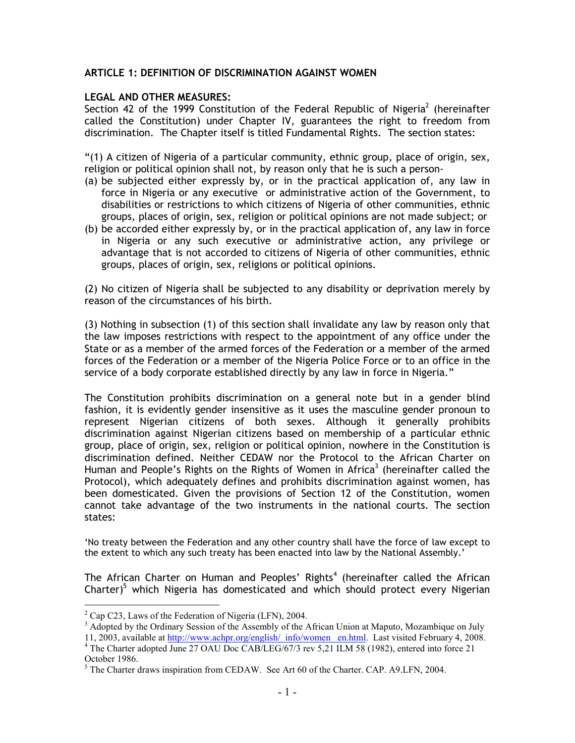## ARTICLE 1: DEFINITION OF DISCRIMINATION AGAINST WOMEN

## LEGAL AND OTHER MEASURES:

Section 42 of the 1999 Constitution of the Federal Republic of Nigeria<sup>2</sup> (hereinafter called the Constitution) under Chapter IV, guarantees the right to freedom from discrimination. The Chapter itself is titled Fundamental Rights. The section states:

"(1) A citizen of Nigeria of a particular community, ethnic group, place of origin, sex, religion or political opinion shall not, by reason only that he is such a person-

- (a) be subjected either expressly by, or in the practical application of, any law in force in Nigeria or any executive or administrative action of the Government, to disabilities or restrictions to which citizens of Nigeria of other communities, ethnic groups, places of origin, sex, religion or political opinions are not made subject; or
- (b) be accorded either expressly by, or in the practical application of, any law in force in Nigeria or any such executive or administrative action, any privilege or advantage that is not accorded to citizens of Nigeria of other communities, ethnic groups, places of origin, sex, religions or political opinions.

(2) No citizen of Nigeria shall be subjected to any disability or deprivation merely by reason of the circumstances of his birth.

(3) Nothing in subsection (1) of this section shall invalidate any law by reason only that the law imposes restrictions with respect to the appointment of any office under the State or as a member of the armed forces of the Federation or a member of the armed forces of the Federation or a member of the Nigeria Police Force or to an office in the service of a body corporate established directly by any law in force in Nigeria."

The Constitution prohibits discrimination on a general note but in a gender blind fashion, it is evidently gender insensitive as it uses the masculine gender pronoun to represent Nigerian citizens of both sexes. Although it generally prohibits discrimination against Nigerian citizens based on membership of a particular ethnic group, place of origin, sex, religion or political opinion, nowhere in the Constitution is discrimination defined. Neither CEDAW nor the Protocol to the African Charter on Human and People's Rights on the Rights of Women in Africa $^3$  (hereinafter called the Protocol), which adequately defines and prohibits discrimination against women, has been domesticated. Given the provisions of Section 12 of the Constitution, women cannot take advantage of the two instruments in the national courts. The section states:

'No treaty between the Federation and any other country shall have the force of law except to the extent to which any such treaty has been enacted into law by the National Assembly.'

The African Charter on Human and Peoples' Rights<sup>4</sup> (hereinafter called the African Charter) $5$  which Nigeria has domesticated and which should protect every Nigerian

<sup>&</sup>lt;sup>2</sup> Cap C23, Laws of the Federation of Nigeria (LFN), 2004.

<sup>&</sup>lt;sup>3</sup> Adopted by the Ordinary Session of the Assembly of the African Union at Maputo, Mozambique on July 11, 2003, available at http://www.achpr.org/english/\_info/women\_ en.html. Last visited February 4, 2008.

<sup>&</sup>lt;sup>4</sup> The Charter adopted June 27 OAU Doc CAB/LEG/67/3 rev 5,21 ILM 58 (1982), entered into force 21 October 1986.

<sup>&</sup>lt;sup>5</sup> The Charter draws inspiration from CEDAW. See Art 60 of the Charter. CAP. A9.LFN, 2004.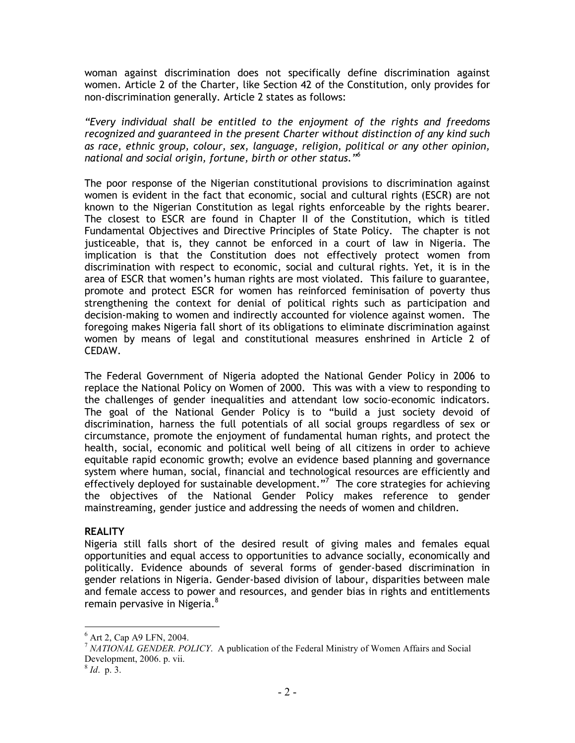woman against discrimination does not specifically define discrimination against women. Article 2 of the Charter, like Section 42 of the Constitution, only provides for non-discrimination generally. Article 2 states as follows:

"Every individual shall be entitled to the enjoyment of the rights and freedoms recognized and guaranteed in the present Charter without distinction of any kind such as race, ethnic group, colour, sex, language, religion, political or any other opinion, national and social origin, fortune, birth or other status."<sup>6</sup>

The poor response of the Nigerian constitutional provisions to discrimination against women is evident in the fact that economic, social and cultural rights (ESCR) are not known to the Nigerian Constitution as legal rights enforceable by the rights bearer. The closest to ESCR are found in Chapter II of the Constitution, which is titled Fundamental Objectives and Directive Principles of State Policy. The chapter is not justiceable, that is, they cannot be enforced in a court of law in Nigeria. The implication is that the Constitution does not effectively protect women from discrimination with respect to economic, social and cultural rights. Yet, it is in the area of ESCR that women's human rights are most violated. This failure to guarantee, promote and protect ESCR for women has reinforced feminisation of poverty thus strengthening the context for denial of political rights such as participation and decision-making to women and indirectly accounted for violence against women. The foregoing makes Nigeria fall short of its obligations to eliminate discrimination against women by means of legal and constitutional measures enshrined in Article 2 of CEDAW.

The Federal Government of Nigeria adopted the National Gender Policy in 2006 to replace the National Policy on Women of 2000. This was with a view to responding to the challenges of gender inequalities and attendant low socio-economic indicators. The goal of the National Gender Policy is to "build a just society devoid of discrimination, harness the full potentials of all social groups regardless of sex or circumstance, promote the enjoyment of fundamental human rights, and protect the health, social, economic and political well being of all citizens in order to achieve equitable rapid economic growth; evolve an evidence based planning and governance system where human, social, financial and technological resources are efficiently and effectively deployed for sustainable development."<sup>7</sup> The core strategies for achieving the objectives of the National Gender Policy makes reference to gender mainstreaming, gender justice and addressing the needs of women and children.

#### **REALITY**

Nigeria still falls short of the desired result of giving males and females equal opportunities and equal access to opportunities to advance socially, economically and politically. Evidence abounds of several forms of gender-based discrimination in gender relations in Nigeria. Gender-based division of labour, disparities between male and female access to power and resources, and gender bias in rights and entitlements remain pervasive in Nigeria.<sup>8</sup>

 $\overline{a}$ 

<sup>6</sup> Art 2, Cap A9 LFN, 2004.

<sup>7</sup> *NATIONAL GENDER. POLICY*. A publication of the Federal Ministry of Women Affairs and Social Development, 2006. p. vii.

<sup>8</sup> *Id*. p. 3.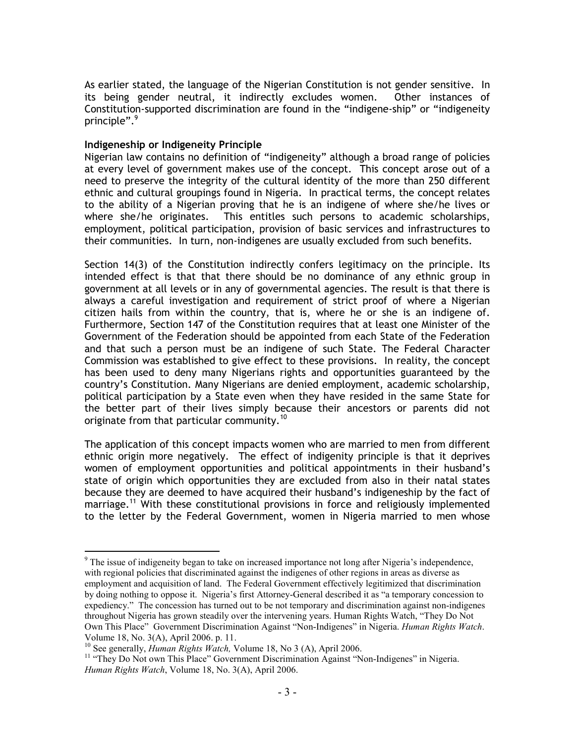As earlier stated, the language of the Nigerian Constitution is not gender sensitive. In its being gender neutral, it indirectly excludes women. Other instances of Constitution-supported discrimination are found in the "indigene-ship" or "indigeneity principle".<sup>9</sup>

#### Indigeneship or Indigeneity Principle

Nigerian law contains no definition of "indigeneity" although a broad range of policies at every level of government makes use of the concept. This concept arose out of a need to preserve the integrity of the cultural identity of the more than 250 different ethnic and cultural groupings found in Nigeria. In practical terms, the concept relates to the ability of a Nigerian proving that he is an indigene of where she/he lives or where she/he originates. This entitles such persons to academic scholarships, employment, political participation, provision of basic services and infrastructures to their communities. In turn, non-indigenes are usually excluded from such benefits.

Section 14(3) of the Constitution indirectly confers legitimacy on the principle. Its intended effect is that that there should be no dominance of any ethnic group in government at all levels or in any of governmental agencies. The result is that there is always a careful investigation and requirement of strict proof of where a Nigerian citizen hails from within the country, that is, where he or she is an indigene of. Furthermore, Section 147 of the Constitution requires that at least one Minister of the Government of the Federation should be appointed from each State of the Federation and that such a person must be an indigene of such State. The Federal Character Commission was established to give effect to these provisions. In reality, the concept has been used to deny many Nigerians rights and opportunities guaranteed by the country's Constitution. Many Nigerians are denied employment, academic scholarship, political participation by a State even when they have resided in the same State for the better part of their lives simply because their ancestors or parents did not originate from that particular community. $^\mathrm{10}$ 

The application of this concept impacts women who are married to men from different ethnic origin more negatively. The effect of indigenity principle is that it deprives women of employment opportunities and political appointments in their husband's state of origin which opportunities they are excluded from also in their natal states because they are deemed to have acquired their husband's indigeneship by the fact of marriage.<sup>11</sup> With these constitutional provisions in force and religiously implemented to the letter by the Federal Government, women in Nigeria married to men whose

 $\overline{a}$  $9$  The issue of indigeneity began to take on increased importance not long after Nigeria's independence, with regional policies that discriminated against the indigenes of other regions in areas as diverse as employment and acquisition of land. The Federal Government effectively legitimized that discrimination by doing nothing to oppose it. Nigeria's first Attorney-General described it as "a temporary concession to expediency." The concession has turned out to be not temporary and discrimination against non-indigenes throughout Nigeria has grown steadily over the intervening years. Human Rights Watch, "They Do Not Own This Place" Government Discrimination Against "Non-Indigenes" in Nigeria. *Human Rights Watch*. Volume 18, No. 3(A), April 2006. p. 11.

<sup>10</sup> See generally, *Human Rights Watch,* Volume 18, No 3 (A), April 2006.

<sup>&</sup>lt;sup>11</sup> "They Do Not own This Place" Government Discrimination Against "Non-Indigenes" in Nigeria. *Human Rights Watch*, Volume 18, No. 3(A), April 2006.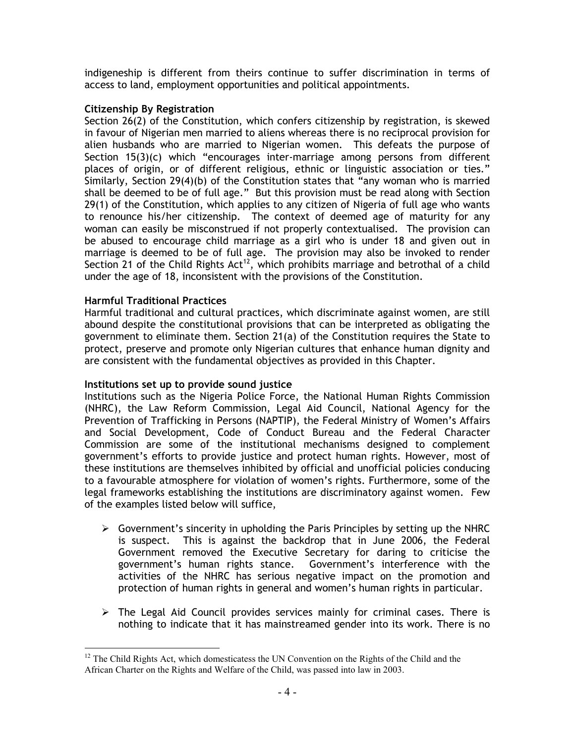indigeneship is different from theirs continue to suffer discrimination in terms of access to land, employment opportunities and political appointments.

## Citizenship By Registration

Section 26(2) of the Constitution, which confers citizenship by registration, is skewed in favour of Nigerian men married to aliens whereas there is no reciprocal provision for alien husbands who are married to Nigerian women. This defeats the purpose of Section 15(3)(c) which "encourages inter-marriage among persons from different places of origin, or of different religious, ethnic or linguistic association or ties." Similarly, Section 29(4)(b) of the Constitution states that "any woman who is married shall be deemed to be of full age." But this provision must be read along with Section 29(1) of the Constitution, which applies to any citizen of Nigeria of full age who wants to renounce his/her citizenship. The context of deemed age of maturity for any woman can easily be misconstrued if not properly contextualised. The provision can be abused to encourage child marriage as a girl who is under 18 and given out in marriage is deemed to be of full age. The provision may also be invoked to render Section 21 of the Child Rights Act<sup>12</sup>, which prohibits marriage and betrothal of a child under the age of 18, inconsistent with the provisions of the Constitution.

## Harmful Traditional Practices

Harmful traditional and cultural practices, which discriminate against women, are still abound despite the constitutional provisions that can be interpreted as obligating the government to eliminate them. Section 21(a) of the Constitution requires the State to protect, preserve and promote only Nigerian cultures that enhance human dignity and are consistent with the fundamental objectives as provided in this Chapter.

# Institutions set up to provide sound justice

Institutions such as the Nigeria Police Force, the National Human Rights Commission (NHRC), the Law Reform Commission, Legal Aid Council, National Agency for the Prevention of Trafficking in Persons (NAPTIP), the Federal Ministry of Women's Affairs and Social Development, Code of Conduct Bureau and the Federal Character Commission are some of the institutional mechanisms designed to complement government's efforts to provide justice and protect human rights. However, most of these institutions are themselves inhibited by official and unofficial policies conducing to a favourable atmosphere for violation of women's rights. Furthermore, some of the legal frameworks establishing the institutions are discriminatory against women. Few of the examples listed below will suffice,

- $\triangleright$  Government's sincerity in upholding the Paris Principles by setting up the NHRC is suspect. This is against the backdrop that in June 2006, the Federal Government removed the Executive Secretary for daring to criticise the government's human rights stance. Government's interference with the activities of the NHRC has serious negative impact on the promotion and protection of human rights in general and women's human rights in particular.
- $\triangleright$  The Legal Aid Council provides services mainly for criminal cases. There is nothing to indicate that it has mainstreamed gender into its work. There is no

 $\overline{a}$  $12$  The Child Rights Act, which domesticatess the UN Convention on the Rights of the Child and the African Charter on the Rights and Welfare of the Child, was passed into law in 2003.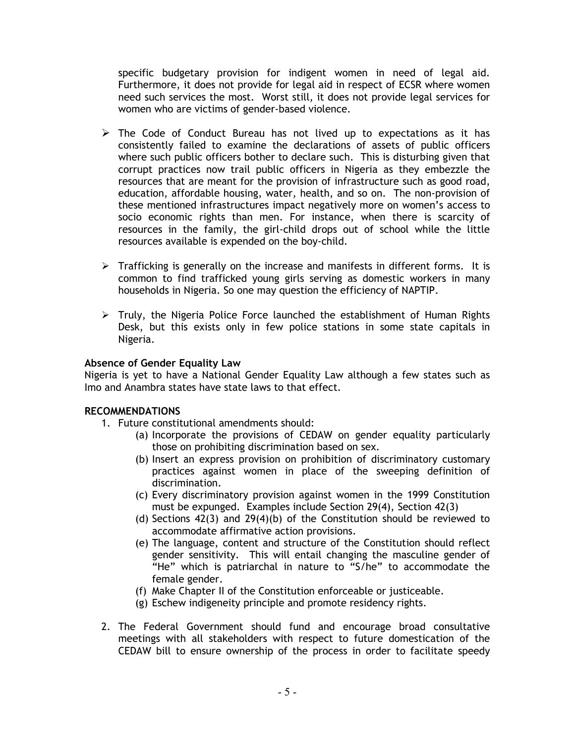specific budgetary provision for indigent women in need of legal aid. Furthermore, it does not provide for legal aid in respect of ECSR where women need such services the most. Worst still, it does not provide legal services for women who are victims of gender-based violence.

- $\triangleright$  The Code of Conduct Bureau has not lived up to expectations as it has consistently failed to examine the declarations of assets of public officers where such public officers bother to declare such. This is disturbing given that corrupt practices now trail public officers in Nigeria as they embezzle the resources that are meant for the provision of infrastructure such as good road, education, affordable housing, water, health, and so on. The non-provision of these mentioned infrastructures impact negatively more on women's access to socio economic rights than men. For instance, when there is scarcity of resources in the family, the girl-child drops out of school while the little resources available is expended on the boy-child.
- $\triangleright$  Trafficking is generally on the increase and manifests in different forms. It is common to find trafficked young girls serving as domestic workers in many households in Nigeria. So one may question the efficiency of NAPTIP.
- $\triangleright$  Truly, the Nigeria Police Force launched the establishment of Human Rights Desk, but this exists only in few police stations in some state capitals in Nigeria.

## Absence of Gender Equality Law

Nigeria is yet to have a National Gender Equality Law although a few states such as Imo and Anambra states have state laws to that effect.

#### RECOMMENDATIONS

- 1. Future constitutional amendments should:
	- (a) Incorporate the provisions of CEDAW on gender equality particularly those on prohibiting discrimination based on sex.
	- (b) Insert an express provision on prohibition of discriminatory customary practices against women in place of the sweeping definition of discrimination.
	- (c) Every discriminatory provision against women in the 1999 Constitution must be expunged. Examples include Section 29(4), Section 42(3)
	- (d) Sections  $42(3)$  and  $29(4)(b)$  of the Constitution should be reviewed to accommodate affirmative action provisions.
	- (e) The language, content and structure of the Constitution should reflect gender sensitivity. This will entail changing the masculine gender of "He" which is patriarchal in nature to "S/he" to accommodate the female gender.
	- (f) Make Chapter II of the Constitution enforceable or justiceable.
	- (g) Eschew indigeneity principle and promote residency rights.
- 2. The Federal Government should fund and encourage broad consultative meetings with all stakeholders with respect to future domestication of the CEDAW bill to ensure ownership of the process in order to facilitate speedy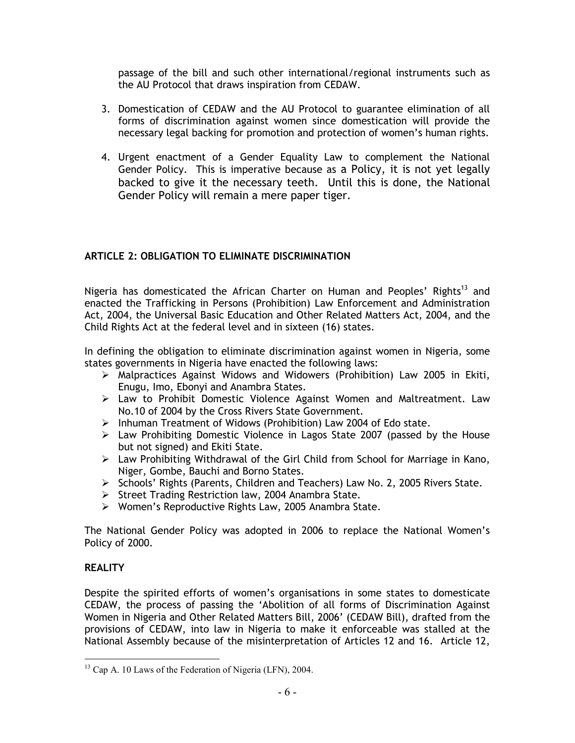passage of the bill and such other international/regional instruments such as the AU Protocol that draws inspiration from CEDAW.

- 3. Domestication of CEDAW and the AU Protocol to guarantee elimination of all forms of discrimination against women since domestication will provide the necessary legal backing for promotion and protection of women's human rights.
- 4. Urgent enactment of a Gender Equality Law to complement the National Gender Policy. This is imperative because as a Policy, it is not yet legally backed to give it the necessary teeth. Until this is done, the National Gender Policy will remain a mere paper tiger.

# ARTICLE 2: OBLIGATION TO ELIMINATE DISCRIMINATION

Nigeria has domesticated the African Charter on Human and Peoples' Rights<sup>13</sup> and enacted the Trafficking in Persons (Prohibition) Law Enforcement and Administration Act, 2004, the Universal Basic Education and Other Related Matters Act, 2004, and the Child Rights Act at the federal level and in sixteen (16) states.

In defining the obligation to eliminate discrimination against women in Nigeria, some states governments in Nigeria have enacted the following laws:

- Malpractices Against Widows and Widowers (Prohibition) Law 2005 in Ekiti, Enugu, Imo, Ebonyi and Anambra States.
- $\triangleright$  Law to Prohibit Domestic Violence Against Women and Maltreatment. Law No.10 of 2004 by the Cross Rivers State Government.
- $\triangleright$  Inhuman Treatment of Widows (Prohibition) Law 2004 of Edo state.
- Law Prohibiting Domestic Violence in Lagos State 2007 (passed by the House but not signed) and Ekiti State.
- Law Prohibiting Withdrawal of the Girl Child from School for Marriage in Kano, Niger, Gombe, Bauchi and Borno States.
- > Schools' Rights (Parents, Children and Teachers) Law No. 2, 2005 Rivers State.
- Street Trading Restriction law, 2004 Anambra State.
- Women's Reproductive Rights Law, 2005 Anambra State.

The National Gender Policy was adopted in 2006 to replace the National Women's Policy of 2000.

# **REALITY**

 $\overline{a}$ 

Despite the spirited efforts of women's organisations in some states to domesticate CEDAW, the process of passing the 'Abolition of all forms of Discrimination Against Women in Nigeria and Other Related Matters Bill, 2006' (CEDAW Bill), drafted from the provisions of CEDAW, into law in Nigeria to make it enforceable was stalled at the National Assembly because of the misinterpretation of Articles 12 and 16. Article 12,

<sup>&</sup>lt;sup>13</sup> Cap A. 10 Laws of the Federation of Nigeria (LFN), 2004.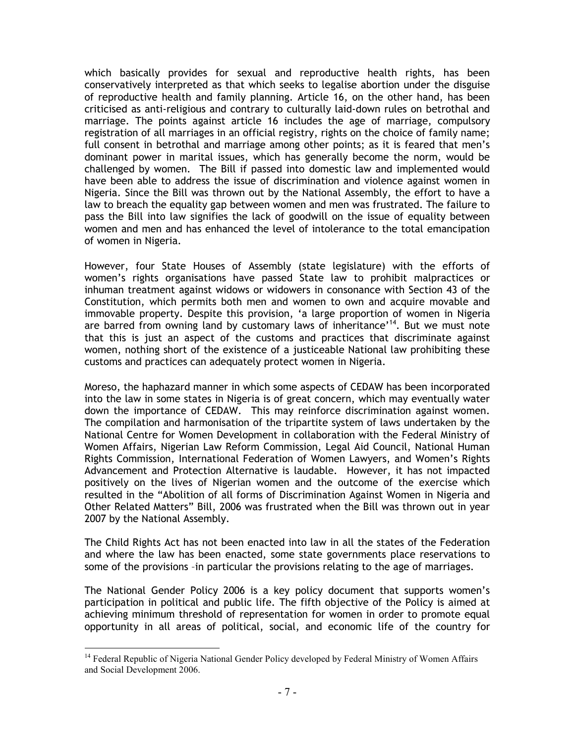which basically provides for sexual and reproductive health rights, has been conservatively interpreted as that which seeks to legalise abortion under the disguise of reproductive health and family planning. Article 16, on the other hand, has been criticised as anti-religious and contrary to culturally laid-down rules on betrothal and marriage. The points against article 16 includes the age of marriage, compulsory registration of all marriages in an official registry, rights on the choice of family name; full consent in betrothal and marriage among other points; as it is feared that men's dominant power in marital issues, which has generally become the norm, would be challenged by women. The Bill if passed into domestic law and implemented would have been able to address the issue of discrimination and violence against women in Nigeria. Since the Bill was thrown out by the National Assembly, the effort to have a law to breach the equality gap between women and men was frustrated. The failure to pass the Bill into law signifies the lack of goodwill on the issue of equality between women and men and has enhanced the level of intolerance to the total emancipation of women in Nigeria.

However, four State Houses of Assembly (state legislature) with the efforts of women's rights organisations have passed State law to prohibit malpractices or inhuman treatment against widows or widowers in consonance with Section 43 of the Constitution, which permits both men and women to own and acquire movable and immovable property. Despite this provision, 'a large proportion of women in Nigeria are barred from owning land by customary laws of inheritance'<sup>14</sup>. But we must note that this is just an aspect of the customs and practices that discriminate against women, nothing short of the existence of a justiceable National law prohibiting these customs and practices can adequately protect women in Nigeria.

Moreso, the haphazard manner in which some aspects of CEDAW has been incorporated into the law in some states in Nigeria is of great concern, which may eventually water down the importance of CEDAW. This may reinforce discrimination against women. The compilation and harmonisation of the tripartite system of laws undertaken by the National Centre for Women Development in collaboration with the Federal Ministry of Women Affairs, Nigerian Law Reform Commission, Legal Aid Council, National Human Rights Commission, International Federation of Women Lawyers, and Women's Rights Advancement and Protection Alternative is laudable. However, it has not impacted positively on the lives of Nigerian women and the outcome of the exercise which resulted in the "Abolition of all forms of Discrimination Against Women in Nigeria and Other Related Matters" Bill, 2006 was frustrated when the Bill was thrown out in year 2007 by the National Assembly.

The Child Rights Act has not been enacted into law in all the states of the Federation and where the law has been enacted, some state governments place reservations to some of the provisions –in particular the provisions relating to the age of marriages.

The National Gender Policy 2006 is a key policy document that supports women's participation in political and public life. The fifth objective of the Policy is aimed at achieving minimum threshold of representation for women in order to promote equal opportunity in all areas of political, social, and economic life of the country for

l <sup>14</sup> Federal Republic of Nigeria National Gender Policy developed by Federal Ministry of Women Affairs and Social Development 2006.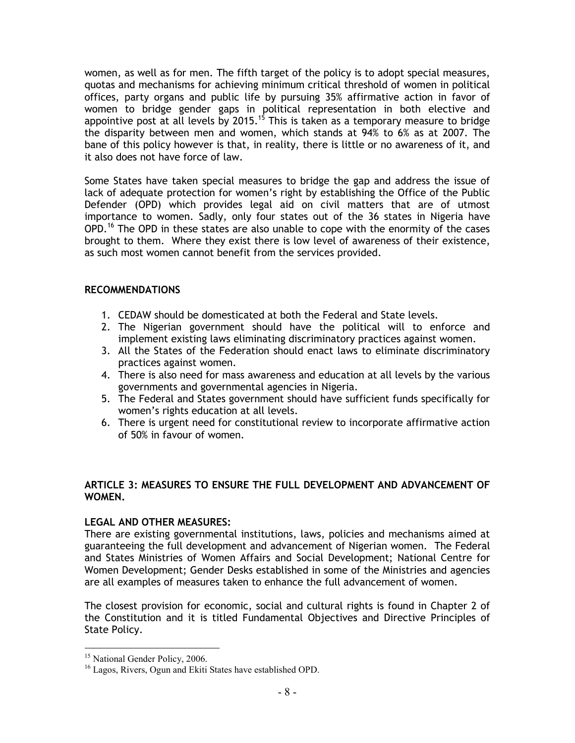women, as well as for men. The fifth target of the policy is to adopt special measures, quotas and mechanisms for achieving minimum critical threshold of women in political offices, party organs and public life by pursuing 35% affirmative action in favor of women to bridge gender gaps in political representation in both elective and appointive post at all levels by 2015.<sup>15</sup> This is taken as a temporary measure to bridge the disparity between men and women, which stands at 94% to 6% as at 2007. The bane of this policy however is that, in reality, there is little or no awareness of it, and it also does not have force of law.

Some States have taken special measures to bridge the gap and address the issue of lack of adequate protection for women's right by establishing the Office of the Public Defender (OPD) which provides legal aid on civil matters that are of utmost importance to women. Sadly, only four states out of the 36 states in Nigeria have  $OPD<sup>16</sup>$  The OPD in these states are also unable to cope with the enormity of the cases brought to them. Where they exist there is low level of awareness of their existence, as such most women cannot benefit from the services provided.

## RECOMMENDATIONS

- 1. CEDAW should be domesticated at both the Federal and State levels.
- 2. The Nigerian government should have the political will to enforce and implement existing laws eliminating discriminatory practices against women.
- 3. All the States of the Federation should enact laws to eliminate discriminatory practices against women.
- 4. There is also need for mass awareness and education at all levels by the various governments and governmental agencies in Nigeria.
- 5. The Federal and States government should have sufficient funds specifically for women's rights education at all levels.
- 6. There is urgent need for constitutional review to incorporate affirmative action of 50% in favour of women.

## ARTICLE 3: MEASURES TO ENSURE THE FULL DEVELOPMENT AND ADVANCEMENT OF WOMEN.

## LEGAL AND OTHER MEASURES:

There are existing governmental institutions, laws, policies and mechanisms aimed at guaranteeing the full development and advancement of Nigerian women. The Federal and States Ministries of Women Affairs and Social Development; National Centre for Women Development; Gender Desks established in some of the Ministries and agencies are all examples of measures taken to enhance the full advancement of women.

The closest provision for economic, social and cultural rights is found in Chapter 2 of the Constitution and it is titled Fundamental Objectives and Directive Principles of State Policy.

l <sup>15</sup> National Gender Policy, 2006.

<sup>&</sup>lt;sup>16</sup> Lagos, Rivers, Ogun and Ekiti States have established OPD.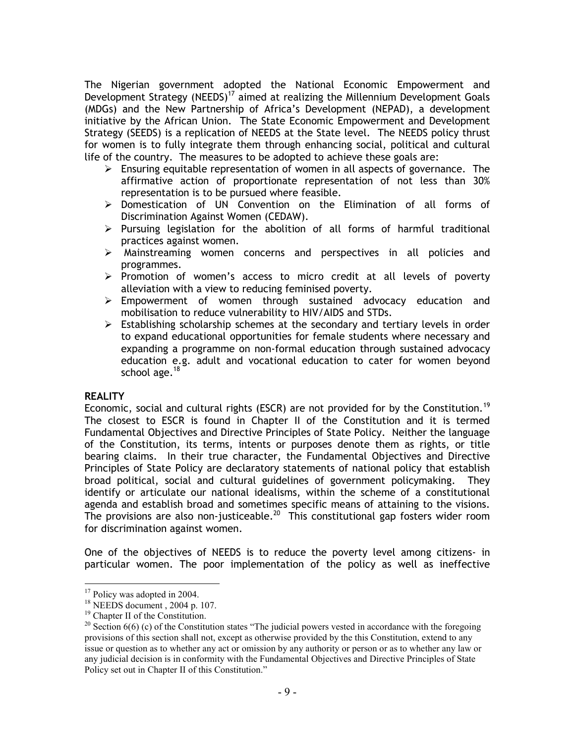The Nigerian government adopted the National Economic Empowerment and Development Strategy (NEEDS)<sup>17</sup> aimed at realizing the Millennium Development Goals (MDGs) and the New Partnership of Africa's Development (NEPAD), a development initiative by the African Union. The State Economic Empowerment and Development Strategy (SEEDS) is a replication of NEEDS at the State level. The NEEDS policy thrust for women is to fully integrate them through enhancing social, political and cultural life of the country. The measures to be adopted to achieve these goals are:

- $\triangleright$  Ensuring equitable representation of women in all aspects of governance. The affirmative action of proportionate representation of not less than 30% representation is to be pursued where feasible.
- Domestication of UN Convention on the Elimination of all forms of Discrimination Against Women (CEDAW).
- $\triangleright$  Pursuing legislation for the abolition of all forms of harmful traditional practices against women.
- Mainstreaming women concerns and perspectives in all policies and programmes.
- $\triangleright$  Promotion of women's access to micro credit at all levels of poverty alleviation with a view to reducing feminised poverty.
- $\triangleright$  Empowerment of women through sustained advocacy education and mobilisation to reduce vulnerability to HIV/AIDS and STDs.
- $\triangleright$  Establishing scholarship schemes at the secondary and tertiary levels in order to expand educational opportunities for female students where necessary and expanding a programme on non-formal education through sustained advocacy education e.g. adult and vocational education to cater for women beyond school age.<sup>18</sup>

#### **REALITY**

l

Economic, social and cultural rights (ESCR) are not provided for by the Constitution.<sup>19</sup> The closest to ESCR is found in Chapter II of the Constitution and it is termed Fundamental Objectives and Directive Principles of State Policy. Neither the language of the Constitution, its terms, intents or purposes denote them as rights, or title bearing claims. In their true character, the Fundamental Objectives and Directive Principles of State Policy are declaratory statements of national policy that establish broad political, social and cultural guidelines of government policymaking. They identify or articulate our national idealisms, within the scheme of a constitutional agenda and establish broad and sometimes specific means of attaining to the visions. The provisions are also non-justiceable.<sup>20</sup> This constitutional gap fosters wider room for discrimination against women.

One of the objectives of NEEDS is to reduce the poverty level among citizens- in particular women. The poor implementation of the policy as well as ineffective

 $17$  Policy was adopted in 2004.

<sup>18</sup> NEEDS document , 2004 p. 107.

<sup>19</sup> Chapter II of the Constitution.

<sup>&</sup>lt;sup>20</sup> Section  $6(6)$  (c) of the Constitution states "The judicial powers vested in accordance with the foregoing provisions of this section shall not, except as otherwise provided by the this Constitution, extend to any issue or question as to whether any act or omission by any authority or person or as to whether any law or any judicial decision is in conformity with the Fundamental Objectives and Directive Principles of State Policy set out in Chapter II of this Constitution."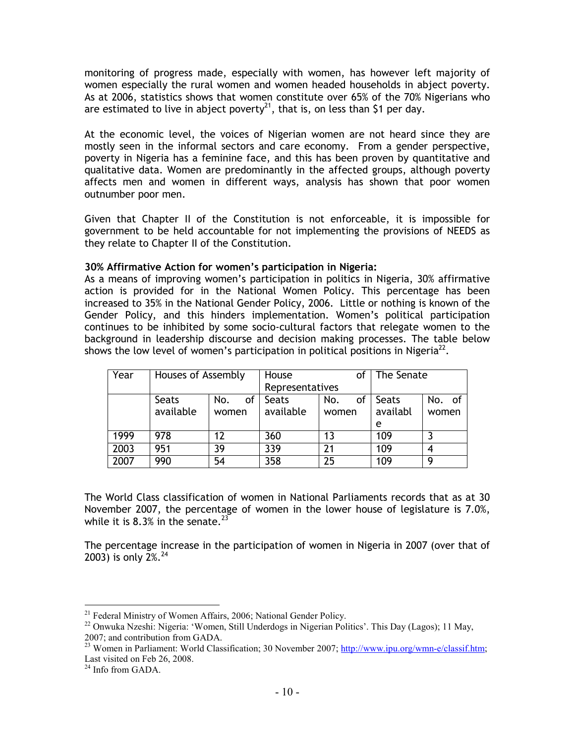monitoring of progress made, especially with women, has however left majority of women especially the rural women and women headed households in abject poverty. As at 2006, statistics shows that women constitute over 65% of the 70% Nigerians who are estimated to live in abject poverty<sup>21</sup>, that is, on less than \$1 per day.

At the economic level, the voices of Nigerian women are not heard since they are mostly seen in the informal sectors and care economy. From a gender perspective, poverty in Nigeria has a feminine face, and this has been proven by quantitative and qualitative data. Women are predominantly in the affected groups, although poverty affects men and women in different ways, analysis has shown that poor women outnumber poor men.

Given that Chapter II of the Constitution is not enforceable, it is impossible for government to be held accountable for not implementing the provisions of NEEDS as they relate to Chapter II of the Constitution.

## 30% Affirmative Action for women's participation in Nigeria:

As a means of improving women's participation in politics in Nigeria, 30% affirmative action is provided for in the National Women Policy. This percentage has been increased to 35% in the National Gender Policy, 2006. Little or nothing is known of the Gender Policy, and this hinders implementation. Women's political participation continues to be inhibited by some socio-cultural factors that relegate women to the background in leadership discourse and decision making processes. The table below shows the low level of women's participation in political positions in Nigeria<sup>22</sup>.

| Year | Houses of Assembly |           | House           | Οl        | The Senate        |        |
|------|--------------------|-----------|-----------------|-----------|-------------------|--------|
|      |                    |           | Representatives |           |                   |        |
|      | Seats              | No.<br>of | <b>Seats</b>    | No.<br>οf | Seats             | No. of |
|      | available          | women     | available       | women     | availabl<br>women |        |
|      |                    |           |                 |           | e                 |        |
| 1999 | 978                | 12        | 360             | 13        | 109               |        |
| 2003 | 951                | 39        | 339             | 21        | 109               |        |
| 2007 | 990                | 54        | 358             | 25        | 109               | ۵      |

The World Class classification of women in National Parliaments records that as at 30 November 2007, the percentage of women in the lower house of legislature is 7.0%, while it is 8.3% in the senate.<sup>23</sup>

The percentage increase in the participation of women in Nigeria in 2007 (over that of 2003) is only  $2\%$ <sup>24</sup>

 $\overline{a}$ <sup>21</sup> Federal Ministry of Women Affairs, 2006; National Gender Policy.

<sup>&</sup>lt;sup>22</sup> Onwuka Nzeshi: Nigeria: 'Women, Still Underdogs in Nigerian Politics'. This Day (Lagos); 11 May, 2007; and contribution from GADA.

<sup>&</sup>lt;sup>23</sup> Women in Parliament: World Classification; 30 November 2007; http://www.ipu.org/wmn-e/classif.htm; Last visited on Feb 26, 2008.

<sup>&</sup>lt;sup>24</sup> Info from GADA.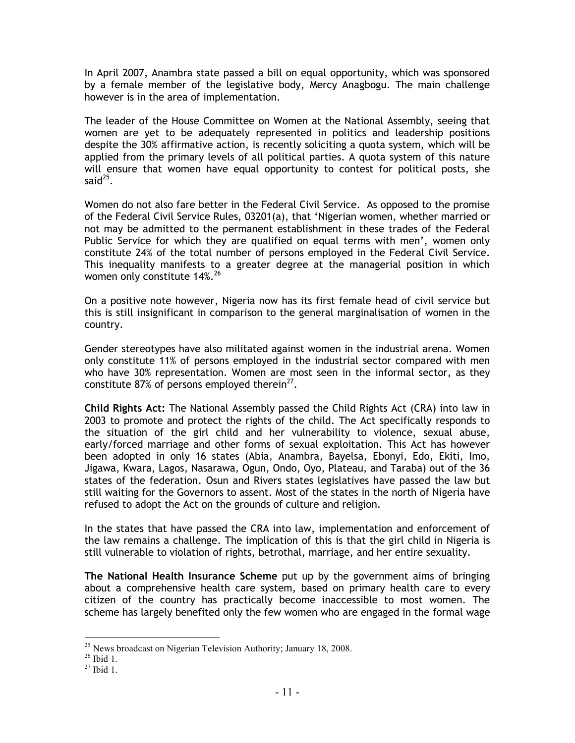In April 2007, Anambra state passed a bill on equal opportunity, which was sponsored by a female member of the legislative body, Mercy Anagbogu. The main challenge however is in the area of implementation.

The leader of the House Committee on Women at the National Assembly, seeing that women are yet to be adequately represented in politics and leadership positions despite the 30% affirmative action, is recently soliciting a quota system, which will be applied from the primary levels of all political parties. A quota system of this nature will ensure that women have equal opportunity to contest for political posts, she said $^{25}$ .

Women do not also fare better in the Federal Civil Service. As opposed to the promise of the Federal Civil Service Rules, 03201(a), that 'Nigerian women, whether married or not may be admitted to the permanent establishment in these trades of the Federal Public Service for which they are qualified on equal terms with men', women only constitute 24% of the total number of persons employed in the Federal Civil Service. This inequality manifests to a greater degree at the managerial position in which women only constitute  $14\%$ .<sup>26</sup>

On a positive note however, Nigeria now has its first female head of civil service but this is still insignificant in comparison to the general marginalisation of women in the country.

Gender stereotypes have also militated against women in the industrial arena. Women only constitute 11% of persons employed in the industrial sector compared with men who have 30% representation. Women are most seen in the informal sector, as they constitute 87% of persons employed therein<sup>27</sup>.

Child Rights Act: The National Assembly passed the Child Rights Act (CRA) into law in 2003 to promote and protect the rights of the child. The Act specifically responds to the situation of the girl child and her vulnerability to violence, sexual abuse, early/forced marriage and other forms of sexual exploitation. This Act has however been adopted in only 16 states (Abia, Anambra, Bayelsa, Ebonyi, Edo, Ekiti, Imo, Jigawa, Kwara, Lagos, Nasarawa, Ogun, Ondo, Oyo, Plateau, and Taraba) out of the 36 states of the federation. Osun and Rivers states legislatives have passed the law but still waiting for the Governors to assent. Most of the states in the north of Nigeria have refused to adopt the Act on the grounds of culture and religion.

In the states that have passed the CRA into law, implementation and enforcement of the law remains a challenge. The implication of this is that the girl child in Nigeria is still vulnerable to violation of rights, betrothal, marriage, and her entire sexuality.

The National Health Insurance Scheme put up by the government aims of bringing about a comprehensive health care system, based on primary health care to every citizen of the country has practically become inaccessible to most women. The scheme has largely benefited only the few women who are engaged in the formal wage

 $\overline{a}$ <sup>25</sup> News broadcast on Nigerian Television Authority; January 18, 2008.

 $26$  Ibid 1.

 $^{27}$  Ibid 1.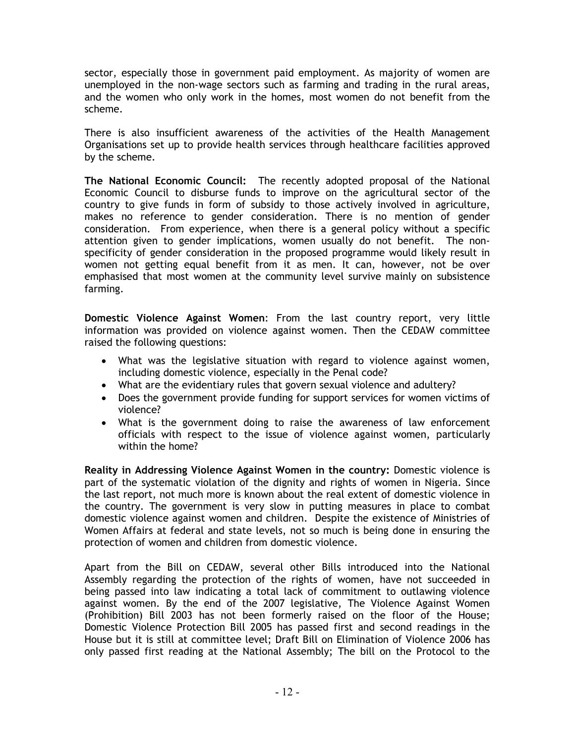sector, especially those in government paid employment. As majority of women are unemployed in the non-wage sectors such as farming and trading in the rural areas, and the women who only work in the homes, most women do not benefit from the scheme.

There is also insufficient awareness of the activities of the Health Management Organisations set up to provide health services through healthcare facilities approved by the scheme.

The National Economic Council: The recently adopted proposal of the National Economic Council to disburse funds to improve on the agricultural sector of the country to give funds in form of subsidy to those actively involved in agriculture, makes no reference to gender consideration. There is no mention of gender consideration. From experience, when there is a general policy without a specific attention given to gender implications, women usually do not benefit. The nonspecificity of gender consideration in the proposed programme would likely result in women not getting equal benefit from it as men. It can, however, not be over emphasised that most women at the community level survive mainly on subsistence farming.

Domestic Violence Against Women: From the last country report, very little information was provided on violence against women. Then the CEDAW committee raised the following questions:

- What was the legislative situation with regard to violence against women, including domestic violence, especially in the Penal code?
- What are the evidentiary rules that govern sexual violence and adultery?
- Does the government provide funding for support services for women victims of violence?
- What is the government doing to raise the awareness of law enforcement officials with respect to the issue of violence against women, particularly within the home?

Reality in Addressing Violence Against Women in the country: Domestic violence is part of the systematic violation of the dignity and rights of women in Nigeria. Since the last report, not much more is known about the real extent of domestic violence in the country. The government is very slow in putting measures in place to combat domestic violence against women and children. Despite the existence of Ministries of Women Affairs at federal and state levels, not so much is being done in ensuring the protection of women and children from domestic violence.

Apart from the Bill on CEDAW, several other Bills introduced into the National Assembly regarding the protection of the rights of women, have not succeeded in being passed into law indicating a total lack of commitment to outlawing violence against women. By the end of the 2007 legislative, The Violence Against Women (Prohibition) Bill 2003 has not been formerly raised on the floor of the House; Domestic Violence Protection Bill 2005 has passed first and second readings in the House but it is still at committee level; Draft Bill on Elimination of Violence 2006 has only passed first reading at the National Assembly; The bill on the Protocol to the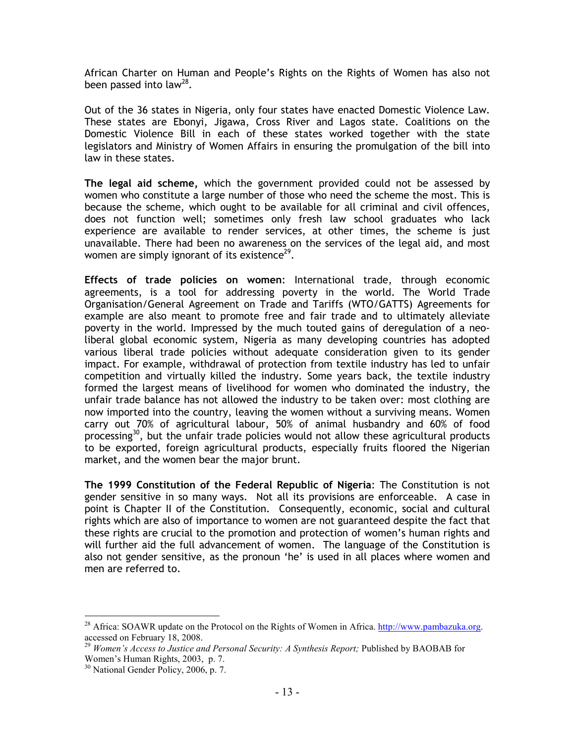African Charter on Human and People's Rights on the Rights of Women has also not been passed into law<sup>28</sup>.

Out of the 36 states in Nigeria, only four states have enacted Domestic Violence Law. These states are Ebonyi, Jigawa, Cross River and Lagos state. Coalitions on the Domestic Violence Bill in each of these states worked together with the state legislators and Ministry of Women Affairs in ensuring the promulgation of the bill into law in these states.

The legal aid scheme, which the government provided could not be assessed by women who constitute a large number of those who need the scheme the most. This is because the scheme, which ought to be available for all criminal and civil offences, does not function well; sometimes only fresh law school graduates who lack experience are available to render services, at other times, the scheme is just unavailable. There had been no awareness on the services of the legal aid, and most women are simply ignorant of its existence $^{29}$ .

Effects of trade policies on women: International trade, through economic agreements, is a tool for addressing poverty in the world. The World Trade Organisation/General Agreement on Trade and Tariffs (WTO/GATTS) Agreements for example are also meant to promote free and fair trade and to ultimately alleviate poverty in the world. Impressed by the much touted gains of deregulation of a neoliberal global economic system, Nigeria as many developing countries has adopted various liberal trade policies without adequate consideration given to its gender impact. For example, withdrawal of protection from textile industry has led to unfair competition and virtually killed the industry. Some years back, the textile industry formed the largest means of livelihood for women who dominated the industry, the unfair trade balance has not allowed the industry to be taken over: most clothing are now imported into the country, leaving the women without a surviving means. Women carry out 70% of agricultural labour, 50% of animal husbandry and 60% of food processing<sup>30</sup>, but the unfair trade policies would not allow these agricultural products to be exported, foreign agricultural products, especially fruits floored the Nigerian market, and the women bear the major brunt.

The 1999 Constitution of the Federal Republic of Nigeria: The Constitution is not gender sensitive in so many ways. Not all its provisions are enforceable. A case in point is Chapter II of the Constitution. Consequently, economic, social and cultural rights which are also of importance to women are not guaranteed despite the fact that these rights are crucial to the promotion and protection of women's human rights and will further aid the full advancement of women. The language of the Constitution is also not gender sensitive, as the pronoun 'he' is used in all places where women and men are referred to.

 $\overline{a}$ <sup>28</sup> Africa: SOAWR update on the Protocol on the Rights of Women in Africa. http://www.pambazuka.org. accessed on February 18, 2008.

<sup>29</sup> *Women's Access to Justice and Personal Security: A Synthesis Report;* Published by BAOBAB for Women's Human Rights, 2003, p. 7.

<sup>&</sup>lt;sup>30</sup> National Gender Policy, 2006, p. 7.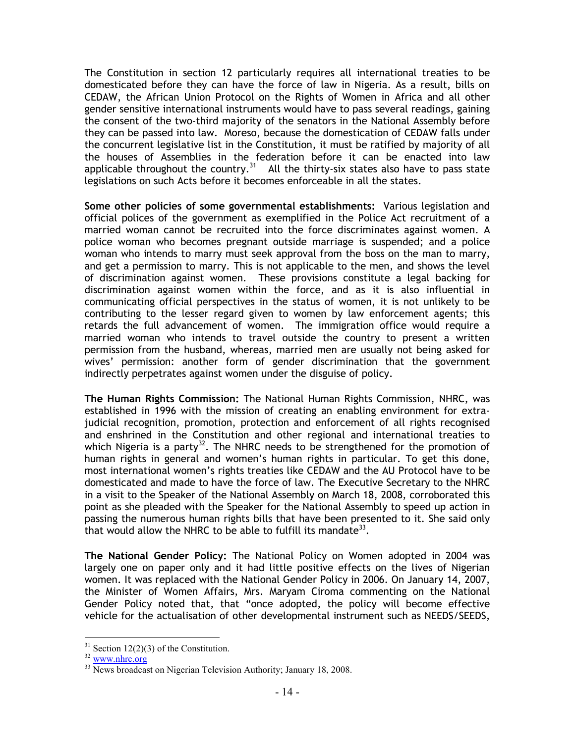The Constitution in section 12 particularly requires all international treaties to be domesticated before they can have the force of law in Nigeria. As a result, bills on CEDAW, the African Union Protocol on the Rights of Women in Africa and all other gender sensitive international instruments would have to pass several readings, gaining the consent of the two-third majority of the senators in the National Assembly before they can be passed into law. Moreso, because the domestication of CEDAW falls under the concurrent legislative list in the Constitution, it must be ratified by majority of all the houses of Assemblies in the federation before it can be enacted into law applicable throughout the country.<sup>31</sup> All the thirty-six states also have to pass state legislations on such Acts before it becomes enforceable in all the states.

Some other policies of some governmental establishments: Various legislation and official polices of the government as exemplified in the Police Act recruitment of a married woman cannot be recruited into the force discriminates against women. A police woman who becomes pregnant outside marriage is suspended; and a police woman who intends to marry must seek approval from the boss on the man to marry, and get a permission to marry. This is not applicable to the men, and shows the level of discrimination against women. These provisions constitute a legal backing for discrimination against women within the force, and as it is also influential in communicating official perspectives in the status of women, it is not unlikely to be contributing to the lesser regard given to women by law enforcement agents; this retards the full advancement of women. The immigration office would require a married woman who intends to travel outside the country to present a written permission from the husband, whereas, married men are usually not being asked for wives' permission: another form of gender discrimination that the government indirectly perpetrates against women under the disguise of policy.

The Human Rights Commission: The National Human Rights Commission, NHRC, was established in 1996 with the mission of creating an enabling environment for extrajudicial recognition, promotion, protection and enforcement of all rights recognised and enshrined in the Constitution and other regional and international treaties to which Nigeria is a party<sup>32</sup>. The NHRC needs to be strengthened for the promotion of human rights in general and women's human rights in particular. To get this done, most international women's rights treaties like CEDAW and the AU Protocol have to be domesticated and made to have the force of law. The Executive Secretary to the NHRC in a visit to the Speaker of the National Assembly on March 18, 2008, corroborated this point as she pleaded with the Speaker for the National Assembly to speed up action in passing the numerous human rights bills that have been presented to it. She said only that would allow the NHRC to be able to fulfill its mandate  $33$ .

The National Gender Policy: The National Policy on Women adopted in 2004 was largely one on paper only and it had little positive effects on the lives of Nigerian women. It was replaced with the National Gender Policy in 2006. On January 14, 2007, the Minister of Women Affairs, Mrs. Maryam Ciroma commenting on the National Gender Policy noted that, that "once adopted, the policy will become effective vehicle for the actualisation of other developmental instrument such as NEEDS/SEEDS,

 $\overline{a}$  $31$  Section 12(2)(3) of the Constitution.

<sup>32</sup> www.nhrc.org

<sup>&</sup>lt;sup>33</sup> News broadcast on Nigerian Television Authority; January 18, 2008.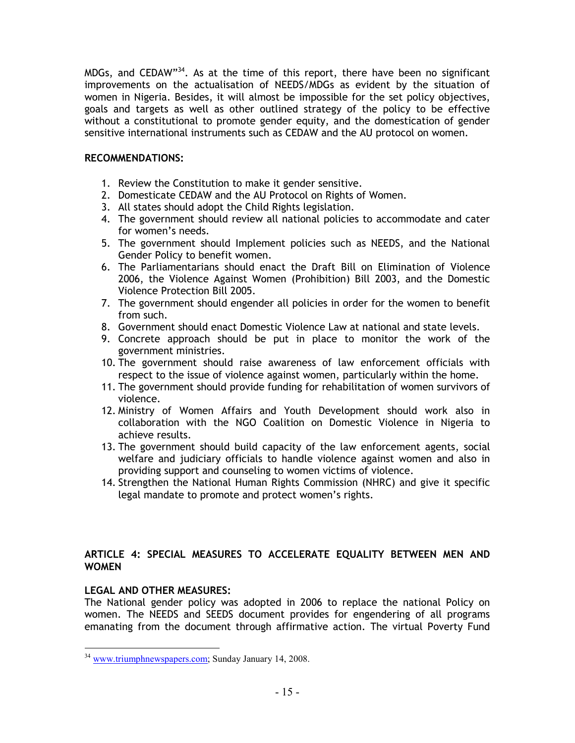MDGs, and CEDAW"<sup>34</sup>. As at the time of this report, there have been no significant improvements on the actualisation of NEEDS/MDGs as evident by the situation of women in Nigeria. Besides, it will almost be impossible for the set policy objectives, goals and targets as well as other outlined strategy of the policy to be effective without a constitutional to promote gender equity, and the domestication of gender sensitive international instruments such as CEDAW and the AU protocol on women.

## RECOMMENDATIONS:

- 1. Review the Constitution to make it gender sensitive.
- 2. Domesticate CEDAW and the AU Protocol on Rights of Women.
- 3. All states should adopt the Child Rights legislation.
- 4. The government should review all national policies to accommodate and cater for women's needs.
- 5. The government should Implement policies such as NEEDS, and the National Gender Policy to benefit women.
- 6. The Parliamentarians should enact the Draft Bill on Elimination of Violence 2006, the Violence Against Women (Prohibition) Bill 2003, and the Domestic Violence Protection Bill 2005.
- 7. The government should engender all policies in order for the women to benefit from such.
- 8. Government should enact Domestic Violence Law at national and state levels.
- 9. Concrete approach should be put in place to monitor the work of the government ministries.
- 10. The government should raise awareness of law enforcement officials with respect to the issue of violence against women, particularly within the home.
- 11. The government should provide funding for rehabilitation of women survivors of violence.
- 12. Ministry of Women Affairs and Youth Development should work also in collaboration with the NGO Coalition on Domestic Violence in Nigeria to achieve results.
- 13. The government should build capacity of the law enforcement agents, social welfare and judiciary officials to handle violence against women and also in providing support and counseling to women victims of violence.
- 14. Strengthen the National Human Rights Commission (NHRC) and give it specific legal mandate to promote and protect women's rights.

## ARTICLE 4: SPECIAL MEASURES TO ACCELERATE EQUALITY BETWEEN MEN AND WOMEN

## LEGAL AND OTHER MEASURES:

The National gender policy was adopted in 2006 to replace the national Policy on women. The NEEDS and SEEDS document provides for engendering of all programs emanating from the document through affirmative action. The virtual Poverty Fund

l <sup>34</sup> www.triumphnewspapers.com; Sunday January 14, 2008.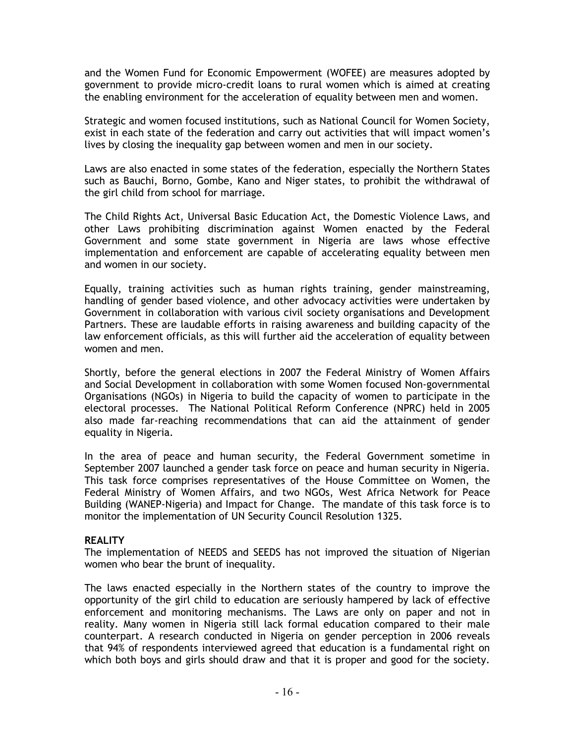and the Women Fund for Economic Empowerment (WOFEE) are measures adopted by government to provide micro-credit loans to rural women which is aimed at creating the enabling environment for the acceleration of equality between men and women.

Strategic and women focused institutions, such as National Council for Women Society, exist in each state of the federation and carry out activities that will impact women's lives by closing the inequality gap between women and men in our society.

Laws are also enacted in some states of the federation, especially the Northern States such as Bauchi, Borno, Gombe, Kano and Niger states, to prohibit the withdrawal of the girl child from school for marriage.

The Child Rights Act, Universal Basic Education Act, the Domestic Violence Laws, and other Laws prohibiting discrimination against Women enacted by the Federal Government and some state government in Nigeria are laws whose effective implementation and enforcement are capable of accelerating equality between men and women in our society.

Equally, training activities such as human rights training, gender mainstreaming, handling of gender based violence, and other advocacy activities were undertaken by Government in collaboration with various civil society organisations and Development Partners. These are laudable efforts in raising awareness and building capacity of the law enforcement officials, as this will further aid the acceleration of equality between women and men.

Shortly, before the general elections in 2007 the Federal Ministry of Women Affairs and Social Development in collaboration with some Women focused Non-governmental Organisations (NGOs) in Nigeria to build the capacity of women to participate in the electoral processes. The National Political Reform Conference (NPRC) held in 2005 also made far-reaching recommendations that can aid the attainment of gender equality in Nigeria.

In the area of peace and human security, the Federal Government sometime in September 2007 launched a gender task force on peace and human security in Nigeria. This task force comprises representatives of the House Committee on Women, the Federal Ministry of Women Affairs, and two NGOs, West Africa Network for Peace Building (WANEP-Nigeria) and Impact for Change. The mandate of this task force is to monitor the implementation of UN Security Council Resolution 1325.

## **REALITY**

The implementation of NEEDS and SEEDS has not improved the situation of Nigerian women who bear the brunt of inequality.

The laws enacted especially in the Northern states of the country to improve the opportunity of the girl child to education are seriously hampered by lack of effective enforcement and monitoring mechanisms. The Laws are only on paper and not in reality. Many women in Nigeria still lack formal education compared to their male counterpart. A research conducted in Nigeria on gender perception in 2006 reveals that 94% of respondents interviewed agreed that education is a fundamental right on which both boys and girls should draw and that it is proper and good for the society.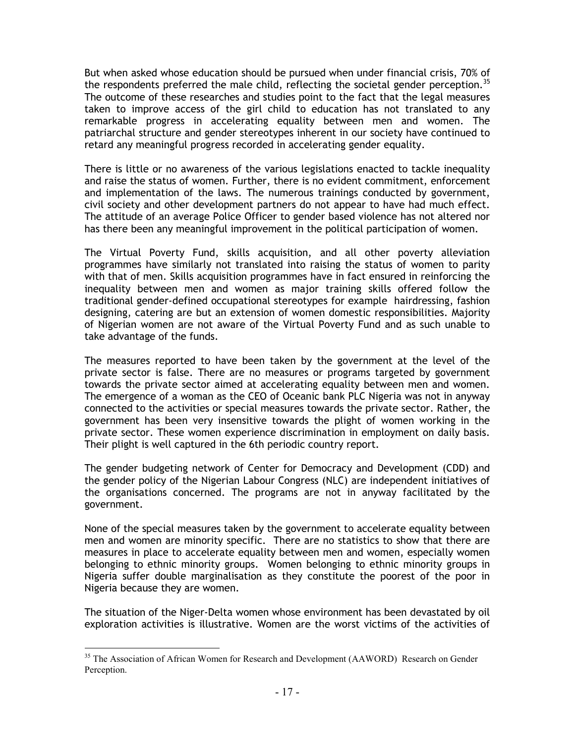But when asked whose education should be pursued when under financial crisis, 70% of the respondents preferred the male child, reflecting the societal gender perception.<sup>35</sup> The outcome of these researches and studies point to the fact that the legal measures taken to improve access of the girl child to education has not translated to any remarkable progress in accelerating equality between men and women. The patriarchal structure and gender stereotypes inherent in our society have continued to retard any meaningful progress recorded in accelerating gender equality.

There is little or no awareness of the various legislations enacted to tackle inequality and raise the status of women. Further, there is no evident commitment, enforcement and implementation of the laws. The numerous trainings conducted by government, civil society and other development partners do not appear to have had much effect. The attitude of an average Police Officer to gender based violence has not altered nor has there been any meaningful improvement in the political participation of women.

The Virtual Poverty Fund, skills acquisition, and all other poverty alleviation programmes have similarly not translated into raising the status of women to parity with that of men. Skills acquisition programmes have in fact ensured in reinforcing the inequality between men and women as major training skills offered follow the traditional gender-defined occupational stereotypes for example hairdressing, fashion designing, catering are but an extension of women domestic responsibilities. Majority of Nigerian women are not aware of the Virtual Poverty Fund and as such unable to take advantage of the funds.

The measures reported to have been taken by the government at the level of the private sector is false. There are no measures or programs targeted by government towards the private sector aimed at accelerating equality between men and women. The emergence of a woman as the CEO of Oceanic bank PLC Nigeria was not in anyway connected to the activities or special measures towards the private sector. Rather, the government has been very insensitive towards the plight of women working in the private sector. These women experience discrimination in employment on daily basis. Their plight is well captured in the 6th periodic country report.

The gender budgeting network of Center for Democracy and Development (CDD) and the gender policy of the Nigerian Labour Congress (NLC) are independent initiatives of the organisations concerned. The programs are not in anyway facilitated by the government.

None of the special measures taken by the government to accelerate equality between men and women are minority specific. There are no statistics to show that there are measures in place to accelerate equality between men and women, especially women belonging to ethnic minority groups. Women belonging to ethnic minority groups in Nigeria suffer double marginalisation as they constitute the poorest of the poor in Nigeria because they are women.

The situation of the Niger-Delta women whose environment has been devastated by oil exploration activities is illustrative. Women are the worst victims of the activities of

l <sup>35</sup> The Association of African Women for Research and Development (AAWORD) Research on Gender Perception.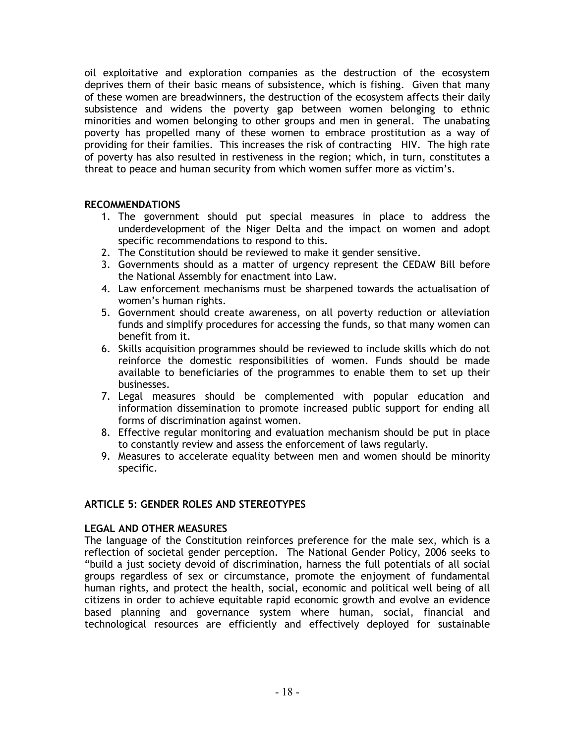oil exploitative and exploration companies as the destruction of the ecosystem deprives them of their basic means of subsistence, which is fishing. Given that many of these women are breadwinners, the destruction of the ecosystem affects their daily subsistence and widens the poverty gap between women belonging to ethnic minorities and women belonging to other groups and men in general. The unabating poverty has propelled many of these women to embrace prostitution as a way of providing for their families. This increases the risk of contracting HIV. The high rate of poverty has also resulted in restiveness in the region; which, in turn, constitutes a threat to peace and human security from which women suffer more as victim's.

## RECOMMENDATIONS

- 1. The government should put special measures in place to address the underdevelopment of the Niger Delta and the impact on women and adopt specific recommendations to respond to this.
- 2. The Constitution should be reviewed to make it gender sensitive.
- 3. Governments should as a matter of urgency represent the CEDAW Bill before the National Assembly for enactment into Law.
- 4. Law enforcement mechanisms must be sharpened towards the actualisation of women's human rights.
- 5. Government should create awareness, on all poverty reduction or alleviation funds and simplify procedures for accessing the funds, so that many women can benefit from it.
- 6. Skills acquisition programmes should be reviewed to include skills which do not reinforce the domestic responsibilities of women. Funds should be made available to beneficiaries of the programmes to enable them to set up their businesses.
- 7. Legal measures should be complemented with popular education and information dissemination to promote increased public support for ending all forms of discrimination against women.
- 8. Effective regular monitoring and evaluation mechanism should be put in place to constantly review and assess the enforcement of laws regularly.
- 9. Measures to accelerate equality between men and women should be minority specific.

## ARTICLE 5: GENDER ROLES AND STEREOTYPES

## LEGAL AND OTHER MEASURES

The language of the Constitution reinforces preference for the male sex, which is a reflection of societal gender perception. The National Gender Policy, 2006 seeks to "build a just society devoid of discrimination, harness the full potentials of all social groups regardless of sex or circumstance, promote the enjoyment of fundamental human rights, and protect the health, social, economic and political well being of all citizens in order to achieve equitable rapid economic growth and evolve an evidence based planning and governance system where human, social, financial and technological resources are efficiently and effectively deployed for sustainable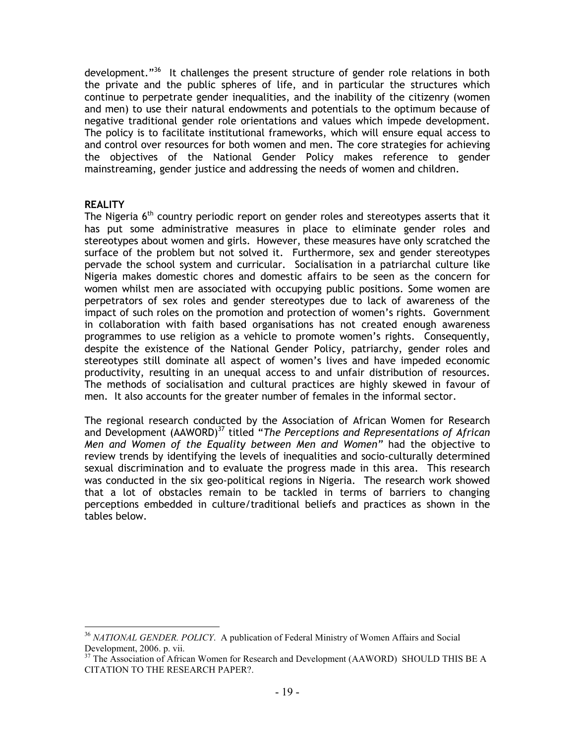development."<sup>36</sup> It challenges the present structure of gender role relations in both the private and the public spheres of life, and in particular the structures which continue to perpetrate gender inequalities, and the inability of the citizenry (women and men) to use their natural endowments and potentials to the optimum because of negative traditional gender role orientations and values which impede development. The policy is to facilitate institutional frameworks, which will ensure equal access to and control over resources for both women and men. The core strategies for achieving the objectives of the National Gender Policy makes reference to gender mainstreaming, gender justice and addressing the needs of women and children.

#### **REALITY**

The Nigeria  $6<sup>th</sup>$  country periodic report on gender roles and stereotypes asserts that it has put some administrative measures in place to eliminate gender roles and stereotypes about women and girls. However, these measures have only scratched the surface of the problem but not solved it. Furthermore, sex and gender stereotypes pervade the school system and curricular. Socialisation in a patriarchal culture like Nigeria makes domestic chores and domestic affairs to be seen as the concern for women whilst men are associated with occupying public positions. Some women are perpetrators of sex roles and gender stereotypes due to lack of awareness of the impact of such roles on the promotion and protection of women's rights. Government in collaboration with faith based organisations has not created enough awareness programmes to use religion as a vehicle to promote women's rights. Consequently, despite the existence of the National Gender Policy, patriarchy, gender roles and stereotypes still dominate all aspect of women's lives and have impeded economic productivity, resulting in an unequal access to and unfair distribution of resources. The methods of socialisation and cultural practices are highly skewed in favour of men. It also accounts for the greater number of females in the informal sector.

The regional research conducted by the Association of African Women for Research and Development (AAWORD)<sup>37</sup> titled "The Perceptions and Representations of African Men and Women of the Equality between Men and Women" had the objective to review trends by identifying the levels of inequalities and socio-culturally determined sexual discrimination and to evaluate the progress made in this area. This research was conducted in the six geo-political regions in Nigeria. The research work showed that a lot of obstacles remain to be tackled in terms of barriers to changing perceptions embedded in culture/traditional beliefs and practices as shown in the tables below.

 $\overline{a}$ <sup>36</sup> *NATIONAL GENDER. POLICY*. A publication of Federal Ministry of Women Affairs and Social Development, 2006. p. vii.

<sup>&</sup>lt;sup>37</sup> The Association of African Women for Research and Development (AAWORD) SHOULD THIS BE A CITATION TO THE RESEARCH PAPER?.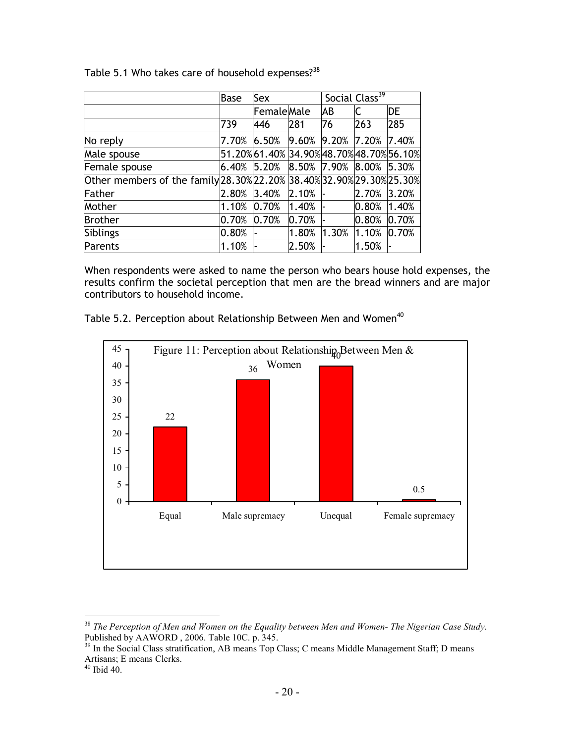|  |  |  | Table 5.1 Who takes care of household expenses? <sup>38</sup> |
|--|--|--|---------------------------------------------------------------|
|  |  |  |                                                               |

|                                                                       | <b>Base</b> | Sex                                      |       |             | Social Class <sup>39</sup>                                  |       |
|-----------------------------------------------------------------------|-------------|------------------------------------------|-------|-------------|-------------------------------------------------------------|-------|
|                                                                       |             | <b>Female</b> Male                       |       | ΙAΒ         |                                                             | DE    |
|                                                                       | 739         | 446                                      | 281   | 76          | 263                                                         | 285   |
| No reply                                                              | 7.70%       | 6.50%                                    | 9.60% | 9.20% 7.20% |                                                             | 7.40% |
| Male spouse                                                           |             | 51.20%61.40% 34.90% 48.70% 48.70% 56.10% |       |             |                                                             |       |
| Female spouse                                                         | 6.40%       | 5.20%                                    |       |             | $\vert 8.50\% \vert 7.90\% \vert 8.00\% \vert 5.30\% \vert$ |       |
| Other members of the family 28.30% 22.20% 38.40% 32.90% 29.30% 25.30% |             |                                          |       |             |                                                             |       |
| Father                                                                | 2.80%       | 3.40%                                    | 2.10% |             | 2.70%                                                       | 3.20% |
| Mother                                                                | 1.10%       | 0.70%                                    | 1.40% |             | 0.80%                                                       | 1.40% |
| <b>Brother</b>                                                        | 0.70%       | 0.70%                                    | 0.70% |             | 0.80%                                                       | 0.70% |
| <b>Siblings</b>                                                       | 0.80%       |                                          | 1.80% | 1.30%       | 1.10%                                                       | 0.70% |
| Parents                                                               | 1.10%       |                                          | 2.50% |             | 1.50%                                                       |       |

When respondents were asked to name the person who bears house hold expenses, the results confirm the societal perception that men are the bread winners and are major contributors to household income.



Table 5.2. Perception about Relationship Between Men and Women<sup>40</sup>

 $\overline{a}$ <sup>38</sup> *The Perception of Men and Women on the Equality between Men and Women- The Nigerian Case Study*. Published by AAWORD , 2006. Table 10C. p. 345.

<sup>&</sup>lt;sup>39</sup> In the Social Class stratification, AB means Top Class; C means Middle Management Staff; D means Artisans; E means Clerks.

 $40$  Ibid 40.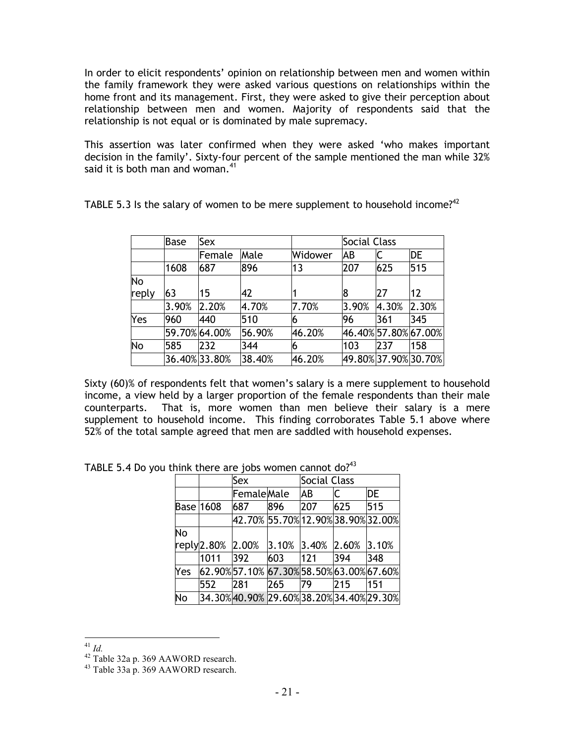In order to elicit respondents' opinion on relationship between men and women within the family framework they were asked various questions on relationships within the home front and its management. First, they were asked to give their perception about relationship between men and women. Majority of respondents said that the relationship is not equal or is dominated by male supremacy.

This assertion was later confirmed when they were asked 'who makes important decision in the family'. Sixty-four percent of the sample mentioned the man while 32% said it is both man and woman. $41$ 

| TABLE 5.3 Is the salary of women to be mere supplement to household income? <sup>42</sup> |
|-------------------------------------------------------------------------------------------|
|                                                                                           |

|       | <b>Base</b> | Sex           |        |         | Social Class |       |                      |
|-------|-------------|---------------|--------|---------|--------------|-------|----------------------|
|       |             | Female        | Male   | Widower | AB           |       | <b>DE</b>            |
|       | 1608        | 687           | 896    | 13      | 207          | 625   | 515                  |
| No    |             |               |        |         |              |       |                      |
| reply | 63          | 15            | 42     |         | 18           | 27    | 12                   |
|       | 3.90%       | 2.20%         | 4.70%  | 7.70%   | 3.90%        | 4.30% | 2.30%                |
| Yes   | 960         | 440           | 510    |         | 96           | 361   | 345                  |
|       |             | 59.70% 64.00% | 56.90% | 46.20%  |              |       | 46.40% 57.80% 67.00% |
| No    | 585         | 232           | 344    | 6       | 103          | 237   | 158                  |
|       |             | 36.40% 33.80% | 38.40% | 46.20%  |              |       | 49.80% 37.90% 30.70% |

Sixty (60)% of respondents felt that women's salary is a mere supplement to household income, a view held by a larger proportion of the female respondents than their male counterparts. That is, more women than men believe their salary is a mere supplement to household income. This finding corroborates Table 5.1 above where 52% of the total sample agreed that men are saddled with household expenses.

|      |                                   |                                   |                                         |                               | <b>DE</b>                                                                                                                                                                                                           |  |  |  |  |  |
|------|-----------------------------------|-----------------------------------|-----------------------------------------|-------------------------------|---------------------------------------------------------------------------------------------------------------------------------------------------------------------------------------------------------------------|--|--|--|--|--|
|      |                                   |                                   |                                         |                               | 515                                                                                                                                                                                                                 |  |  |  |  |  |
|      |                                   |                                   |                                         |                               |                                                                                                                                                                                                                     |  |  |  |  |  |
|      |                                   |                                   |                                         |                               |                                                                                                                                                                                                                     |  |  |  |  |  |
|      |                                   |                                   |                                         |                               |                                                                                                                                                                                                                     |  |  |  |  |  |
| 1011 |                                   |                                   |                                         |                               | 348                                                                                                                                                                                                                 |  |  |  |  |  |
|      |                                   |                                   |                                         |                               |                                                                                                                                                                                                                     |  |  |  |  |  |
| 552  |                                   |                                   |                                         |                               | 151                                                                                                                                                                                                                 |  |  |  |  |  |
|      |                                   |                                   |                                         |                               |                                                                                                                                                                                                                     |  |  |  |  |  |
|      | <b>Base 1608</b><br>$reply$ 2.80% | Sex<br>687<br>2.00%<br>392<br>281 | <b>Female</b> Male<br>896<br>603<br>265 | <b>AB</b><br>207<br>121<br>79 | Social Class<br>C<br>625<br>42.70% 55.70% 12.90% 38.90% 32.00%<br>$ 3.10\% 3.40\% 2.60\% 3.10\% $<br>394<br>$ 62.90\% 57.10\% 67.30\% 58.50\% 63.00\% 67.60\% $<br>215<br>34.30% 40.90% 29.60% 38.20% 34.40% 29.30% |  |  |  |  |  |

TABLE 5.4 Do you think there are jobs women cannot do?<sup>43</sup>

 $\overline{a}$ <sup>41</sup> *Id.*

 $^{42}$  Table 32a p. 369 AAWORD research.

<sup>43</sup> Table 33a p. 369 AAWORD research.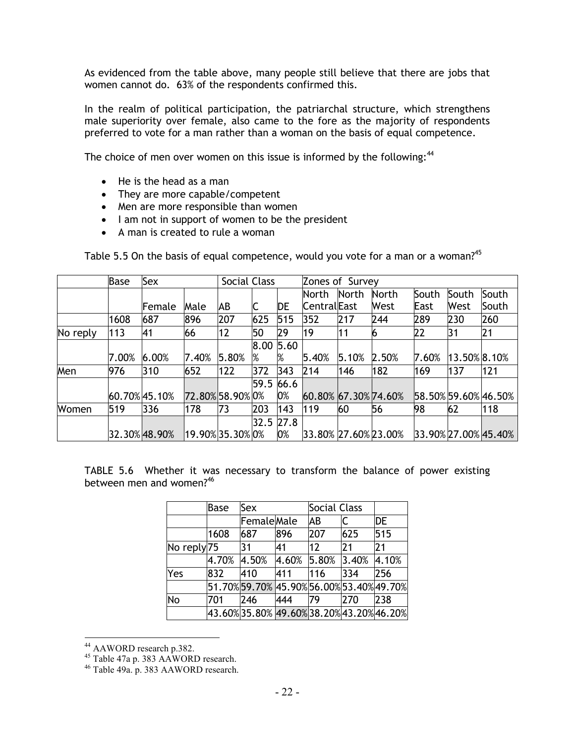As evidenced from the table above, many people still believe that there are jobs that women cannot do. 63% of the respondents confirmed this.

In the realm of political participation, the patriarchal structure, which strengthens male superiority over female, also came to the fore as the majority of respondents preferred to vote for a man rather than a woman on the basis of equal competence.

The choice of men over women on this issue is informed by the following: $44$ 

- He is the head as a man
- They are more capable/competent
- Men are more responsible than women
- I am not in support of women to be the president
- A man is created to rule a woman

|          | <b>Base</b> | Sex           |                  |       | Social Class |      |                      | Zones of Survey |              |       |              |                      |
|----------|-------------|---------------|------------------|-------|--------------|------|----------------------|-----------------|--------------|-------|--------------|----------------------|
|          |             |               |                  |       |              |      | North                | <b>North</b>    | <b>North</b> | South | South        | South                |
|          |             | Female        | Male             | АB    |              | DE   | <b>Central</b> East  |                 | <b>West</b>  | East  | West         | South                |
|          | 1608        | 687           | 896              | 207   | 625          | 515  | 352                  | 217             | 244          | 289   | 230          | 260                  |
| No reply | 113         | 41            | 66               | 12    | 50           | 29   | 19                   | 11              |              | 22    | 31           | 21                   |
|          |             |               |                  |       | 8.00         | 5.60 |                      |                 |              |       |              |                      |
|          | 7.00%       | 6.00%         | 7.40%            | 5.80% | %            | %    | 5.40%                | 5.10%           | 2.50%        | 7.60% | 13.50% 8.10% |                      |
| Men      | 976         | 310           | 652              | 122   | 372          | 343  | 214                  | 146             | 182          | 169   | 137          | 121                  |
|          |             |               |                  |       | 59.5 66.6    |      |                      |                 |              |       |              |                      |
|          |             | 60.70% 45.10% | 72.80% 58.90% 0% |       |              | 0%   | 60.80% 67.30% 74.60% |                 |              |       |              | 58.50% 59.60% 46.50% |
| Women    | 519         | 336           | 178              | 73    | 203          | 143  | 119                  | 60              | 56           | 98    | 62           | 118                  |
|          |             |               |                  |       | 32.5 27.8    |      |                      |                 |              |       |              |                      |
|          |             | 32.30% 48.90% | 19.90% 35.30% 0% |       |              | 0%   | 33.80% 27.60% 23.00% |                 |              |       |              | 33.90% 27.00% 45.40% |

Table 5.5 On the basis of equal competence, would you vote for a man or a woman?<sup>45</sup>

TABLE 5.6 Whether it was necessary to transform the balance of power existing between men and women?<sup>46</sup>

|                        | Base  | Sex                                       |       | <b>Social Class</b> |       |       |
|------------------------|-------|-------------------------------------------|-------|---------------------|-------|-------|
|                        |       | FemaleMale                                |       | ΙAΒ                 |       | DE    |
|                        | 1608  | 687                                       | 896   | 207                 | 625   | 515   |
| No reply <sub>75</sub> |       | 31                                        | 41    | 12                  | 21    | 21    |
|                        | 4.70% | 4.50%                                     | 4.60% | 5.80%               | 3.40% | 4.10% |
| Yes                    | 832   | 410                                       | 411   | 116                 | 334   | 256   |
|                        |       | 51.70%59.70% 45.90% 56.00% 53.40% 49.70%  |       |                     |       |       |
| No                     | 701   | 246                                       | 444   | 79                  | 1270  | 238   |
|                        |       | 43.60% 35.80% 49.60% 38.20% 43.20% 46.20% |       |                     |       |       |

<sup>&</sup>lt;sup>44</sup> AAWORD research p.382.

 $\overline{a}$ 

<sup>&</sup>lt;sup>45</sup> Table 47a p. 383 AAWORD research.

<sup>46</sup> Table 49a. p. 383 AAWORD research.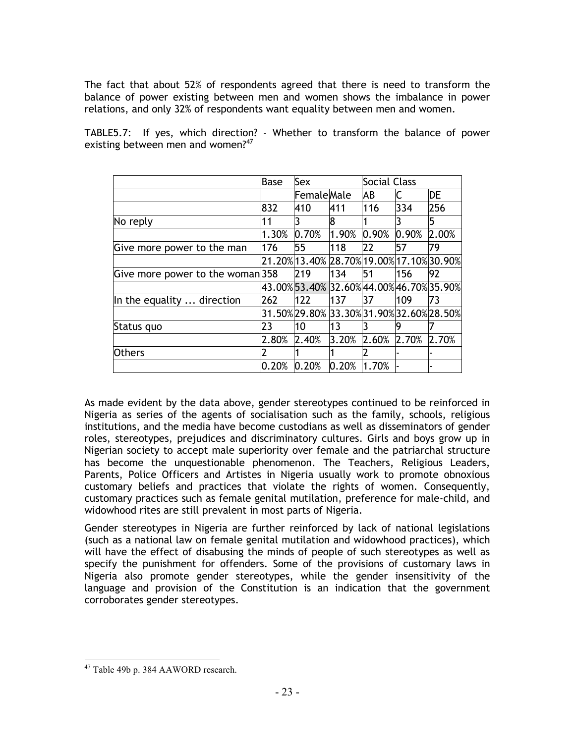The fact that about 52% of respondents agreed that there is need to transform the balance of power existing between men and women shows the imbalance in power relations, and only 32% of respondents want equality between men and women.

| TABLE5.7: If yes, which direction? - Whether to transform the balance of power |  |  |  |  |  |  |
|--------------------------------------------------------------------------------|--|--|--|--|--|--|
| existing between men and women? <sup>47</sup>                                  |  |  |  |  |  |  |

|                                  | <b>Base</b> | Sex                                        |       | Social Class |       |       |
|----------------------------------|-------------|--------------------------------------------|-------|--------------|-------|-------|
|                                  |             | FemaleMale                                 |       | AB           | C     | DE    |
|                                  | 832         | 410                                        | 411   | 116          | 334   | 256   |
| No reply                         | 11          | 3                                          | 8     |              |       | 5     |
|                                  | 1.30%       | 0.70%                                      | 1.90% | 0.90%        | 0.90% | 2.00% |
| Give more power to the man       | 176         | 55                                         | 118   | 22           | 57    | 79    |
|                                  |             | 21.20% 13.40% 28.70% 19.00% 17.10% 30.90%  |       |              |       |       |
| Give more power to the woman 358 |             | 219                                        | 134   | 51           | 156   | 92    |
|                                  |             | 43.00% 53.40% 32.60% 44.00% 46.70% 35.90%  |       |              |       |       |
| In the equality  direction       | 262         | 122                                        | 137   | 37           | 109   | 73    |
|                                  |             | 31.50% 29.80%  33.30% 31.90% 32.60% 28.50% |       |              |       |       |
| Status quo                       | 23          | 10                                         | 13    |              | 9     |       |
|                                  | 2.80%       | 2.40%                                      | 3.20% | 2.60%        | 2.70% | 2.70% |
| <b>Others</b>                    | 2           |                                            |       |              |       |       |
|                                  | 0.20%       | 0.20%                                      | 0.20% | 1.70%        |       |       |

As made evident by the data above, gender stereotypes continued to be reinforced in Nigeria as series of the agents of socialisation such as the family, schools, religious institutions, and the media have become custodians as well as disseminators of gender roles, stereotypes, prejudices and discriminatory cultures. Girls and boys grow up in Nigerian society to accept male superiority over female and the patriarchal structure has become the unquestionable phenomenon. The Teachers, Religious Leaders, Parents, Police Officers and Artistes in Nigeria usually work to promote obnoxious customary beliefs and practices that violate the rights of women. Consequently, customary practices such as female genital mutilation, preference for male-child, and widowhood rites are still prevalent in most parts of Nigeria.

Gender stereotypes in Nigeria are further reinforced by lack of national legislations (such as a national law on female genital mutilation and widowhood practices), which will have the effect of disabusing the minds of people of such stereotypes as well as specify the punishment for offenders. Some of the provisions of customary laws in Nigeria also promote gender stereotypes, while the gender insensitivity of the language and provision of the Constitution is an indication that the government corroborates gender stereotypes.

 $\overline{a}$ <sup>47</sup> Table 49b p. 384 AAWORD research.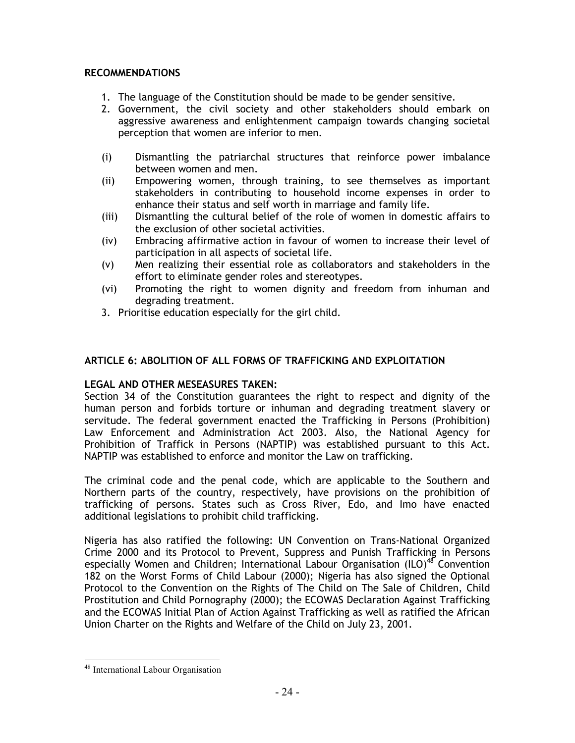## RECOMMENDATIONS

- 1. The language of the Constitution should be made to be gender sensitive.
- 2. Government, the civil society and other stakeholders should embark on aggressive awareness and enlightenment campaign towards changing societal perception that women are inferior to men.
- (i) Dismantling the patriarchal structures that reinforce power imbalance between women and men.
- (ii) Empowering women, through training, to see themselves as important stakeholders in contributing to household income expenses in order to enhance their status and self worth in marriage and family life.
- (iii) Dismantling the cultural belief of the role of women in domestic affairs to the exclusion of other societal activities.
- (iv) Embracing affirmative action in favour of women to increase their level of participation in all aspects of societal life.
- (v) Men realizing their essential role as collaborators and stakeholders in the effort to eliminate gender roles and stereotypes.
- (vi) Promoting the right to women dignity and freedom from inhuman and degrading treatment.
- 3. Prioritise education especially for the girl child.

# ARTICLE 6: ABOLITION OF ALL FORMS OF TRAFFICKING AND EXPLOITATION

## LEGAL AND OTHER MESEASURES TAKEN:

Section 34 of the Constitution guarantees the right to respect and dignity of the human person and forbids torture or inhuman and degrading treatment slavery or servitude. The federal government enacted the Trafficking in Persons (Prohibition) Law Enforcement and Administration Act 2003. Also, the National Agency for Prohibition of Traffick in Persons (NAPTIP) was established pursuant to this Act. NAPTIP was established to enforce and monitor the Law on trafficking.

The criminal code and the penal code, which are applicable to the Southern and Northern parts of the country, respectively, have provisions on the prohibition of trafficking of persons. States such as Cross River, Edo, and Imo have enacted additional legislations to prohibit child trafficking.

Nigeria has also ratified the following: UN Convention on Trans-National Organized Crime 2000 and its Protocol to Prevent, Suppress and Punish Trafficking in Persons especially Women and Children; International Labour Organisation (ILO)<sup>48</sup> Convention 182 on the Worst Forms of Child Labour (2000); Nigeria has also signed the Optional Protocol to the Convention on the Rights of The Child on The Sale of Children, Child Prostitution and Child Pornography (2000); the ECOWAS Declaration Against Trafficking and the ECOWAS Initial Plan of Action Against Trafficking as well as ratified the African Union Charter on the Rights and Welfare of the Child on July 23, 2001.

<sup>&</sup>lt;sup>48</sup> International Labour Organisation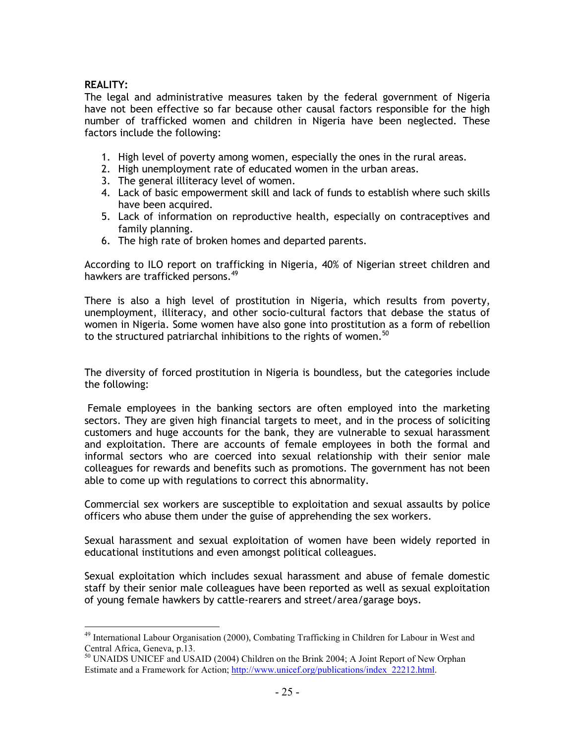## REALITY:

 $\overline{a}$ 

The legal and administrative measures taken by the federal government of Nigeria have not been effective so far because other causal factors responsible for the high number of trafficked women and children in Nigeria have been neglected. These factors include the following:

- 1. High level of poverty among women, especially the ones in the rural areas.
- 2. High unemployment rate of educated women in the urban areas.
- 3. The general illiteracy level of women.
- 4. Lack of basic empowerment skill and lack of funds to establish where such skills have been acquired.
- 5. Lack of information on reproductive health, especially on contraceptives and family planning.
- 6. The high rate of broken homes and departed parents.

According to ILO report on trafficking in Nigeria, 40% of Nigerian street children and hawkers are trafficked persons.<sup>49</sup>

There is also a high level of prostitution in Nigeria, which results from poverty, unemployment, illiteracy, and other socio-cultural factors that debase the status of women in Nigeria. Some women have also gone into prostitution as a form of rebellion to the structured patriarchal inhibitions to the rights of women.  $^{50}$ 

The diversity of forced prostitution in Nigeria is boundless, but the categories include the following:

 Female employees in the banking sectors are often employed into the marketing sectors. They are given high financial targets to meet, and in the process of soliciting customers and huge accounts for the bank, they are vulnerable to sexual harassment and exploitation. There are accounts of female employees in both the formal and informal sectors who are coerced into sexual relationship with their senior male colleagues for rewards and benefits such as promotions. The government has not been able to come up with regulations to correct this abnormality.

Commercial sex workers are susceptible to exploitation and sexual assaults by police officers who abuse them under the guise of apprehending the sex workers.

Sexual harassment and sexual exploitation of women have been widely reported in educational institutions and even amongst political colleagues.

Sexual exploitation which includes sexual harassment and abuse of female domestic staff by their senior male colleagues have been reported as well as sexual exploitation of young female hawkers by cattle-rearers and street/area/garage boys.

<sup>&</sup>lt;sup>49</sup> International Labour Organisation (2000), Combating Trafficking in Children for Labour in West and Central Africa, Geneva, p.13.

<sup>&</sup>lt;sup>50</sup> UNAIDS UNICEF and USAID (2004) Children on the Brink 2004; A Joint Report of New Orphan Estimate and a Framework for Action; http://www.unicef.org/publications/index\_22212.html.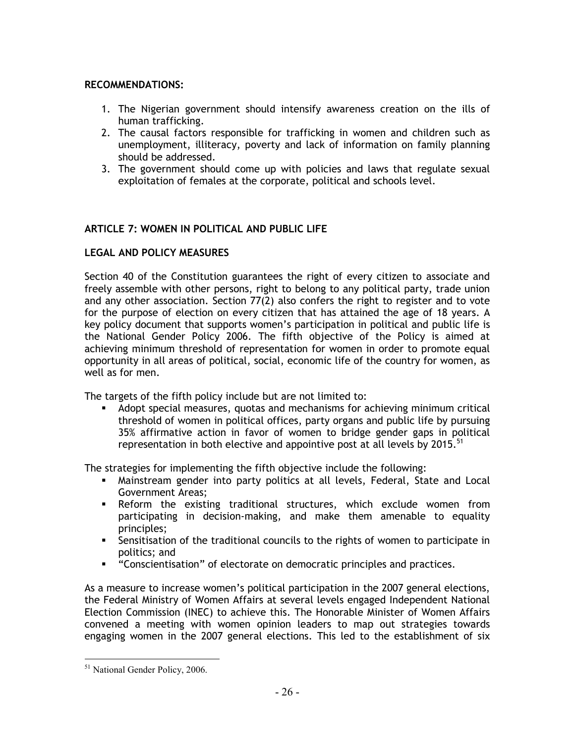## RECOMMENDATIONS:

- 1. The Nigerian government should intensify awareness creation on the ills of human trafficking.
- 2. The causal factors responsible for trafficking in women and children such as unemployment, illiteracy, poverty and lack of information on family planning should be addressed.
- 3. The government should come up with policies and laws that regulate sexual exploitation of females at the corporate, political and schools level.

# ARTICLE 7: WOMEN IN POLITICAL AND PUBLIC LIFE

# LEGAL AND POLICY MEASURES

Section 40 of the Constitution guarantees the right of every citizen to associate and freely assemble with other persons, right to belong to any political party, trade union and any other association. Section 77(2) also confers the right to register and to vote for the purpose of election on every citizen that has attained the age of 18 years. A key policy document that supports women's participation in political and public life is the National Gender Policy 2006. The fifth objective of the Policy is aimed at achieving minimum threshold of representation for women in order to promote equal opportunity in all areas of political, social, economic life of the country for women, as well as for men.

The targets of the fifth policy include but are not limited to:

- Adopt special measures, quotas and mechanisms for achieving minimum critical threshold of women in political offices, party organs and public life by pursuing 35% affirmative action in favor of women to bridge gender gaps in political representation in both elective and appointive post at all levels by 2015.<sup>51</sup>

The strategies for implementing the fifth objective include the following:

- Mainstream gender into party politics at all levels, Federal, State and Local Government Areas;
- Reform the existing traditional structures, which exclude women from participating in decision-making, and make them amenable to equality principles;
- **-** Sensitisation of the traditional councils to the rights of women to participate in politics; and
- "Conscientisation" of electorate on democratic principles and practices.

As a measure to increase women's political participation in the 2007 general elections, the Federal Ministry of Women Affairs at several levels engaged Independent National Election Commission (INEC) to achieve this. The Honorable Minister of Women Affairs convened a meeting with women opinion leaders to map out strategies towards engaging women in the 2007 general elections. This led to the establishment of six

<sup>&</sup>lt;sup>51</sup> National Gender Policy, 2006.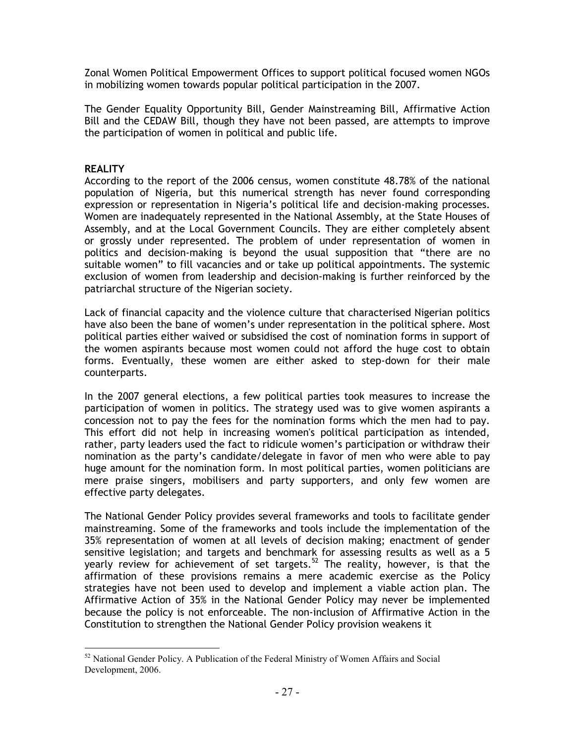Zonal Women Political Empowerment Offices to support political focused women NGOs in mobilizing women towards popular political participation in the 2007.

The Gender Equality Opportunity Bill, Gender Mainstreaming Bill, Affirmative Action Bill and the CEDAW Bill, though they have not been passed, are attempts to improve the participation of women in political and public life.

## **REALITY**

According to the report of the 2006 census, women constitute 48.78% of the national population of Nigeria, but this numerical strength has never found corresponding expression or representation in Nigeria's political life and decision-making processes. Women are inadequately represented in the National Assembly, at the State Houses of Assembly, and at the Local Government Councils. They are either completely absent or grossly under represented. The problem of under representation of women in politics and decision-making is beyond the usual supposition that "there are no suitable women" to fill vacancies and or take up political appointments. The systemic exclusion of women from leadership and decision-making is further reinforced by the patriarchal structure of the Nigerian society.

Lack of financial capacity and the violence culture that characterised Nigerian politics have also been the bane of women's under representation in the political sphere. Most political parties either waived or subsidised the cost of nomination forms in support of the women aspirants because most women could not afford the huge cost to obtain forms. Eventually, these women are either asked to step-down for their male counterparts.

In the 2007 general elections, a few political parties took measures to increase the participation of women in politics. The strategy used was to give women aspirants a concession not to pay the fees for the nomination forms which the men had to pay. This effort did not help in increasing women's political participation as intended, rather, party leaders used the fact to ridicule women's participation or withdraw their nomination as the party's candidate/delegate in favor of men who were able to pay huge amount for the nomination form. In most political parties, women politicians are mere praise singers, mobilisers and party supporters, and only few women are effective party delegates.

The National Gender Policy provides several frameworks and tools to facilitate gender mainstreaming. Some of the frameworks and tools include the implementation of the 35% representation of women at all levels of decision making; enactment of gender sensitive legislation; and targets and benchmark for assessing results as well as a 5 yearly review for achievement of set targets.<sup>52</sup> The reality, however, is that the affirmation of these provisions remains a mere academic exercise as the Policy strategies have not been used to develop and implement a viable action plan. The Affirmative Action of 35% in the National Gender Policy may never be implemented because the policy is not enforceable. The non-inclusion of Affirmative Action in the Constitution to strengthen the National Gender Policy provision weakens it

l  $52$  National Gender Policy. A Publication of the Federal Ministry of Women Affairs and Social Development, 2006.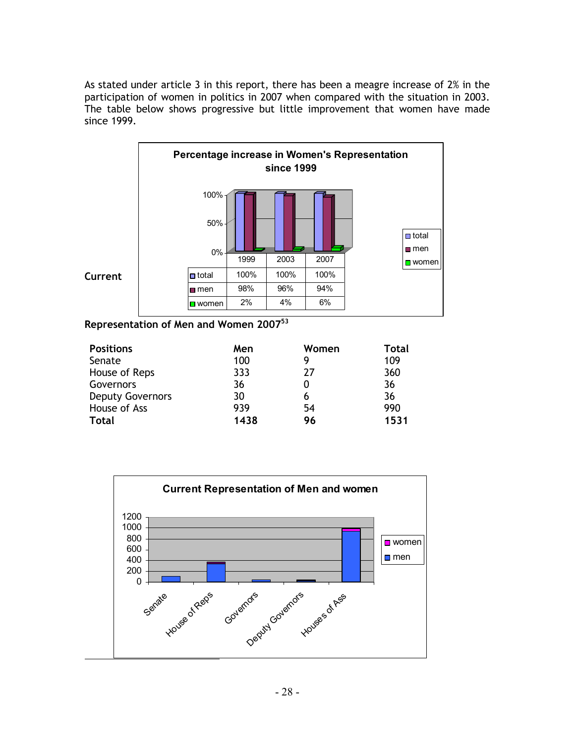As stated under article 3 in this report, there has been a meagre increase of 2% in the participation of women in politics in 2007 when compared with the situation in 2003. The table below shows progressive but little improvement that women have made since 1999.



Representation of Men and Women  $2007^{53}$ 

| <b>Positions</b>        | Men  | Women | Total |
|-------------------------|------|-------|-------|
| Senate                  | 100  | 9     | 109   |
| House of Reps           | 333  | 27    | 360   |
| Governors               | 36   |       | 36    |
| <b>Deputy Governors</b> | 30   | 6     | 36    |
| House of Ass            | 939  | 54    | 990   |
| <b>Total</b>            | 1438 | 96    | 1531  |

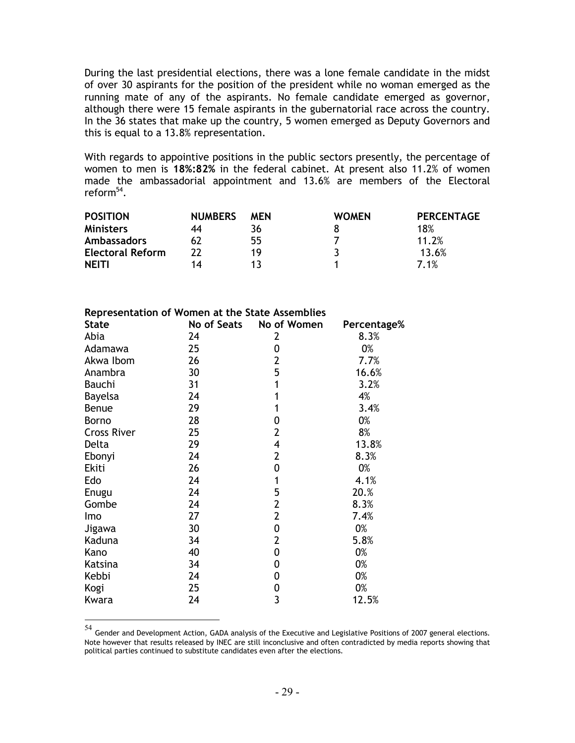During the last presidential elections, there was a lone female candidate in the midst of over 30 aspirants for the position of the president while no woman emerged as the running mate of any of the aspirants. No female candidate emerged as governor, although there were 15 female aspirants in the gubernatorial race across the country. In the 36 states that make up the country, 5 women emerged as Deputy Governors and this is equal to a 13.8% representation.

With regards to appointive positions in the public sectors presently, the percentage of women to men is 18%:82% in the federal cabinet. At present also 11.2% of women made the ambassadorial appointment and 13.6% are members of the Electoral reform $^{54}$ .

| <b>POSITION</b>         | <b>NUMBERS</b> | MEN | <b>WOMEN</b> | <b>PERCENTAGE</b> |
|-------------------------|----------------|-----|--------------|-------------------|
| <b>Ministers</b>        | 44             | 36  |              | 18%               |
| <b>Ambassadors</b>      |                | 55  |              | 11.2%             |
| <b>Electoral Reform</b> | າາ             | 19  |              | 13.6%             |
| <b>NEITI</b>            | 14             |     |              | 7.1%              |

| <b>State</b>       | Representation of Women at the State Assemblies<br>No of Seats | No of Women    |             |
|--------------------|----------------------------------------------------------------|----------------|-------------|
|                    |                                                                |                | Percentage% |
| Abia               | 24                                                             | 2              | 8.3%        |
| Adamawa            | 25                                                             | 0              | 0%          |
| Akwa Ibom          | 26                                                             | $\overline{2}$ | 7.7%        |
| Anambra            | 30                                                             | 5              | 16.6%       |
| <b>Bauchi</b>      | 31                                                             | 1              | 3.2%        |
| <b>Bayelsa</b>     | 24                                                             | 1              | 4%          |
| Benue              | 29                                                             | 1              | 3.4%        |
| Borno              | 28                                                             | 0              | 0%          |
| <b>Cross River</b> | 25                                                             | $\overline{2}$ | 8%          |
| Delta              | 29                                                             | 4              | 13.8%       |
| Ebonyi             | 24                                                             | $\overline{2}$ | 8.3%        |
| Ekiti              | 26                                                             | 0              | 0%          |
| Edo                | 24                                                             | 1              | 4.1%        |
| Enugu              | 24                                                             | 5              | 20.%        |
| Gombe              | 24                                                             | $\overline{2}$ | 8.3%        |
| Imo                | 27                                                             | $\overline{2}$ | 7.4%        |
| Jigawa             | 30                                                             | 0              | 0%          |
| Kaduna             | 34                                                             | $\overline{2}$ | 5.8%        |
| Kano               | 40                                                             | 0              | 0%          |
| Katsina            | 34                                                             | 0              | 0%          |
| Kebbi              | 24                                                             | 0              | 0%          |
| Kogi               | 25                                                             | 0              | 0%          |

Kwara 24 3 12.5%

 $^{54}$  Gender and Development Action, GADA analysis of the Executive and Legislative Positions of 2007 general elections. Note however that results released by INEC are still inconclusive and often contradicted by media reports showing that political parties continued to substitute candidates even after the elections.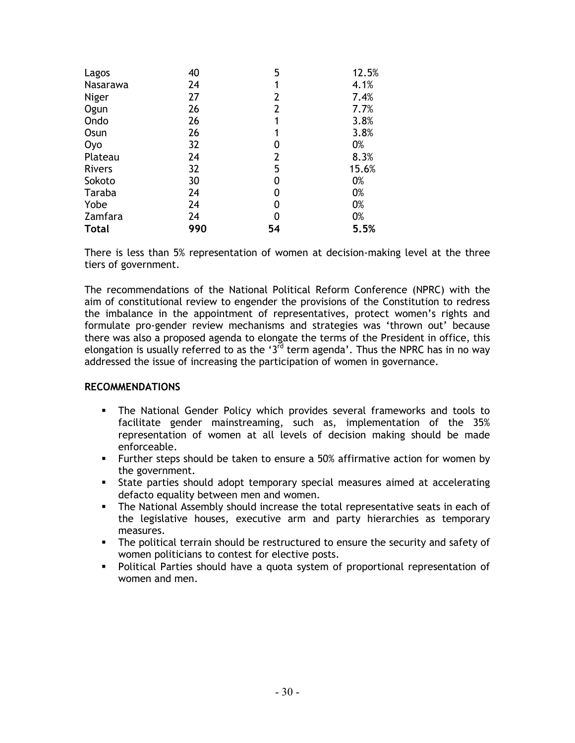| Lagos         | 40  | 5              | 12.5% |
|---------------|-----|----------------|-------|
| Nasarawa      | 24  | 1              | 4.1%  |
| Niger         | 27  | $\overline{2}$ | 7.4%  |
| Ogun          | 26  | $\overline{2}$ | 7.7%  |
| Ondo          | 26  | 1              | 3.8%  |
| Osun          | 26  | 1              | 3.8%  |
| <b>Oyo</b>    | 32  | 0              | 0%    |
| Plateau       | 24  | $\overline{2}$ | 8.3%  |
| <b>Rivers</b> | 32  | 5              | 15.6% |
| Sokoto        | 30  | 0              | 0%    |
| Taraba        | 24  | 0              | 0%    |
| Yobe          | 24  | 0              | 0%    |
| Zamfara       | 24  | 0              | 0%    |
| <b>Total</b>  | 990 | 54             | 5.5%  |

There is less than 5% representation of women at decision-making level at the three tiers of government.

The recommendations of the National Political Reform Conference (NPRC) with the aim of constitutional review to engender the provisions of the Constitution to redress the imbalance in the appointment of representatives, protect women's rights and formulate pro-gender review mechanisms and strategies was 'thrown out' because there was also a proposed agenda to elongate the terms of the President in office, this elongation is usually referred to as the '3 $\overline{d}$  term agenda'. Thus the NPRC has in no way addressed the issue of increasing the participation of women in governance.

#### RECOMMENDATIONS

- **The National Gender Policy which provides several frameworks and tools to** facilitate gender mainstreaming, such as, implementation of the 35% representation of women at all levels of decision making should be made enforceable.
- Further steps should be taken to ensure a 50% affirmative action for women by the government.
- State parties should adopt temporary special measures aimed at accelerating defacto equality between men and women.
- The National Assembly should increase the total representative seats in each of the legislative houses, executive arm and party hierarchies as temporary measures.
- The political terrain should be restructured to ensure the security and safety of women politicians to contest for elective posts.
- Political Parties should have a quota system of proportional representation of women and men.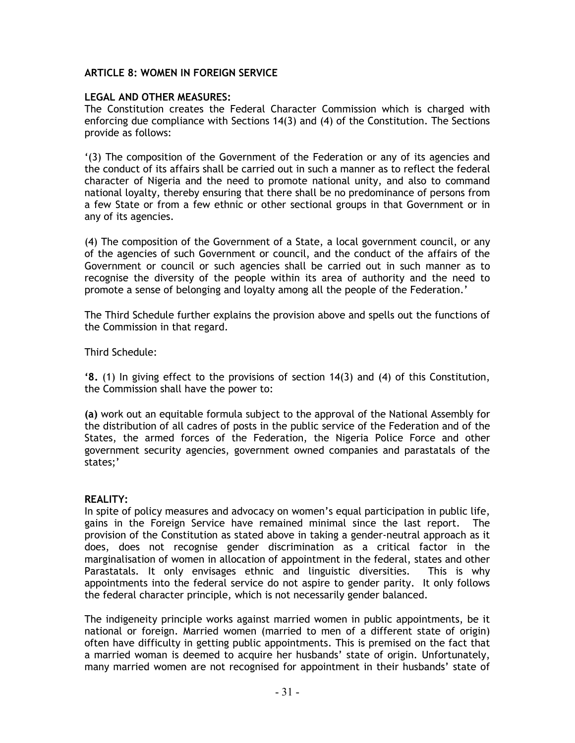## ARTICLE 8: WOMEN IN FOREIGN SERVICE

## LEGAL AND OTHER MEASURES:

The Constitution creates the Federal Character Commission which is charged with enforcing due compliance with Sections 14(3) and (4) of the Constitution. The Sections provide as follows:

'(3) The composition of the Government of the Federation or any of its agencies and the conduct of its affairs shall be carried out in such a manner as to reflect the federal character of Nigeria and the need to promote national unity, and also to command national loyalty, thereby ensuring that there shall be no predominance of persons from a few State or from a few ethnic or other sectional groups in that Government or in any of its agencies.

(4) The composition of the Government of a State, a local government council, or any of the agencies of such Government or council, and the conduct of the affairs of the Government or council or such agencies shall be carried out in such manner as to recognise the diversity of the people within its area of authority and the need to promote a sense of belonging and loyalty among all the people of the Federation.'

The Third Schedule further explains the provision above and spells out the functions of the Commission in that regard.

Third Schedule:

'8. (1) In giving effect to the provisions of section 14(3) and (4) of this Constitution, the Commission shall have the power to:

(a) work out an equitable formula subject to the approval of the National Assembly for the distribution of all cadres of posts in the public service of the Federation and of the States, the armed forces of the Federation, the Nigeria Police Force and other government security agencies, government owned companies and parastatals of the states;'

## REALITY:

In spite of policy measures and advocacy on women's equal participation in public life, gains in the Foreign Service have remained minimal since the last report. The provision of the Constitution as stated above in taking a gender-neutral approach as it does, does not recognise gender discrimination as a critical factor in the marginalisation of women in allocation of appointment in the federal, states and other Parastatals. It only envisages ethnic and linguistic diversities. This is why appointments into the federal service do not aspire to gender parity. It only follows the federal character principle, which is not necessarily gender balanced.

The indigeneity principle works against married women in public appointments, be it national or foreign. Married women (married to men of a different state of origin) often have difficulty in getting public appointments. This is premised on the fact that a married woman is deemed to acquire her husbands' state of origin. Unfortunately, many married women are not recognised for appointment in their husbands' state of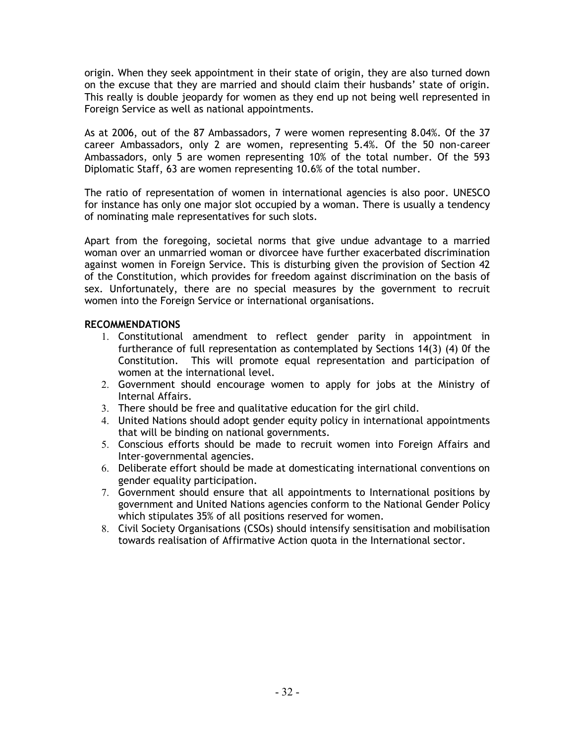origin. When they seek appointment in their state of origin, they are also turned down on the excuse that they are married and should claim their husbands' state of origin. This really is double jeopardy for women as they end up not being well represented in Foreign Service as well as national appointments.

As at 2006, out of the 87 Ambassadors, 7 were women representing 8.04%. Of the 37 career Ambassadors, only 2 are women, representing 5.4%. Of the 50 non-career Ambassadors, only 5 are women representing 10% of the total number. Of the 593 Diplomatic Staff, 63 are women representing 10.6% of the total number.

The ratio of representation of women in international agencies is also poor. UNESCO for instance has only one major slot occupied by a woman. There is usually a tendency of nominating male representatives for such slots.

Apart from the foregoing, societal norms that give undue advantage to a married woman over an unmarried woman or divorcee have further exacerbated discrimination against women in Foreign Service. This is disturbing given the provision of Section 42 of the Constitution, which provides for freedom against discrimination on the basis of sex. Unfortunately, there are no special measures by the government to recruit women into the Foreign Service or international organisations.

## RECOMMENDATIONS

- 1. Constitutional amendment to reflect gender parity in appointment in furtherance of full representation as contemplated by Sections 14(3) (4) 0f the Constitution. This will promote equal representation and participation of women at the international level.
- 2. Government should encourage women to apply for jobs at the Ministry of Internal Affairs.
- 3. There should be free and qualitative education for the girl child.
- 4. United Nations should adopt gender equity policy in international appointments that will be binding on national governments.
- 5. Conscious efforts should be made to recruit women into Foreign Affairs and Inter-governmental agencies.
- 6. Deliberate effort should be made at domesticating international conventions on gender equality participation.
- 7. Government should ensure that all appointments to International positions by government and United Nations agencies conform to the National Gender Policy which stipulates 35% of all positions reserved for women.
- 8. Civil Society Organisations (CSOs) should intensify sensitisation and mobilisation towards realisation of Affirmative Action quota in the International sector.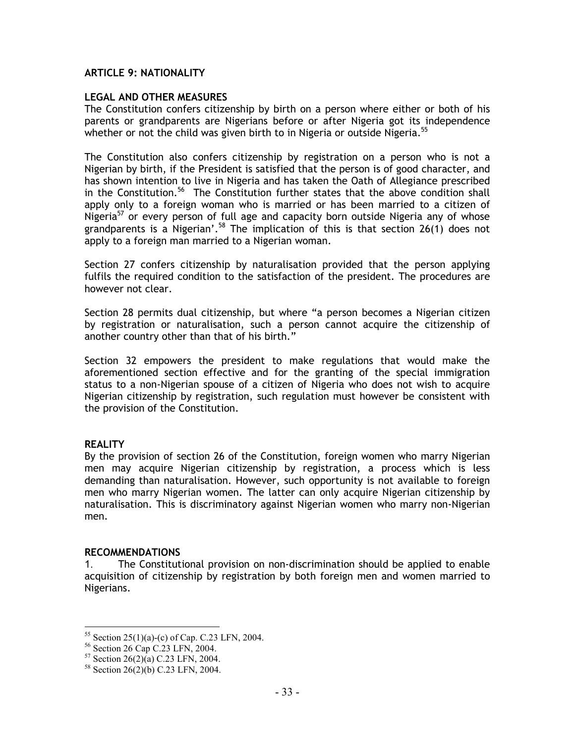### ARTICLE 9: NATIONALITY

### LEGAL AND OTHER MEASURES

The Constitution confers citizenship by birth on a person where either or both of his parents or grandparents are Nigerians before or after Nigeria got its independence whether or not the child was given birth to in Nigeria or outside Nigeria.<sup>55</sup>

The Constitution also confers citizenship by registration on a person who is not a Nigerian by birth, if the President is satisfied that the person is of good character, and has shown intention to live in Nigeria and has taken the Oath of Allegiance prescribed in the Constitution.<sup>56</sup> The Constitution further states that the above condition shall apply only to a foreign woman who is married or has been married to a citizen of Nigeria<sup>57</sup> or every person of full age and capacity born outside Nigeria any of whose grandparents is a Nigerian'.<sup>58</sup> The implication of this is that section 26(1) does not apply to a foreign man married to a Nigerian woman.

Section 27 confers citizenship by naturalisation provided that the person applying fulfils the required condition to the satisfaction of the president. The procedures are however not clear.

Section 28 permits dual citizenship, but where "a person becomes a Nigerian citizen by registration or naturalisation, such a person cannot acquire the citizenship of another country other than that of his birth."

Section 32 empowers the president to make regulations that would make the aforementioned section effective and for the granting of the special immigration status to a non-Nigerian spouse of a citizen of Nigeria who does not wish to acquire Nigerian citizenship by registration, such regulation must however be consistent with the provision of the Constitution.

### **REALITY**

 $\overline{a}$ 

By the provision of section 26 of the Constitution, foreign women who marry Nigerian men may acquire Nigerian citizenship by registration, a process which is less demanding than naturalisation. However, such opportunity is not available to foreign men who marry Nigerian women. The latter can only acquire Nigerian citizenship by naturalisation. This is discriminatory against Nigerian women who marry non-Nigerian men.

#### RECOMMENDATIONS

1. The Constitutional provision on non-discrimination should be applied to enable acquisition of citizenship by registration by both foreign men and women married to Nigerians.

<sup>55</sup> Section 25(1)(a)-(c) of Cap. C.23 LFN, 2004.

<sup>&</sup>lt;sup>56</sup> Section 26 Cap C.23 LFN, 2004.

 $57$  Section 26(2)(a) C.23 LFN, 2004.

<sup>58</sup> Section 26(2)(b) C.23 LFN, 2004.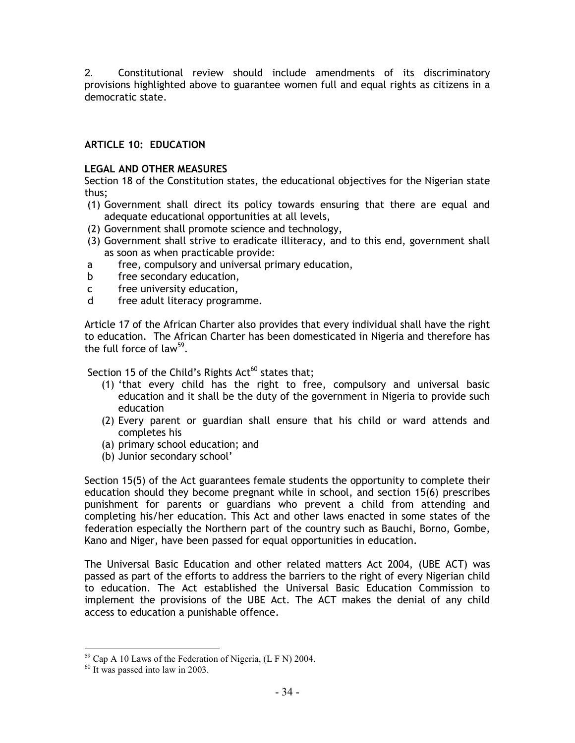2. Constitutional review should include amendments of its discriminatory provisions highlighted above to guarantee women full and equal rights as citizens in a democratic state.

# ARTICLE 10: EDUCATION

## LEGAL AND OTHER MEASURES

Section 18 of the Constitution states, the educational objectives for the Nigerian state thus;

- (1) Government shall direct its policy towards ensuring that there are equal and adequate educational opportunities at all levels,
- (2) Government shall promote science and technology,
- (3) Government shall strive to eradicate illiteracy, and to this end, government shall as soon as when practicable provide:
- a free, compulsory and universal primary education,
- b free secondary education,
- c free university education,
- d free adult literacy programme.

Article 17 of the African Charter also provides that every individual shall have the right to education. The African Charter has been domesticated in Nigeria and therefore has the full force of law<sup>59</sup>.

Section 15 of the Child's Rights  $Act^{60}$  states that;

- (1) 'that every child has the right to free, compulsory and universal basic education and it shall be the duty of the government in Nigeria to provide such education
- (2) Every parent or guardian shall ensure that his child or ward attends and completes his
- (a) primary school education; and
- (b) Junior secondary school'

Section 15(5) of the Act guarantees female students the opportunity to complete their education should they become pregnant while in school, and section 15(6) prescribes punishment for parents or guardians who prevent a child from attending and completing his/her education. This Act and other laws enacted in some states of the federation especially the Northern part of the country such as Bauchi, Borno, Gombe, Kano and Niger, have been passed for equal opportunities in education.

The Universal Basic Education and other related matters Act 2004, (UBE ACT) was passed as part of the efforts to address the barriers to the right of every Nigerian child to education. The Act established the Universal Basic Education Commission to implement the provisions of the UBE Act. The ACT makes the denial of any child access to education a punishable offence.

l  $^{59}$  Cap A 10 Laws of the Federation of Nigeria, (L F N) 2004.

 $60$  It was passed into law in 2003.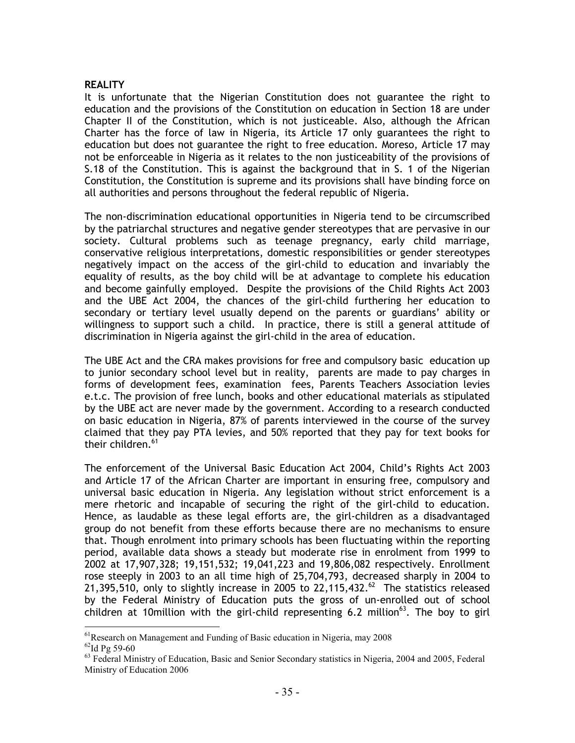### **REALITY**

It is unfortunate that the Nigerian Constitution does not guarantee the right to education and the provisions of the Constitution on education in Section 18 are under Chapter II of the Constitution, which is not justiceable. Also, although the African Charter has the force of law in Nigeria, its Article 17 only guarantees the right to education but does not guarantee the right to free education. Moreso, Article 17 may not be enforceable in Nigeria as it relates to the non justiceability of the provisions of S.18 of the Constitution. This is against the background that in S. 1 of the Nigerian Constitution, the Constitution is supreme and its provisions shall have binding force on all authorities and persons throughout the federal republic of Nigeria.

The non-discrimination educational opportunities in Nigeria tend to be circumscribed by the patriarchal structures and negative gender stereotypes that are pervasive in our society. Cultural problems such as teenage pregnancy, early child marriage, conservative religious interpretations, domestic responsibilities or gender stereotypes negatively impact on the access of the girl-child to education and invariably the equality of results, as the boy child will be at advantage to complete his education and become gainfully employed. Despite the provisions of the Child Rights Act 2003 and the UBE Act 2004, the chances of the girl-child furthering her education to secondary or tertiary level usually depend on the parents or guardians' ability or willingness to support such a child. In practice, there is still a general attitude of discrimination in Nigeria against the girl-child in the area of education.

The UBE Act and the CRA makes provisions for free and compulsory basic education up to junior secondary school level but in reality, parents are made to pay charges in forms of development fees, examination fees, Parents Teachers Association levies e.t.c. The provision of free lunch, books and other educational materials as stipulated by the UBE act are never made by the government. According to a research conducted on basic education in Nigeria, 87% of parents interviewed in the course of the survey claimed that they pay PTA levies, and 50% reported that they pay for text books for their children.<sup>61</sup>

The enforcement of the Universal Basic Education Act 2004, Child's Rights Act 2003 and Article 17 of the African Charter are important in ensuring free, compulsory and universal basic education in Nigeria. Any legislation without strict enforcement is a mere rhetoric and incapable of securing the right of the girl-child to education. Hence, as laudable as these legal efforts are, the girl-children as a disadvantaged group do not benefit from these efforts because there are no mechanisms to ensure that. Though enrolment into primary schools has been fluctuating within the reporting period, available data shows a steady but moderate rise in enrolment from 1999 to 2002 at 17,907,328; 19,151,532; 19,041,223 and 19,806,082 respectively. Enrollment rose steeply in 2003 to an all time high of 25,704,793, decreased sharply in 2004 to 21,395,510, only to slightly increase in 2005 to 22,115,432. $^{62}$  The statistics released by the Federal Ministry of Education puts the gross of un-enrolled out of school children at 10million with the girl-child representing 6.2 million<sup>63</sup>. The boy to girl

 $\overline{a}$  $<sup>61</sup>$ Research on Management and Funding of Basic education in Nigeria, may 2008</sup>

 $62$ Id Pg 59-60

<sup>&</sup>lt;sup>63</sup> Federal Ministry of Education, Basic and Senior Secondary statistics in Nigeria, 2004 and 2005, Federal Ministry of Education 2006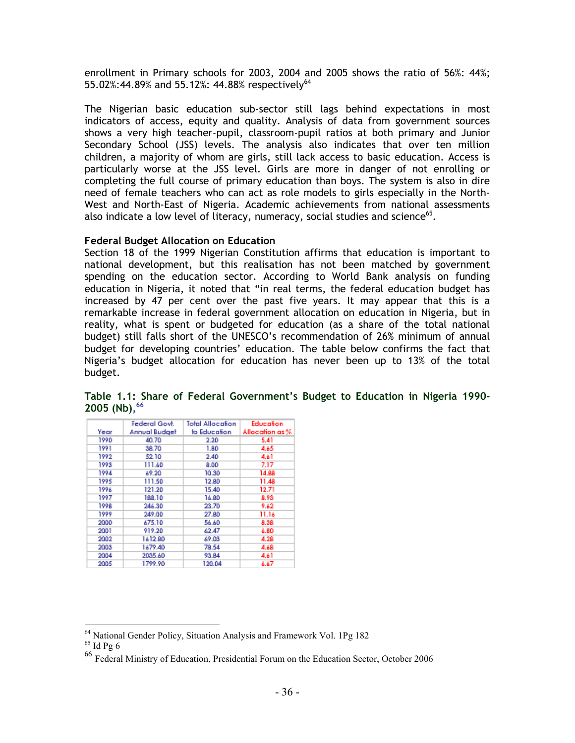enrollment in Primary schools for 2003, 2004 and 2005 shows the ratio of 56%: 44%; 55.02%:44.89% and 55.12%: 44.88% respectively<sup>64</sup>

The Nigerian basic education sub-sector still lags behind expectations in most indicators of access, equity and quality. Analysis of data from government sources shows a very high teacher-pupil, classroom-pupil ratios at both primary and Junior Secondary School (JSS) levels. The analysis also indicates that over ten million children, a majority of whom are girls, still lack access to basic education. Access is particularly worse at the JSS level. Girls are more in danger of not enrolling or completing the full course of primary education than boys. The system is also in dire need of female teachers who can act as role models to girls especially in the North-West and North-East of Nigeria. Academic achievements from national assessments also indicate a low level of literacy, numeracy, social studies and science $^{65}$ .

#### Federal Budget Allocation on Education

Section 18 of the 1999 Nigerian Constitution affirms that education is important to national development, but this realisation has not been matched by government spending on the education sector. According to World Bank analysis on funding education in Nigeria, it noted that "in real terms, the federal education budget has increased by 47 per cent over the past five years. It may appear that this is a remarkable increase in federal government allocation on education in Nigeria, but in reality, what is spent or budgeted for education (as a share of the total national budget) still falls short of the UNESCO's recommendation of 26% minimum of annual budget for developing countries' education. The table below confirms the fact that Nigeria's budget allocation for education has never been up to 13% of the total budget.

|      | Federal Govt. | Total Allacation | Education       |
|------|---------------|------------------|-----------------|
| Year | Annual Budget | to Education     | Allocation as % |
| 1990 | 40.70         | 2.20             | 5.41            |
| 1991 | 38.70         | 1.80             | 4.65            |
| 1992 | 52.10         | 2.40             | 4.61            |
| 1993 | 111.60        | 8.00             | 7.17            |
| 1994 | 69.20         | 10.30            | 14.88           |
| 1995 | 111.50        | 12.80            | 11.48           |
| 1996 | 121.20        | 15.40            | 12.71           |
| 1997 | 188.10        | 16.80            | 8.93            |
| 1998 | 246.30        | 23.70            | 9.62            |
| 1999 | 249.00        | 27.80            | 11.16           |
| 2000 | 675.10        | 56.60            | 8.38            |
| 2001 | 919.20        | 62.47            | 6.80            |
| 2002 | 1612.80       | 69.03            | 4.28            |
| 2003 | 1679.40       | 78.54            | 4.68            |
| 2004 | 2035.60       | 93.84            | 4.61            |
| 2005 | 1799.90       | 120.04           | 6.67            |

Table 1.1: Share of Federal Government's Budget to Education in Nigeria 1990- 2005 (Nb), 66

<sup>&</sup>lt;sup>64</sup> National Gender Policy, Situation Analysis and Framework Vol. 1Pg 182

 $^{65}$  Id Pg  $6\,$ 

<sup>66</sup> Federal Ministry of Education, Presidential Forum on the Education Sector, October 2006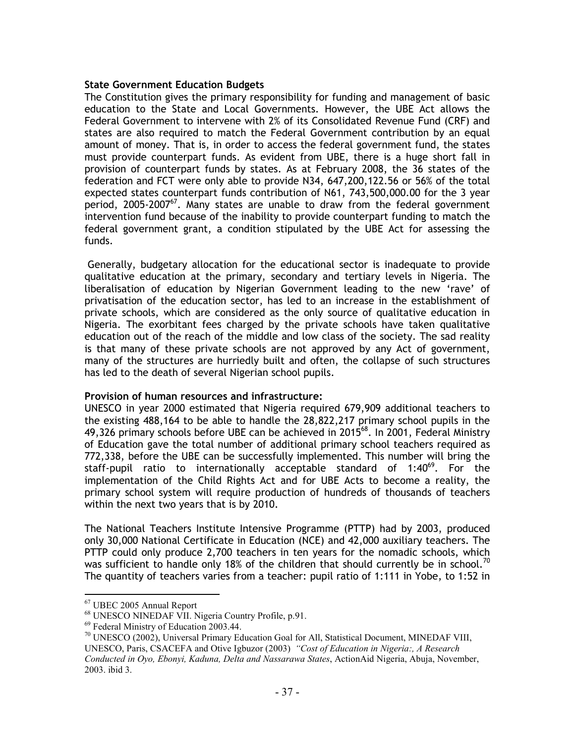### State Government Education Budgets

The Constitution gives the primary responsibility for funding and management of basic education to the State and Local Governments. However, the UBE Act allows the Federal Government to intervene with 2% of its Consolidated Revenue Fund (CRF) and states are also required to match the Federal Government contribution by an equal amount of money. That is, in order to access the federal government fund, the states must provide counterpart funds. As evident from UBE, there is a huge short fall in provision of counterpart funds by states. As at February 2008, the 36 states of the federation and FCT were only able to provide N34, 647,200,122.56 or 56% of the total expected states counterpart funds contribution of N61, 743,500,000.00 for the 3 year period, 2005-2007 $^{67}$ . Many states are unable to draw from the federal government intervention fund because of the inability to provide counterpart funding to match the federal government grant, a condition stipulated by the UBE Act for assessing the funds.

 Generally, budgetary allocation for the educational sector is inadequate to provide qualitative education at the primary, secondary and tertiary levels in Nigeria. The liberalisation of education by Nigerian Government leading to the new 'rave' of privatisation of the education sector, has led to an increase in the establishment of private schools, which are considered as the only source of qualitative education in Nigeria. The exorbitant fees charged by the private schools have taken qualitative education out of the reach of the middle and low class of the society. The sad reality is that many of these private schools are not approved by any Act of government, many of the structures are hurriedly built and often, the collapse of such structures has led to the death of several Nigerian school pupils.

#### Provision of human resources and infrastructure:

UNESCO in year 2000 estimated that Nigeria required 679,909 additional teachers to the existing 488,164 to be able to handle the 28,822,217 primary school pupils in the 49,326 primary schools before UBE can be achieved in 2015 $^{68}$ . In 2001, Federal Ministry of Education gave the total number of additional primary school teachers required as 772,338, before the UBE can be successfully implemented. This number will bring the staff-pupil ratio to internationally acceptable standard of  $1:40^{69}$ . For the implementation of the Child Rights Act and for UBE Acts to become a reality, the primary school system will require production of hundreds of thousands of teachers within the next two years that is by 2010.

The National Teachers Institute Intensive Programme (PTTP) had by 2003, produced only 30,000 National Certificate in Education (NCE) and 42,000 auxiliary teachers. The PTTP could only produce 2,700 teachers in ten years for the nomadic schools, which was sufficient to handle only 18% of the children that should currently be in school.  $^{70}$ The quantity of teachers varies from a teacher: pupil ratio of 1:111 in Yobe, to 1:52 in

<sup>67</sup> UBEC 2005 Annual Report

<sup>68</sup> UNESCO NINEDAF VII. Nigeria Country Profile, p.91.

<sup>69</sup> Federal Ministry of Education 2003.44.

 $^{70}$  UNESCO (2002), Universal Primary Education Goal for All, Statistical Document, MINEDAF VIII, UNESCO, Paris, CSACEFA and Otive Igbuzor (2003) *"Cost of Education in Nigeria:, A Research* 

*Conducted in Oyo, Ebonyi, Kaduna, Delta and Nassarawa States*, ActionAid Nigeria, Abuja, November, 2003. ibid 3.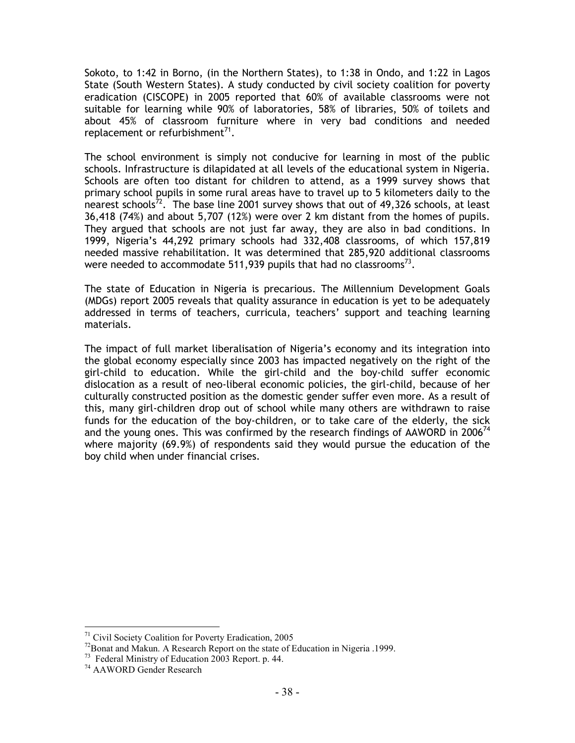Sokoto, to 1:42 in Borno, (in the Northern States), to 1:38 in Ondo, and 1:22 in Lagos State (South Western States). A study conducted by civil society coalition for poverty eradication (CISCOPE) in 2005 reported that 60% of available classrooms were not suitable for learning while 90% of laboratories, 58% of libraries, 50% of toilets and about 45% of classroom furniture where in very bad conditions and needed replacement or refurbishment $^{71}$ .

The school environment is simply not conducive for learning in most of the public schools. Infrastructure is dilapidated at all levels of the educational system in Nigeria. Schools are often too distant for children to attend, as a 1999 survey shows that primary school pupils in some rural areas have to travel up to 5 kilometers daily to the nearest schools<sup>72</sup>. The base line 2001 survey shows that out of 49,326 schools, at least 36,418 (74%) and about 5,707 (12%) were over 2 km distant from the homes of pupils. They argued that schools are not just far away, they are also in bad conditions. In 1999, Nigeria's 44,292 primary schools had 332,408 classrooms, of which 157,819 needed massive rehabilitation. It was determined that 285,920 additional classrooms were needed to accommodate 511,939 pupils that had no classrooms $^{73}$ .

The state of Education in Nigeria is precarious. The Millennium Development Goals (MDGs) report 2005 reveals that quality assurance in education is yet to be adequately addressed in terms of teachers, curricula, teachers' support and teaching learning materials.

The impact of full market liberalisation of Nigeria's economy and its integration into the global economy especially since 2003 has impacted negatively on the right of the girl-child to education. While the girl-child and the boy-child suffer economic dislocation as a result of neo-liberal economic policies, the girl-child, because of her culturally constructed position as the domestic gender suffer even more. As a result of this, many girl-children drop out of school while many others are withdrawn to raise funds for the education of the boy-children, or to take care of the elderly, the sick and the young ones. This was confirmed by the research findings of AAWORD in 2006<sup>74</sup> where majority (69.9%) of respondents said they would pursue the education of the boy child when under financial crises.

 $\overline{a}$ <sup>71</sup> Civil Society Coalition for Poverty Eradication, 2005

 $72$ Bonat and Makun. A Research Report on the state of Education in Nigeria .1999.

<sup>73</sup> Federal Ministry of Education 2003 Report. p. 44.

<sup>74</sup> AAWORD Gender Research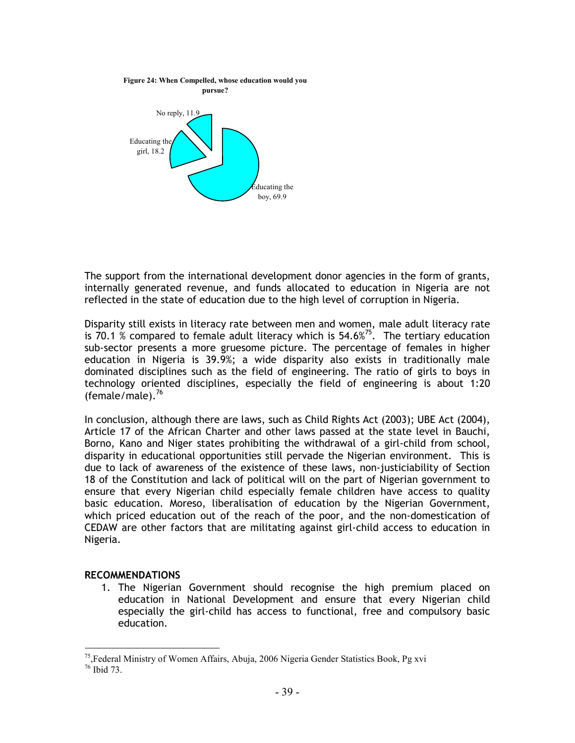

The support from the international development donor agencies in the form of grants, internally generated revenue, and funds allocated to education in Nigeria are not reflected in the state of education due to the high level of corruption in Nigeria.

Disparity still exists in literacy rate between men and women, male adult literacy rate is 70.1 % compared to female adult literacy which is  $54.6\%$ <sup>75</sup>. The tertiary education sub-sector presents a more gruesome picture. The percentage of females in higher education in Nigeria is 39.9%; a wide disparity also exists in traditionally male dominated disciplines such as the field of engineering. The ratio of girls to boys in technology oriented disciplines, especially the field of engineering is about 1:20 (female/male). $76$ 

In conclusion, although there are laws, such as Child Rights Act (2003); UBE Act (2004), Article 17 of the African Charter and other laws passed at the state level in Bauchi, Borno, Kano and Niger states prohibiting the withdrawal of a girl-child from school, disparity in educational opportunities still pervade the Nigerian environment. This is due to lack of awareness of the existence of these laws, non-justiciability of Section 18 of the Constitution and lack of political will on the part of Nigerian government to ensure that every Nigerian child especially female children have access to quality basic education. Moreso, liberalisation of education by the Nigerian Government, which priced education out of the reach of the poor, and the non-domestication of CEDAW are other factors that are militating against girl-child access to education in Nigeria.

## RECOMMENDATIONS

1. The Nigerian Government should recognise the high premium placed on education in National Development and ensure that every Nigerian child especially the girl-child has access to functional, free and compulsory basic education.

l <sup>75</sup>,Federal Ministry of Women Affairs, Abuja, 2006 Nigeria Gender Statistics Book, Pg xvi

 $76$  Ibid 73.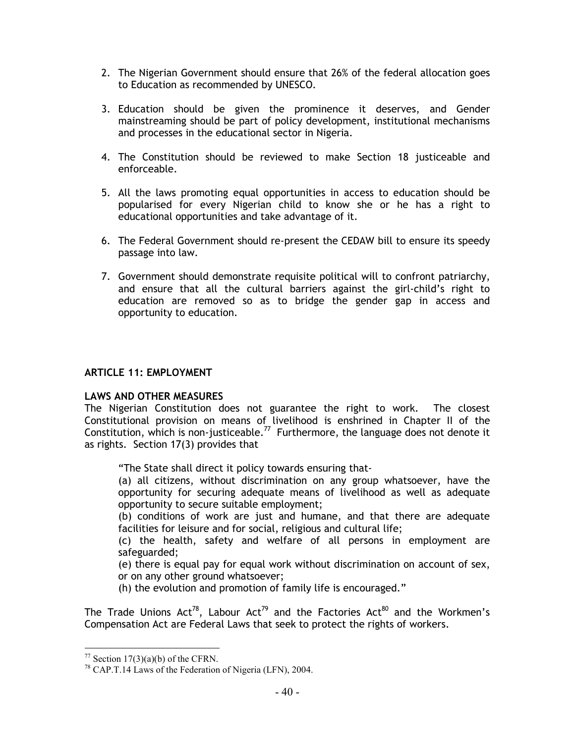- 2. The Nigerian Government should ensure that 26% of the federal allocation goes to Education as recommended by UNESCO.
- 3. Education should be given the prominence it deserves, and Gender mainstreaming should be part of policy development, institutional mechanisms and processes in the educational sector in Nigeria.
- 4. The Constitution should be reviewed to make Section 18 justiceable and enforceable.
- 5. All the laws promoting equal opportunities in access to education should be popularised for every Nigerian child to know she or he has a right to educational opportunities and take advantage of it.
- 6. The Federal Government should re-present the CEDAW bill to ensure its speedy passage into law.
- 7. Government should demonstrate requisite political will to confront patriarchy, and ensure that all the cultural barriers against the girl-child's right to education are removed so as to bridge the gender gap in access and opportunity to education.

## ARTICLE 11: EMPLOYMENT

#### LAWS AND OTHER MEASURES

The Nigerian Constitution does not guarantee the right to work. The closest Constitutional provision on means of livelihood is enshrined in Chapter II of the Constitution, which is non-justiceable.<sup>77</sup> Furthermore, the language does not denote it as rights. Section 17(3) provides that

"The State shall direct it policy towards ensuring that-

(a) all citizens, without discrimination on any group whatsoever, have the opportunity for securing adequate means of livelihood as well as adequate opportunity to secure suitable employment;

(b) conditions of work are just and humane, and that there are adequate facilities for leisure and for social, religious and cultural life;

(c) the health, safety and welfare of all persons in employment are safeguarded;

(e) there is equal pay for equal work without discrimination on account of sex, or on any other ground whatsoever;

(h) the evolution and promotion of family life is encouraged."

The Trade Unions Act<sup>78</sup>, Labour Act<sup>79</sup> and the Factories Act<sup>80</sup> and the Workmen's Compensation Act are Federal Laws that seek to protect the rights of workers.

l  $77$  Section 17(3)(a)(b) of the CFRN.

 $78$  CAP.T.14 Laws of the Federation of Nigeria (LFN), 2004.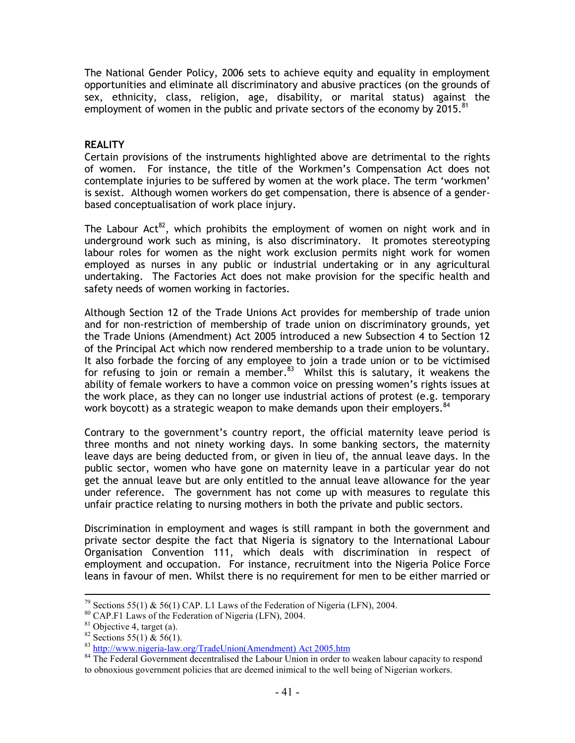The National Gender Policy, 2006 sets to achieve equity and equality in employment opportunities and eliminate all discriminatory and abusive practices (on the grounds of sex, ethnicity, class, religion, age, disability, or marital status) against the employment of women in the public and private sectors of the economy by 2015.<sup>81</sup>

### **REALITY**

Certain provisions of the instruments highlighted above are detrimental to the rights of women. For instance, the title of the Workmen's Compensation Act does not contemplate injuries to be suffered by women at the work place. The term 'workmen' is sexist. Although women workers do get compensation, there is absence of a genderbased conceptualisation of work place injury.

The Labour Act<sup>82</sup>, which prohibits the employment of women on night work and in underground work such as mining, is also discriminatory. It promotes stereotyping labour roles for women as the night work exclusion permits night work for women employed as nurses in any public or industrial undertaking or in any agricultural undertaking. The Factories Act does not make provision for the specific health and safety needs of women working in factories.

Although Section 12 of the Trade Unions Act provides for membership of trade union and for non-restriction of membership of trade union on discriminatory grounds, yet the Trade Unions (Amendment) Act 2005 introduced a new Subsection 4 to Section 12 of the Principal Act which now rendered membership to a trade union to be voluntary. It also forbade the forcing of any employee to join a trade union or to be victimised for refusing to join or remain a member.<sup>83</sup> Whilst this is salutary, it weakens the ability of female workers to have a common voice on pressing women's rights issues at the work place, as they can no longer use industrial actions of protest (e.g. temporary work boycott) as a strategic weapon to make demands upon their employers.<sup>84</sup>

Contrary to the government's country report, the official maternity leave period is three months and not ninety working days. In some banking sectors, the maternity leave days are being deducted from, or given in lieu of, the annual leave days. In the public sector, women who have gone on maternity leave in a particular year do not get the annual leave but are only entitled to the annual leave allowance for the year under reference. The government has not come up with measures to regulate this unfair practice relating to nursing mothers in both the private and public sectors.

Discrimination in employment and wages is still rampant in both the government and private sector despite the fact that Nigeria is signatory to the International Labour Organisation Convention 111, which deals with discrimination in respect of employment and occupation. For instance, recruitment into the Nigeria Police Force leans in favour of men. Whilst there is no requirement for men to be either married or

<sup>&</sup>lt;sup>79</sup> Sections 55(1) & 56(1) CAP. L1 Laws of the Federation of Nigeria (LFN), 2004.

<sup>80</sup> CAP.F1 Laws of the Federation of Nigeria (LFN), 2004.

 $81$  Objective 4, target (a).

<sup>&</sup>lt;sup>82</sup> Sections 55(1) & 56(1).

<sup>83</sup> http://www.nigeria-law.org/TradeUnion(Amendment) Act 2005.htm

<sup>&</sup>lt;sup>84</sup> The Federal Government decentralised the Labour Union in order to weaken labour capacity to respond to obnoxious government policies that are deemed inimical to the well being of Nigerian workers.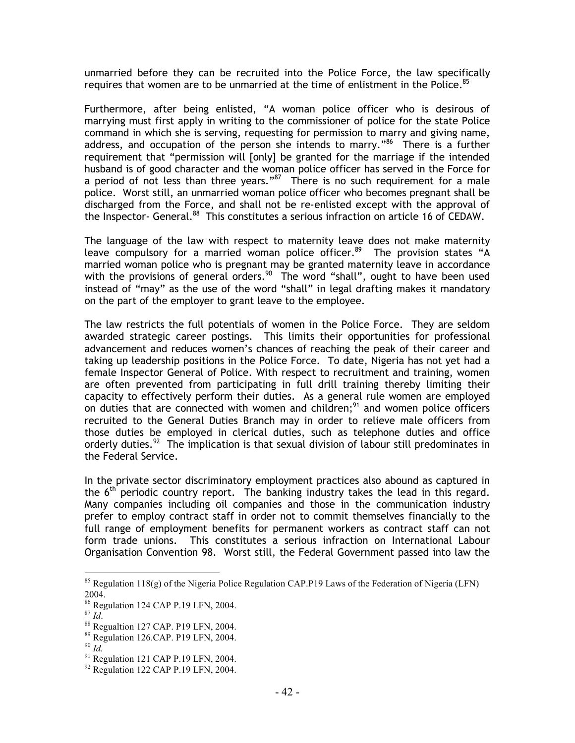unmarried before they can be recruited into the Police Force, the law specifically requires that women are to be unmarried at the time of enlistment in the Police. $85$ 

Furthermore, after being enlisted, "A woman police officer who is desirous of marrying must first apply in writing to the commissioner of police for the state Police command in which she is serving, requesting for permission to marry and giving name, address, and occupation of the person she intends to marry." $86$  There is a further requirement that "permission will [only] be granted for the marriage if the intended husband is of good character and the woman police officer has served in the Force for a period of not less than three years."<sup>87</sup> There is no such requirement for a male police. Worst still, an unmarried woman police officer who becomes pregnant shall be discharged from the Force, and shall not be re-enlisted except with the approval of the Inspector- General.<sup>88</sup> This constitutes a serious infraction on article 16 of CEDAW.

The language of the law with respect to maternity leave does not make maternity leave compulsory for a married woman police officer.<sup>89</sup> The provision states "A married woman police who is pregnant may be granted maternity leave in accordance with the provisions of general orders.<sup>90</sup> The word "shall", ought to have been used instead of "may" as the use of the word "shall" in legal drafting makes it mandatory on the part of the employer to grant leave to the employee.

The law restricts the full potentials of women in the Police Force. They are seldom awarded strategic career postings. This limits their opportunities for professional advancement and reduces women's chances of reaching the peak of their career and taking up leadership positions in the Police Force. To date, Nigeria has not yet had a female Inspector General of Police. With respect to recruitment and training, women are often prevented from participating in full drill training thereby limiting their capacity to effectively perform their duties. As a general rule women are employed on duties that are connected with women and children;<sup>91</sup> and women police officers recruited to the General Duties Branch may in order to relieve male officers from those duties be employed in clerical duties, such as telephone duties and office orderly duties.<sup>92</sup> The implication is that sexual division of labour still predominates in the Federal Service.

In the private sector discriminatory employment practices also abound as captured in the  $6<sup>th</sup>$  periodic country report. The banking industry takes the lead in this regard. Many companies including oil companies and those in the communication industry prefer to employ contract staff in order not to commit themselves financially to the full range of employment benefits for permanent workers as contract staff can not form trade unions. This constitutes a serious infraction on International Labour Organisation Convention 98. Worst still, the Federal Government passed into law the

<sup>87</sup> *Id*.

 $85$  Regulation 118(g) of the Nigeria Police Regulation CAP.P19 Laws of the Federation of Nigeria (LFN) 2004.

<sup>&</sup>lt;sup>86</sup> Regulation 124 CAP P.19 LFN, 2004.

<sup>88</sup> Regualtion 127 CAP. P19 LFN, 2004.

<sup>89</sup> Regulation 126.CAP. P19 LFN, 2004.

<sup>90</sup> *Id.*

<sup>&</sup>lt;sup>91</sup> Regulation 121 CAP P.19 LFN, 2004.

<sup>&</sup>lt;sup>92</sup> Regulation 122 CAP P.19 LFN, 2004.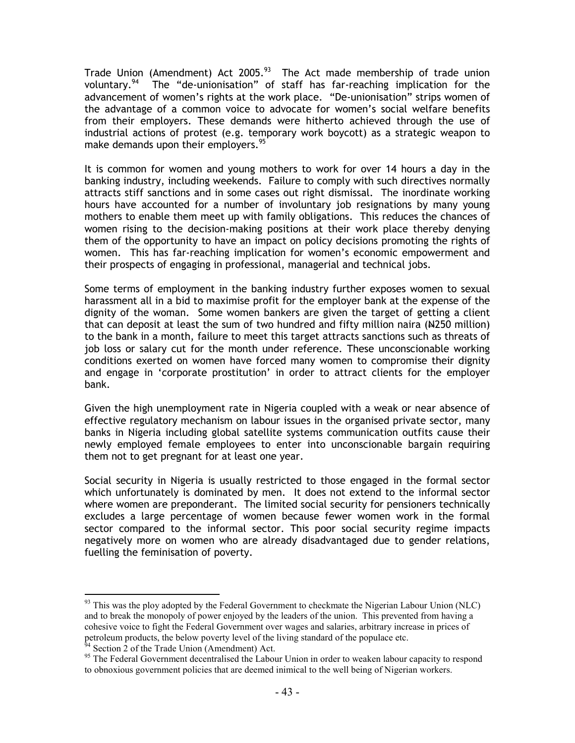Trade Union (Amendment) Act 2005.<sup>93</sup> The Act made membership of trade union voluntary.<sup>94</sup> The "de-unionisation" of staff has far-reaching implication for the advancement of women's rights at the work place. "De-unionisation" strips women of the advantage of a common voice to advocate for women's social welfare benefits from their employers. These demands were hitherto achieved through the use of industrial actions of protest (e.g. temporary work boycott) as a strategic weapon to make demands upon their employers.<sup>95</sup>

It is common for women and young mothers to work for over 14 hours a day in the banking industry, including weekends. Failure to comply with such directives normally attracts stiff sanctions and in some cases out right dismissal. The inordinate working hours have accounted for a number of involuntary job resignations by many young mothers to enable them meet up with family obligations. This reduces the chances of women rising to the decision-making positions at their work place thereby denying them of the opportunity to have an impact on policy decisions promoting the rights of women. This has far-reaching implication for women's economic empowerment and their prospects of engaging in professional, managerial and technical jobs.

Some terms of employment in the banking industry further exposes women to sexual harassment all in a bid to maximise profit for the employer bank at the expense of the dignity of the woman. Some women bankers are given the target of getting a client that can deposit at least the sum of two hundred and fifty million naira  $(N250 \text{ million})$ to the bank in a month, failure to meet this target attracts sanctions such as threats of job loss or salary cut for the month under reference. These unconscionable working conditions exerted on women have forced many women to compromise their dignity and engage in 'corporate prostitution' in order to attract clients for the employer bank.

Given the high unemployment rate in Nigeria coupled with a weak or near absence of effective regulatory mechanism on labour issues in the organised private sector, many banks in Nigeria including global satellite systems communication outfits cause their newly employed female employees to enter into unconscionable bargain requiring them not to get pregnant for at least one year.

Social security in Nigeria is usually restricted to those engaged in the formal sector which unfortunately is dominated by men. It does not extend to the informal sector where women are preponderant. The limited social security for pensioners technically excludes a large percentage of women because fewer women work in the formal sector compared to the informal sector. This poor social security regime impacts negatively more on women who are already disadvantaged due to gender relations, fuelling the feminisation of poverty.

 $93$  This was the ploy adopted by the Federal Government to checkmate the Nigerian Labour Union (NLC) and to break the monopoly of power enjoyed by the leaders of the union. This prevented from having a cohesive voice to fight the Federal Government over wages and salaries, arbitrary increase in prices of petroleum products, the below poverty level of the living standard of the populace etc.

 $94$  Section 2 of the Trade Union (Amendment) Act.

<sup>&</sup>lt;sup>95</sup> The Federal Government decentralised the Labour Union in order to weaken labour capacity to respond to obnoxious government policies that are deemed inimical to the well being of Nigerian workers.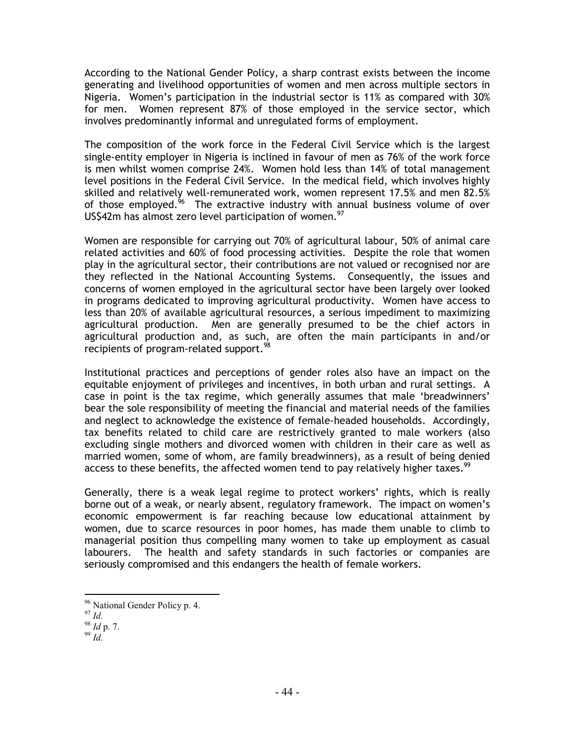According to the National Gender Policy, a sharp contrast exists between the income generating and livelihood opportunities of women and men across multiple sectors in Nigeria. Women's participation in the industrial sector is 11% as compared with 30% for men. Women represent 87% of those employed in the service sector, which involves predominantly informal and unregulated forms of employment.

The composition of the work force in the Federal Civil Service which is the largest single-entity employer in Nigeria is inclined in favour of men as 76% of the work force is men whilst women comprise 24%. Women hold less than 14% of total management level positions in the Federal Civil Service. In the medical field, which involves highly skilled and relatively well-remunerated work, women represent 17.5% and men 82.5% of those employed.<sup>96</sup> The extractive industry with annual business volume of over US\$42m has almost zero level participation of women.<sup>97</sup>

Women are responsible for carrying out 70% of agricultural labour, 50% of animal care related activities and 60% of food processing activities. Despite the role that women play in the agricultural sector, their contributions are not valued or recognised nor are they reflected in the National Accounting Systems. Consequently, the issues and concerns of women employed in the agricultural sector have been largely over looked in programs dedicated to improving agricultural productivity. Women have access to less than 20% of available agricultural resources, a serious impediment to maximizing agricultural production. Men are generally presumed to be the chief actors in agricultural production and, as such, are often the main participants in and/or recipients of program-related support.<sup>98</sup>

Institutional practices and perceptions of gender roles also have an impact on the equitable enjoyment of privileges and incentives, in both urban and rural settings. A case in point is the tax regime, which generally assumes that male 'breadwinners' bear the sole responsibility of meeting the financial and material needs of the families and neglect to acknowledge the existence of female-headed households. Accordingly, tax benefits related to child care are restrictively granted to male workers (also excluding single mothers and divorced women with children in their care as well as married women, some of whom, are family breadwinners), as a result of being denied access to these benefits, the affected women tend to pay relatively higher taxes.<sup>99</sup>

Generally, there is a weak legal regime to protect workers' rights, which is really borne out of a weak, or nearly absent, regulatory framework. The impact on women's economic empowerment is far reaching because low educational attainment by women, due to scarce resources in poor homes, has made them unable to climb to managerial position thus compelling many women to take up employment as casual labourers. The health and safety standards in such factories or companies are seriously compromised and this endangers the health of female workers.

<sup>&</sup>lt;sup>96</sup> National Gender Policy p. 4.

<sup>97</sup> *Id.* 

<sup>98</sup> *Id* p. 7.

<sup>99</sup> *Id.*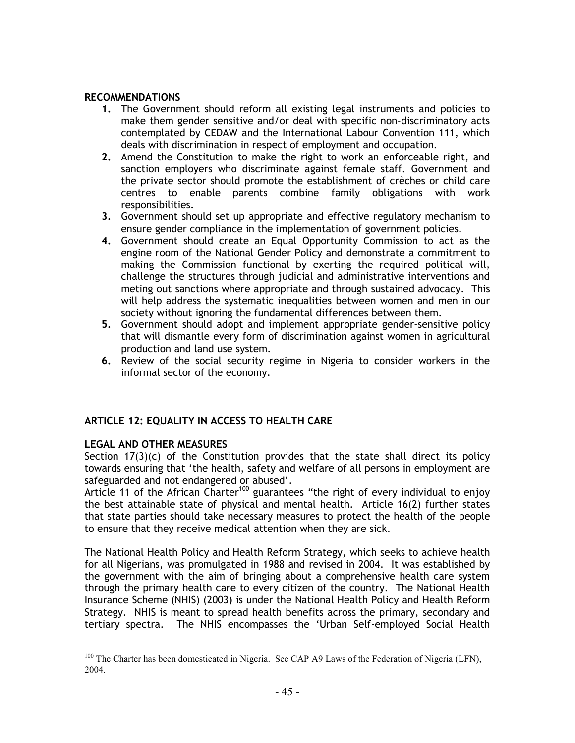## RECOMMENDATIONS

- 1. The Government should reform all existing legal instruments and policies to make them gender sensitive and/or deal with specific non-discriminatory acts contemplated by CEDAW and the International Labour Convention 111, which deals with discrimination in respect of employment and occupation.
- 2. Amend the Constitution to make the right to work an enforceable right, and sanction employers who discriminate against female staff. Government and the private sector should promote the establishment of crèches or child care centres to enable parents combine family obligations with work responsibilities.
- 3. Government should set up appropriate and effective regulatory mechanism to ensure gender compliance in the implementation of government policies.
- 4. Government should create an Equal Opportunity Commission to act as the engine room of the National Gender Policy and demonstrate a commitment to making the Commission functional by exerting the required political will, challenge the structures through judicial and administrative interventions and meting out sanctions where appropriate and through sustained advocacy. This will help address the systematic inequalities between women and men in our society without ignoring the fundamental differences between them.
- 5. Government should adopt and implement appropriate gender-sensitive policy that will dismantle every form of discrimination against women in agricultural production and land use system.
- 6. Review of the social security regime in Nigeria to consider workers in the informal sector of the economy.

# ARTICLE 12: EQUALITY IN ACCESS TO HEALTH CARE

# LEGAL AND OTHER MEASURES

Section  $17(3)(c)$  of the Constitution provides that the state shall direct its policy towards ensuring that 'the health, safety and welfare of all persons in employment are safeguarded and not endangered or abused'.

Article 11 of the African Charter<sup>100</sup> guarantees "the right of every individual to enjoy the best attainable state of physical and mental health. Article 16(2) further states that state parties should take necessary measures to protect the health of the people to ensure that they receive medical attention when they are sick.

The National Health Policy and Health Reform Strategy, which seeks to achieve health for all Nigerians, was promulgated in 1988 and revised in 2004. It was established by the government with the aim of bringing about a comprehensive health care system through the primary health care to every citizen of the country. The National Health Insurance Scheme (NHIS) (2003) is under the National Health Policy and Health Reform Strategy. NHIS is meant to spread health benefits across the primary, secondary and tertiary spectra. The NHIS encompasses the 'Urban Self-employed Social Health

l <sup>100</sup> The Charter has been domesticated in Nigeria. See CAP A9 Laws of the Federation of Nigeria (LFN), 2004.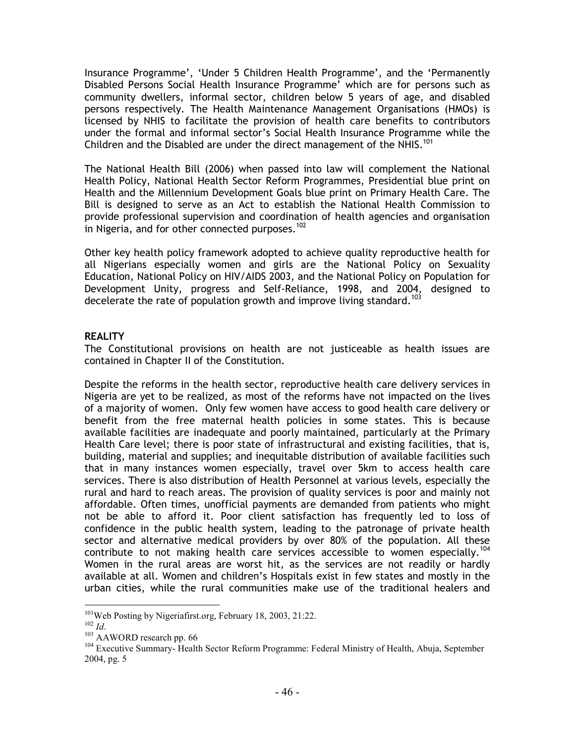Insurance Programme', 'Under 5 Children Health Programme', and the 'Permanently Disabled Persons Social Health Insurance Programme' which are for persons such as community dwellers, informal sector, children below 5 years of age, and disabled persons respectively. The Health Maintenance Management Organisations (HMOs) is licensed by NHIS to facilitate the provision of health care benefits to contributors under the formal and informal sector's Social Health Insurance Programme while the Children and the Disabled are under the direct management of the NHIS.<sup>101</sup>

The National Health Bill (2006) when passed into law will complement the National Health Policy, National Health Sector Reform Programmes, Presidential blue print on Health and the Millennium Development Goals blue print on Primary Health Care. The Bill is designed to serve as an Act to establish the National Health Commission to provide professional supervision and coordination of health agencies and organisation in Nigeria, and for other connected purposes.<sup>102</sup>

Other key health policy framework adopted to achieve quality reproductive health for all Nigerians especially women and girls are the National Policy on Sexuality Education, National Policy on HIV/AIDS 2003, and the National Policy on Population for Development Unity, progress and Self-Reliance, 1998, and 2004, designed to decelerate the rate of population growth and improve living standard.<sup>103</sup>

## **REALITY**

The Constitutional provisions on health are not justiceable as health issues are contained in Chapter II of the Constitution.

Despite the reforms in the health sector, reproductive health care delivery services in Nigeria are yet to be realized, as most of the reforms have not impacted on the lives of a majority of women. Only few women have access to good health care delivery or benefit from the free maternal health policies in some states. This is because available facilities are inadequate and poorly maintained, particularly at the Primary Health Care level; there is poor state of infrastructural and existing facilities, that is, building, material and supplies; and inequitable distribution of available facilities such that in many instances women especially, travel over 5km to access health care services. There is also distribution of Health Personnel at various levels, especially the rural and hard to reach areas. The provision of quality services is poor and mainly not affordable. Often times, unofficial payments are demanded from patients who might not be able to afford it. Poor client satisfaction has frequently led to loss of confidence in the public health system, leading to the patronage of private health sector and alternative medical providers by over 80% of the population. All these contribute to not making health care services accessible to women especially.<sup>104</sup> Women in the rural areas are worst hit, as the services are not readily or hardly available at all. Women and children's Hospitals exist in few states and mostly in the urban cities, while the rural communities make use of the traditional healers and

 $\overline{a}$ <sup>101</sup>Web Posting by Nigeriafirst.org, February 18, 2003, 21:22.

<sup>102</sup> *Id*.

<sup>&</sup>lt;sup>103</sup> AAWORD research pp. 66

<sup>&</sup>lt;sup>104</sup> Executive Summary- Health Sector Reform Programme: Federal Ministry of Health, Abuja, September 2004, pg. 5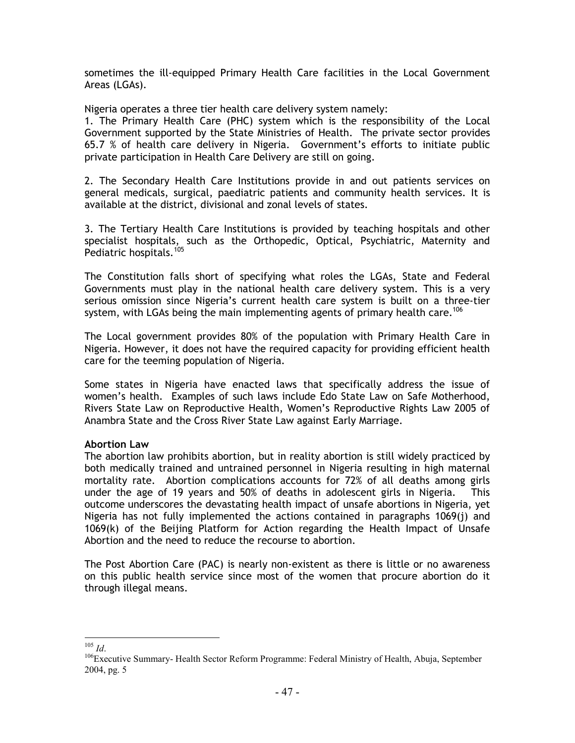sometimes the ill-equipped Primary Health Care facilities in the Local Government Areas (LGAs).

Nigeria operates a three tier health care delivery system namely:

1. The Primary Health Care (PHC) system which is the responsibility of the Local Government supported by the State Ministries of Health. The private sector provides 65.7 % of health care delivery in Nigeria. Government's efforts to initiate public private participation in Health Care Delivery are still on going.

2. The Secondary Health Care Institutions provide in and out patients services on general medicals, surgical, paediatric patients and community health services. It is available at the district, divisional and zonal levels of states.

3. The Tertiary Health Care Institutions is provided by teaching hospitals and other specialist hospitals, such as the Orthopedic, Optical, Psychiatric, Maternity and Pediatric hospitals.<sup>105</sup>

The Constitution falls short of specifying what roles the LGAs, State and Federal Governments must play in the national health care delivery system. This is a very serious omission since Nigeria's current health care system is built on a three-tier system, with LGAs being the main implementing agents of primary health care.<sup>106</sup>

The Local government provides 80% of the population with Primary Health Care in Nigeria. However, it does not have the required capacity for providing efficient health care for the teeming population of Nigeria.

Some states in Nigeria have enacted laws that specifically address the issue of women's health. Examples of such laws include Edo State Law on Safe Motherhood, Rivers State Law on Reproductive Health, Women's Reproductive Rights Law 2005 of Anambra State and the Cross River State Law against Early Marriage.

## Abortion Law

The abortion law prohibits abortion, but in reality abortion is still widely practiced by both medically trained and untrained personnel in Nigeria resulting in high maternal mortality rate. Abortion complications accounts for 72% of all deaths among girls under the age of 19 years and 50% of deaths in adolescent girls in Nigeria. This outcome underscores the devastating health impact of unsafe abortions in Nigeria, yet Nigeria has not fully implemented the actions contained in paragraphs 1069(j) and 1069(k) of the Beijing Platform for Action regarding the Health Impact of Unsafe Abortion and the need to reduce the recourse to abortion.

The Post Abortion Care (PAC) is nearly non-existent as there is little or no awareness on this public health service since most of the women that procure abortion do it through illegal means.

 $\overline{a}$ <sup>105</sup> *Id*.

<sup>&</sup>lt;sup>106</sup>Executive Summary- Health Sector Reform Programme: Federal Ministry of Health, Abuja, September 2004, pg. 5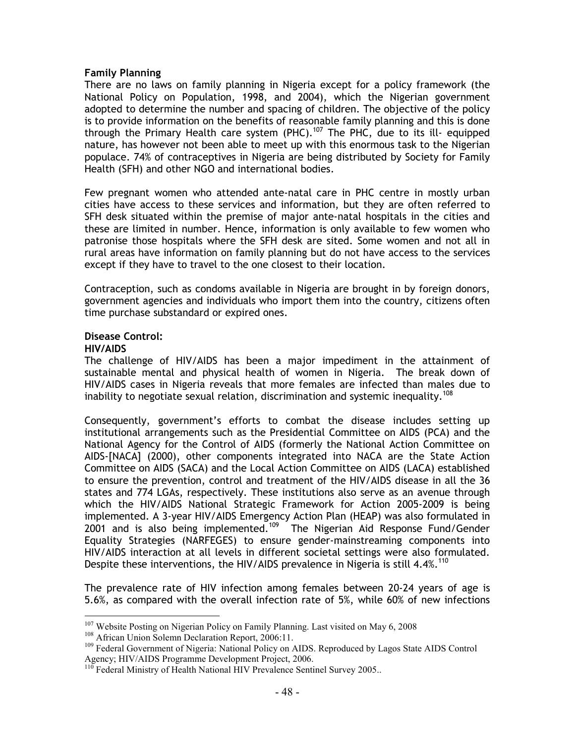### Family Planning

There are no laws on family planning in Nigeria except for a policy framework (the National Policy on Population, 1998, and 2004), which the Nigerian government adopted to determine the number and spacing of children. The objective of the policy is to provide information on the benefits of reasonable family planning and this is done through the Primary Health care system (PHC).<sup>107</sup> The PHC, due to its ill- equipped nature, has however not been able to meet up with this enormous task to the Nigerian populace. 74% of contraceptives in Nigeria are being distributed by Society for Family Health (SFH) and other NGO and international bodies.

Few pregnant women who attended ante-natal care in PHC centre in mostly urban cities have access to these services and information, but they are often referred to SFH desk situated within the premise of major ante-natal hospitals in the cities and these are limited in number. Hence, information is only available to few women who patronise those hospitals where the SFH desk are sited. Some women and not all in rural areas have information on family planning but do not have access to the services except if they have to travel to the one closest to their location.

Contraception, such as condoms available in Nigeria are brought in by foreign donors, government agencies and individuals who import them into the country, citizens often time purchase substandard or expired ones.

# Disease Control:

### HIV/AIDS

The challenge of HIV/AIDS has been a major impediment in the attainment of sustainable mental and physical health of women in Nigeria. The break down of HIV/AIDS cases in Nigeria reveals that more females are infected than males due to inability to negotiate sexual relation, discrimination and systemic inequality.<sup>108</sup>

Consequently, government's efforts to combat the disease includes setting up institutional arrangements such as the Presidential Committee on AIDS (PCA) and the National Agency for the Control of AIDS (formerly the National Action Committee on AIDS-[NACA] (2000), other components integrated into NACA are the State Action Committee on AIDS (SACA) and the Local Action Committee on AIDS (LACA) established to ensure the prevention, control and treatment of the HIV/AIDS disease in all the 36 states and 774 LGAs, respectively. These institutions also serve as an avenue through which the HIV/AIDS National Strategic Framework for Action 2005-2009 is being implemented. A 3-year HIV/AIDS Emergency Action Plan (HEAP) was also formulated in 2001 and is also being implemented.<sup>109</sup> The Nigerian Aid Response Fund/Gender Equality Strategies (NARFEGES) to ensure gender-mainstreaming components into HIV/AIDS interaction at all levels in different societal settings were also formulated. Despite these interventions, the HIV/AIDS prevalence in Nigeria is still  $4.4\%$ <sup>110</sup>

The prevalence rate of HIV infection among females between 20-24 years of age is 5.6%, as compared with the overall infection rate of 5%, while 60% of new infections

 $\overline{a}$ <sup>107</sup> Website Posting on Nigerian Policy on Family Planning. Last visited on May 6, 2008

<sup>&</sup>lt;sup>108</sup> African Union Solemn Declaration Report, 2006:11.

<sup>&</sup>lt;sup>109</sup> Federal Government of Nigeria: National Policy on AIDS. Reproduced by Lagos State AIDS Control Agency; HIV/AIDS Programme Development Project, 2006.

Federal Ministry of Health National HIV Prevalence Sentinel Survey 2005..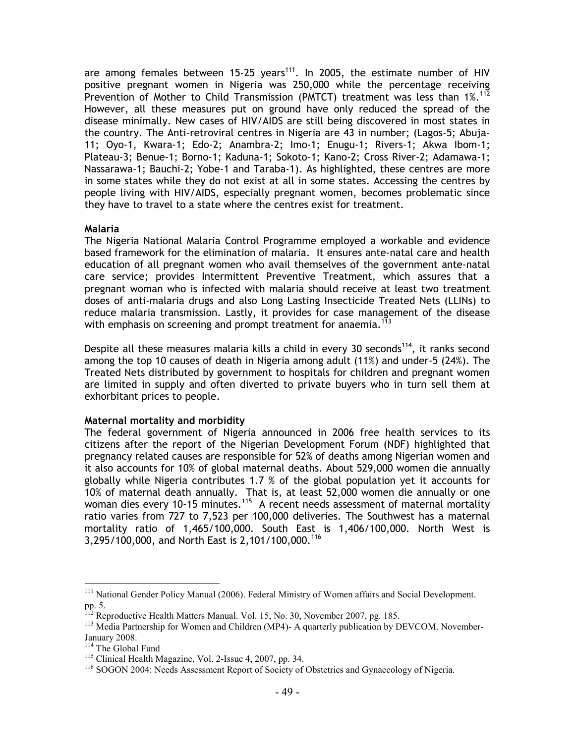are among females between 15-25 years<sup>111</sup>. In 2005, the estimate number of HIV positive pregnant women in Nigeria was 250,000 while the percentage receiving Prevention of Mother to Child Transmission (PMTCT) treatment was less than 1%.<sup>112</sup> However, all these measures put on ground have only reduced the spread of the disease minimally. New cases of HIV/AIDS are still being discovered in most states in the country. The Anti-retroviral centres in Nigeria are 43 in number; (Lagos-5; Abuja-11; Oyo-1, Kwara-1; Edo-2; Anambra-2; Imo-1; Enugu-1; Rivers-1; Akwa Ibom-1; Plateau-3; Benue-1; Borno-1; Kaduna-1; Sokoto-1; Kano-2; Cross River-2; Adamawa-1; Nassarawa-1; Bauchi-2; Yobe-1 and Taraba-1). As highlighted, these centres are more in some states while they do not exist at all in some states. Accessing the centres by people living with HIV/AIDS, especially pregnant women, becomes problematic since they have to travel to a state where the centres exist for treatment.

### Malaria

The Nigeria National Malaria Control Programme employed a workable and evidence based framework for the elimination of malaria. It ensures ante-natal care and health education of all pregnant women who avail themselves of the government ante-natal care service; provides Intermittent Preventive Treatment, which assures that a pregnant woman who is infected with malaria should receive at least two treatment doses of anti-malaria drugs and also Long Lasting Insecticide Treated Nets (LLINs) to reduce malaria transmission. Lastly, it provides for case management of the disease with emphasis on screening and prompt treatment for anaemia.<sup>113</sup>

Despite all these measures malaria kills a child in every 30 seconds<sup>114</sup>, it ranks second among the top 10 causes of death in Nigeria among adult (11%) and under-5 (24%). The Treated Nets distributed by government to hospitals for children and pregnant women are limited in supply and often diverted to private buyers who in turn sell them at exhorbitant prices to people.

## Maternal mortality and morbidity

The federal government of Nigeria announced in 2006 free health services to its citizens after the report of the Nigerian Development Forum (NDF) highlighted that pregnancy related causes are responsible for 52% of deaths among Nigerian women and it also accounts for 10% of global maternal deaths. About 529,000 women die annually globally while Nigeria contributes 1.7 % of the global population yet it accounts for 10% of maternal death annually. That is, at least 52,000 women die annually or one woman dies every 10-15 minutes.<sup>115</sup> A recent needs assessment of maternal mortality ratio varies from 727 to 7,523 per 100,000 deliveries. The Southwest has a maternal mortality ratio of 1,465/100,000. South East is 1,406/100,000. North West is 3,295/100,000, and North East is 2,101/100,000.<sup>116</sup>

l

<sup>&</sup>lt;sup>111</sup> National Gender Policy Manual (2006). Federal Ministry of Women affairs and Social Development. pp. 5.

Reproductive Health Matters Manual. Vol. 15, No. 30, November 2007, pg. 185.

<sup>&</sup>lt;sup>113</sup> Media Partnership for Women and Children (MP4)- A quarterly publication by DEVCOM. November-January 2008.

<sup>114</sup> The Global Fund

<sup>115</sup> Clinical Health Magazine, Vol. 2-Issue 4, 2007, pp. 34.

<sup>&</sup>lt;sup>116</sup> SOGON 2004: Needs Assessment Report of Society of Obstetrics and Gynaecology of Nigeria.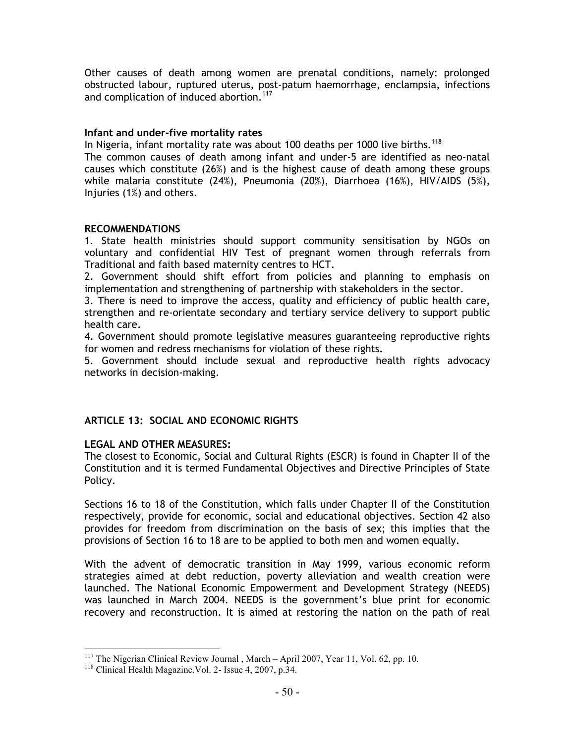Other causes of death among women are prenatal conditions, namely: prolonged obstructed labour, ruptured uterus, post-patum haemorrhage, enclampsia, infections and complication of induced abortion.<sup>117</sup>

### Infant and under-five mortality rates

In Nigeria, infant mortality rate was about 100 deaths per 1000 live births.<sup>118</sup>

The common causes of death among infant and under-5 are identified as neo-natal causes which constitute (26%) and is the highest cause of death among these groups while malaria constitute (24%), Pneumonia (20%), Diarrhoea (16%), HIV/AIDS (5%), Injuries (1%) and others.

### RECOMMENDATIONS

1. State health ministries should support community sensitisation by NGOs on voluntary and confidential HIV Test of pregnant women through referrals from Traditional and faith based maternity centres to HCT.

2. Government should shift effort from policies and planning to emphasis on implementation and strengthening of partnership with stakeholders in the sector.

3. There is need to improve the access, quality and efficiency of public health care, strengthen and re-orientate secondary and tertiary service delivery to support public health care.

4. Government should promote legislative measures guaranteeing reproductive rights for women and redress mechanisms for violation of these rights.

5. Government should include sexual and reproductive health rights advocacy networks in decision-making.

## ARTICLE 13: SOCIAL AND ECONOMIC RIGHTS

## LEGAL AND OTHER MEASURES:

The closest to Economic, Social and Cultural Rights (ESCR) is found in Chapter II of the Constitution and it is termed Fundamental Objectives and Directive Principles of State Policy.

Sections 16 to 18 of the Constitution, which falls under Chapter II of the Constitution respectively, provide for economic, social and educational objectives. Section 42 also provides for freedom from discrimination on the basis of sex; this implies that the provisions of Section 16 to 18 are to be applied to both men and women equally.

With the advent of democratic transition in May 1999, various economic reform strategies aimed at debt reduction, poverty alleviation and wealth creation were launched. The National Economic Empowerment and Development Strategy (NEEDS) was launched in March 2004. NEEDS is the government's blue print for economic recovery and reconstruction. It is aimed at restoring the nation on the path of real

l

<sup>&</sup>lt;sup>117</sup> The Nigerian Clinical Review Journal, March – April 2007, Year 11, Vol. 62, pp. 10.

<sup>&</sup>lt;sup>118</sup> Clinical Health Magazine. Vol. 2- Issue 4, 2007, p.34.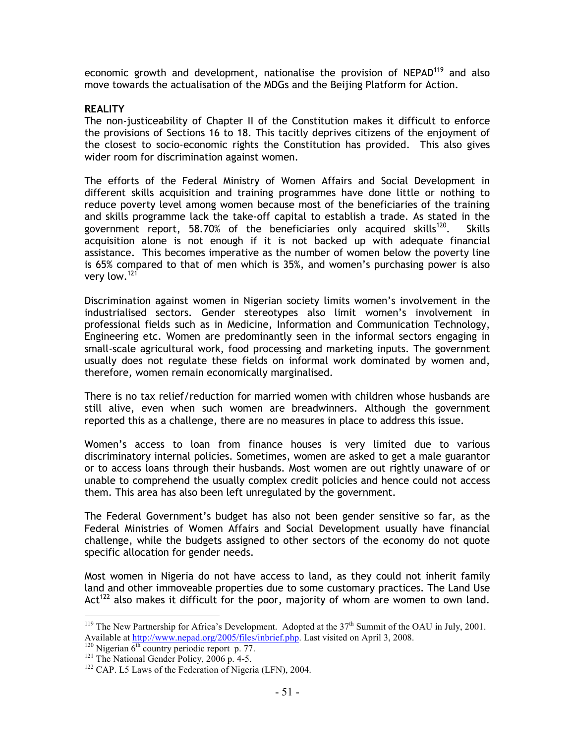economic growth and development, nationalise the provision of NEPAD<sup>119</sup> and also move towards the actualisation of the MDGs and the Beijing Platform for Action.

## **REALITY**

The non-justiceability of Chapter II of the Constitution makes it difficult to enforce the provisions of Sections 16 to 18. This tacitly deprives citizens of the enjoyment of the closest to socio-economic rights the Constitution has provided. This also gives wider room for discrimination against women.

The efforts of the Federal Ministry of Women Affairs and Social Development in different skills acquisition and training programmes have done little or nothing to reduce poverty level among women because most of the beneficiaries of the training and skills programme lack the take-off capital to establish a trade. As stated in the government report, 58.70% of the beneficiaries only acquired skills<sup>120</sup>. Skills acquisition alone is not enough if it is not backed up with adequate financial assistance. This becomes imperative as the number of women below the poverty line is 65% compared to that of men which is 35%, and women's purchasing power is also very low.<sup>121</sup>

Discrimination against women in Nigerian society limits women's involvement in the industrialised sectors. Gender stereotypes also limit women's involvement in professional fields such as in Medicine, Information and Communication Technology, Engineering etc. Women are predominantly seen in the informal sectors engaging in small-scale agricultural work, food processing and marketing inputs. The government usually does not regulate these fields on informal work dominated by women and, therefore, women remain economically marginalised.

There is no tax relief/reduction for married women with children whose husbands are still alive, even when such women are breadwinners. Although the government reported this as a challenge, there are no measures in place to address this issue.

Women's access to loan from finance houses is very limited due to various discriminatory internal policies. Sometimes, women are asked to get a male guarantor or to access loans through their husbands. Most women are out rightly unaware of or unable to comprehend the usually complex credit policies and hence could not access them. This area has also been left unregulated by the government.

The Federal Government's budget has also not been gender sensitive so far, as the Federal Ministries of Women Affairs and Social Development usually have financial challenge, while the budgets assigned to other sectors of the economy do not quote specific allocation for gender needs.

Most women in Nigeria do not have access to land, as they could not inherit family land and other immoveable properties due to some customary practices. The Land Use Act<sup>122</sup> also makes it difficult for the poor, majority of whom are women to own land.

<sup>&</sup>lt;sup>119</sup> The New Partnership for Africa's Development. Adopted at the  $37<sup>th</sup>$  Summit of the OAU in July, 2001. Available at http://www.nepad.org/2005/files/inbrief.php. Last visited on April 3, 2008.

<sup>&</sup>lt;sup>120</sup> Nigerian  $\overline{6^{th}}$  country periodic report p. 77.

<sup>&</sup>lt;sup>121</sup> The National Gender Policy, 2006 p. 4-5.

<sup>&</sup>lt;sup>122</sup> CAP. L5 Laws of the Federation of Nigeria (LFN), 2004.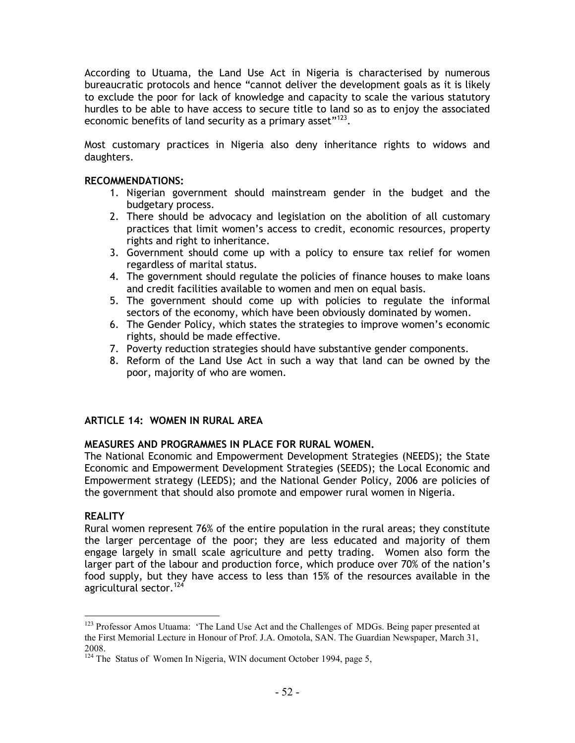According to Utuama, the Land Use Act in Nigeria is characterised by numerous bureaucratic protocols and hence "cannot deliver the development goals as it is likely to exclude the poor for lack of knowledge and capacity to scale the various statutory hurdles to be able to have access to secure title to land so as to enjoy the associated economic benefits of land security as a primary asset"<sup>123</sup>.

Most customary practices in Nigeria also deny inheritance rights to widows and daughters.

## RECOMMENDATIONS:

- 1. Nigerian government should mainstream gender in the budget and the budgetary process.
- 2. There should be advocacy and legislation on the abolition of all customary practices that limit women's access to credit, economic resources, property rights and right to inheritance.
- 3. Government should come up with a policy to ensure tax relief for women regardless of marital status.
- 4. The government should regulate the policies of finance houses to make loans and credit facilities available to women and men on equal basis.
- 5. The government should come up with policies to regulate the informal sectors of the economy, which have been obviously dominated by women.
- 6. The Gender Policy, which states the strategies to improve women's economic rights, should be made effective.
- 7. Poverty reduction strategies should have substantive gender components.
- 8. Reform of the Land Use Act in such a way that land can be owned by the poor, majority of who are women.

# ARTICLE 14: WOMEN IN RURAL AREA

# MEASURES AND PROGRAMMES IN PLACE FOR RURAL WOMEN.

The National Economic and Empowerment Development Strategies (NEEDS); the State Economic and Empowerment Development Strategies (SEEDS); the Local Economic and Empowerment strategy (LEEDS); and the National Gender Policy, 2006 are policies of the government that should also promote and empower rural women in Nigeria.

## **REALITY**

 $\overline{a}$ 

Rural women represent 76% of the entire population in the rural areas; they constitute the larger percentage of the poor; they are less educated and majority of them engage largely in small scale agriculture and petty trading. Women also form the larger part of the labour and production force, which produce over 70% of the nation's food supply, but they have access to less than 15% of the resources available in the agricultural sector.<sup>124</sup>

<sup>&</sup>lt;sup>123</sup> Professor Amos Utuama: 'The Land Use Act and the Challenges of MDGs. Being paper presented at the First Memorial Lecture in Honour of Prof. J.A. Omotola, SAN. The Guardian Newspaper, March 31, 2008.

<sup>&</sup>lt;sup>124</sup> The Status of Women In Nigeria, WIN document October 1994, page 5,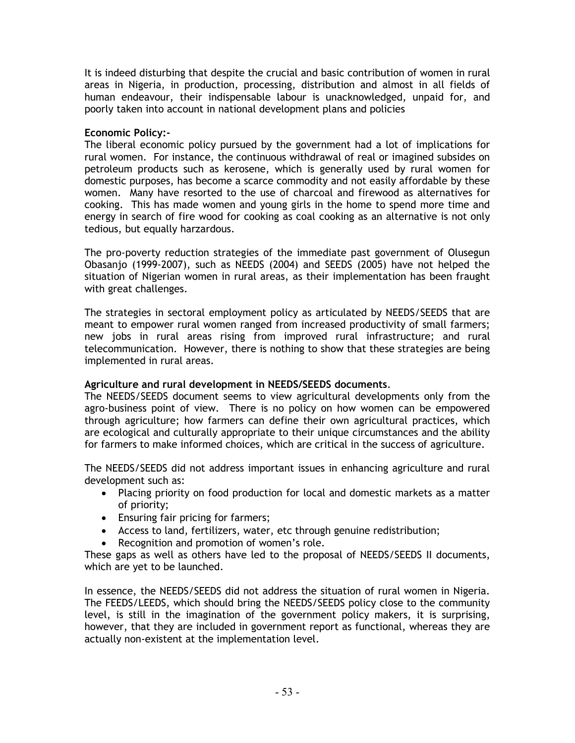It is indeed disturbing that despite the crucial and basic contribution of women in rural areas in Nigeria, in production, processing, distribution and almost in all fields of human endeavour, their indispensable labour is unacknowledged, unpaid for, and poorly taken into account in national development plans and policies

## Economic Policy:-

The liberal economic policy pursued by the government had a lot of implications for rural women. For instance, the continuous withdrawal of real or imagined subsides on petroleum products such as kerosene, which is generally used by rural women for domestic purposes, has become a scarce commodity and not easily affordable by these women. Many have resorted to the use of charcoal and firewood as alternatives for cooking. This has made women and young girls in the home to spend more time and energy in search of fire wood for cooking as coal cooking as an alternative is not only tedious, but equally harzardous.

The pro-poverty reduction strategies of the immediate past government of Olusegun Obasanjo (1999-2007), such as NEEDS (2004) and SEEDS (2005) have not helped the situation of Nigerian women in rural areas, as their implementation has been fraught with great challenges.

The strategies in sectoral employment policy as articulated by NEEDS/SEEDS that are meant to empower rural women ranged from increased productivity of small farmers; new jobs in rural areas rising from improved rural infrastructure; and rural telecommunication. However, there is nothing to show that these strategies are being implemented in rural areas.

# Agriculture and rural development in NEEDS/SEEDS documents.

The NEEDS/SEEDS document seems to view agricultural developments only from the agro-business point of view. There is no policy on how women can be empowered through agriculture; how farmers can define their own agricultural practices, which are ecological and culturally appropriate to their unique circumstances and the ability for farmers to make informed choices, which are critical in the success of agriculture.

The NEEDS/SEEDS did not address important issues in enhancing agriculture and rural development such as:

- Placing priority on food production for local and domestic markets as a matter of priority;
- Ensuring fair pricing for farmers;
- Access to land, fertilizers, water, etc through genuine redistribution;
- Recognition and promotion of women's role.

These gaps as well as others have led to the proposal of NEEDS/SEEDS II documents, which are yet to be launched.

In essence, the NEEDS/SEEDS did not address the situation of rural women in Nigeria. The FEEDS/LEEDS, which should bring the NEEDS/SEEDS policy close to the community level, is still in the imagination of the government policy makers, it is surprising, however, that they are included in government report as functional, whereas they are actually non-existent at the implementation level.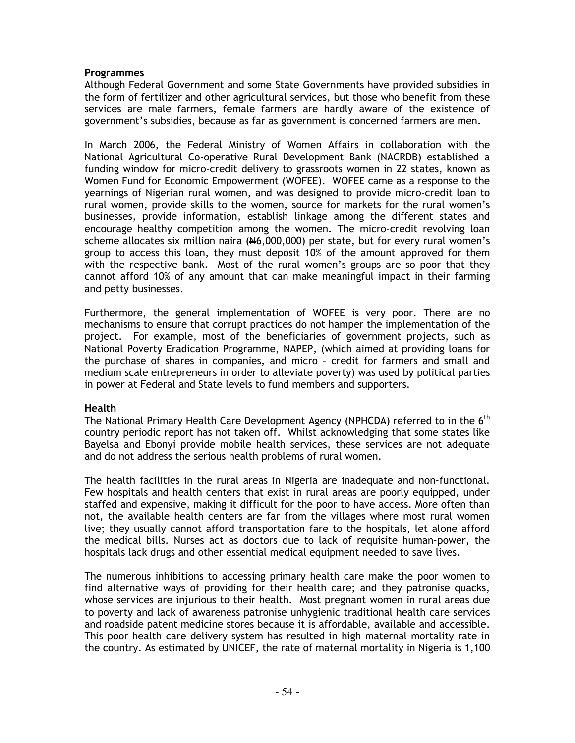### Programmes

Although Federal Government and some State Governments have provided subsidies in the form of fertilizer and other agricultural services, but those who benefit from these services are male farmers, female farmers are hardly aware of the existence of government's subsidies, because as far as government is concerned farmers are men.

In March 2006, the Federal Ministry of Women Affairs in collaboration with the National Agricultural Co-operative Rural Development Bank (NACRDB) established a funding window for micro-credit delivery to grassroots women in 22 states, known as Women Fund for Economic Empowerment (WOFEE). WOFEE came as a response to the yearnings of Nigerian rural women, and was designed to provide micro-credit loan to rural women, provide skills to the women, source for markets for the rural women's businesses, provide information, establish linkage among the different states and encourage healthy competition among the women. The micro-credit revolving loan scheme allocates six million naira  $(H6,000,000)$  per state, but for every rural women's group to access this loan, they must deposit 10% of the amount approved for them with the respective bank. Most of the rural women's groups are so poor that they cannot afford 10% of any amount that can make meaningful impact in their farming and petty businesses.

Furthermore, the general implementation of WOFEE is very poor. There are no mechanisms to ensure that corrupt practices do not hamper the implementation of the project. For example, most of the beneficiaries of government projects, such as National Poverty Eradication Programme, NAPEP, (which aimed at providing loans for the purchase of shares in companies, and micro – credit for farmers and small and medium scale entrepreneurs in order to alleviate poverty) was used by political parties in power at Federal and State levels to fund members and supporters.

## Health

The National Primary Health Care Development Agency (NPHCDA) referred to in the 6<sup>th</sup> country periodic report has not taken off. Whilst acknowledging that some states like Bayelsa and Ebonyi provide mobile health services, these services are not adequate and do not address the serious health problems of rural women.

The health facilities in the rural areas in Nigeria are inadequate and non-functional. Few hospitals and health centers that exist in rural areas are poorly equipped, under staffed and expensive, making it difficult for the poor to have access. More often than not, the available health centers are far from the villages where most rural women live; they usually cannot afford transportation fare to the hospitals, let alone afford the medical bills. Nurses act as doctors due to lack of requisite human-power, the hospitals lack drugs and other essential medical equipment needed to save lives.

The numerous inhibitions to accessing primary health care make the poor women to find alternative ways of providing for their health care; and they patronise quacks, whose services are injurious to their health. Most pregnant women in rural areas due to poverty and lack of awareness patronise unhygienic traditional health care services and roadside patent medicine stores because it is affordable, available and accessible. This poor health care delivery system has resulted in high maternal mortality rate in the country. As estimated by UNICEF, the rate of maternal mortality in Nigeria is 1,100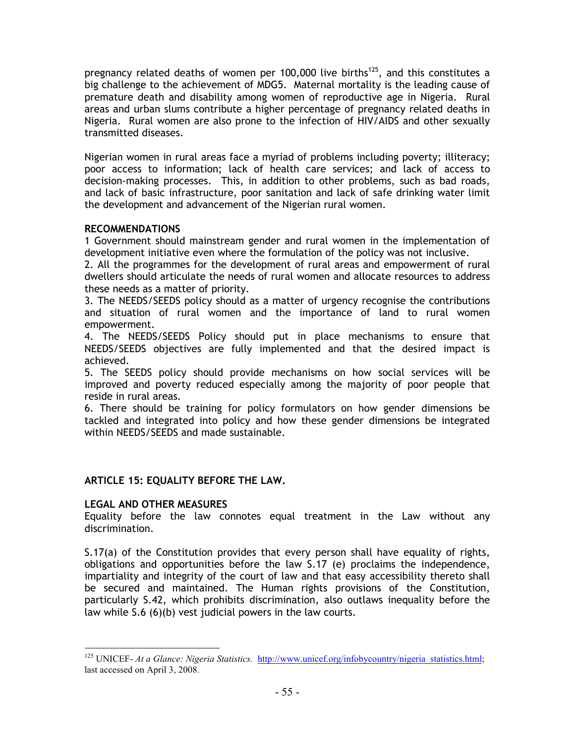pregnancy related deaths of women per 100,000 live births<sup>125</sup>, and this constitutes a big challenge to the achievement of MDG5. Maternal mortality is the leading cause of premature death and disability among women of reproductive age in Nigeria. Rural areas and urban slums contribute a higher percentage of pregnancy related deaths in Nigeria. Rural women are also prone to the infection of HIV/AIDS and other sexually transmitted diseases.

Nigerian women in rural areas face a myriad of problems including poverty; illiteracy; poor access to information; lack of health care services; and lack of access to decision-making processes. This, in addition to other problems, such as bad roads, and lack of basic infrastructure, poor sanitation and lack of safe drinking water limit the development and advancement of the Nigerian rural women.

## RECOMMENDATIONS

1 Government should mainstream gender and rural women in the implementation of development initiative even where the formulation of the policy was not inclusive.

2. All the programmes for the development of rural areas and empowerment of rural dwellers should articulate the needs of rural women and allocate resources to address these needs as a matter of priority.

3. The NEEDS/SEEDS policy should as a matter of urgency recognise the contributions and situation of rural women and the importance of land to rural women empowerment.

4. The NEEDS/SEEDS Policy should put in place mechanisms to ensure that NEEDS/SEEDS objectives are fully implemented and that the desired impact is achieved.

5. The SEEDS policy should provide mechanisms on how social services will be improved and poverty reduced especially among the majority of poor people that reside in rural areas.

6. There should be training for policy formulators on how gender dimensions be tackled and integrated into policy and how these gender dimensions be integrated within NEEDS/SEEDS and made sustainable.

# ARTICLE 15: EQUALITY BEFORE THE LAW.

## LEGAL AND OTHER MEASURES

l

Equality before the law connotes equal treatment in the Law without any discrimination.

S.17(a) of the Constitution provides that every person shall have equality of rights, obligations and opportunities before the law S.17 (e) proclaims the independence, impartiality and integrity of the court of law and that easy accessibility thereto shall be secured and maintained. The Human rights provisions of the Constitution, particularly S.42, which prohibits discrimination, also outlaws inequality before the law while S.6 (6)(b) vest judicial powers in the law courts.

<sup>&</sup>lt;sup>125</sup> UNICEF- *At a Glance: Nigeria Statistics.* http://www.unicef.org/infobycountry/nigeria\_statistics.html; last accessed on April 3, 2008.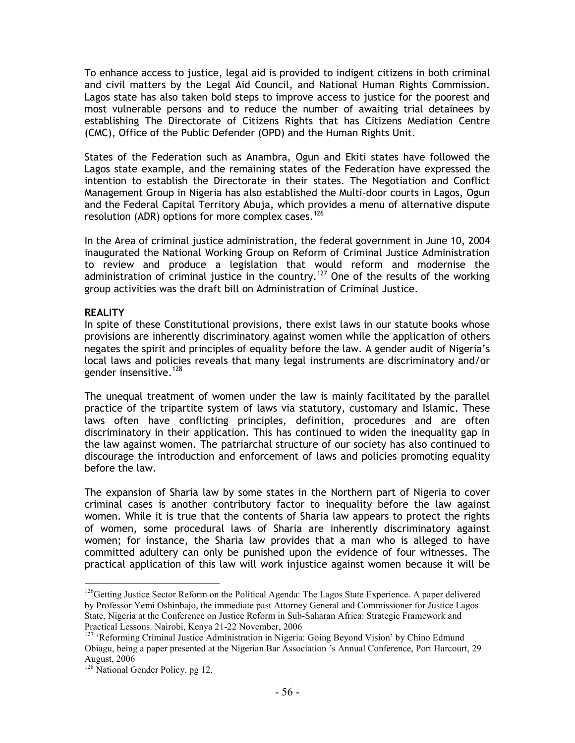To enhance access to justice, legal aid is provided to indigent citizens in both criminal and civil matters by the Legal Aid Council, and National Human Rights Commission. Lagos state has also taken bold steps to improve access to justice for the poorest and most vulnerable persons and to reduce the number of awaiting trial detainees by establishing The Directorate of Citizens Rights that has Citizens Mediation Centre (CMC), Office of the Public Defender (OPD) and the Human Rights Unit.

States of the Federation such as Anambra, Ogun and Ekiti states have followed the Lagos state example, and the remaining states of the Federation have expressed the intention to establish the Directorate in their states. The Negotiation and Conflict Management Group in Nigeria has also established the Multi-door courts in Lagos, Ogun and the Federal Capital Territory Abuja, which provides a menu of alternative dispute resolution (ADR) options for more complex cases.<sup>126</sup>

In the Area of criminal justice administration, the federal government in June 10, 2004 inaugurated the National Working Group on Reform of Criminal Justice Administration to review and produce a legislation that would reform and modernise the administration of criminal justice in the country.<sup>127</sup> One of the results of the working group activities was the draft bill on Administration of Criminal Justice.

## REALITY

l

In spite of these Constitutional provisions, there exist laws in our statute books whose provisions are inherently discriminatory against women while the application of others negates the spirit and principles of equality before the law. A gender audit of Nigeria's local laws and policies reveals that many legal instruments are discriminatory and/or gender insensitive.<sup>128</sup>

The unequal treatment of women under the law is mainly facilitated by the parallel practice of the tripartite system of laws via statutory, customary and Islamic. These laws often have conflicting principles, definition, procedures and are often discriminatory in their application. This has continued to widen the inequality gap in the law against women. The patriarchal structure of our society has also continued to discourage the introduction and enforcement of laws and policies promoting equality before the law.

The expansion of Sharia law by some states in the Northern part of Nigeria to cover criminal cases is another contributory factor to inequality before the law against women. While it is true that the contents of Sharia law appears to protect the rights of women, some procedural laws of Sharia are inherently discriminatory against women; for instance, the Sharia law provides that a man who is alleged to have committed adultery can only be punished upon the evidence of four witnesses. The practical application of this law will work injustice against women because it will be

<sup>&</sup>lt;sup>126</sup>Getting Justice Sector Reform on the Political Agenda: The Lagos State Experience. A paper delivered by Professor Yemi Oshinbajo, the immediate past Attorney General and Commissioner for Justice Lagos State, Nigeria at the Conference on Justice Reform in Sub-Saharan Africa: Strategic Framework and Practical Lessons. Nairobi, Kenya 21-22 November, 2006

<sup>&</sup>lt;sup>127</sup> 'Reforming Criminal Justice Administration in Nigeria: Going Beyond Vision' by Chino Edmund Obiagu, being a paper presented at the Nigerian Bar Association ´s Annual Conference, Port Harcourt, 29 August, 2006

<sup>&</sup>lt;sup>128</sup> National Gender Policy. pg 12.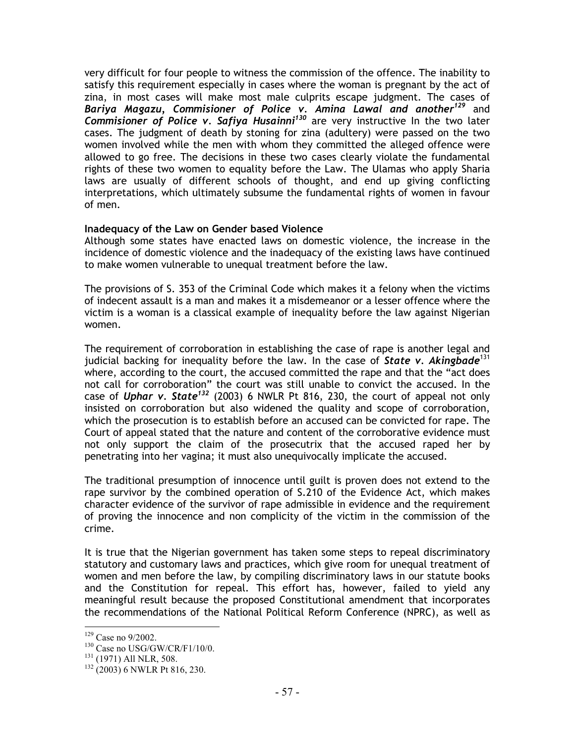very difficult for four people to witness the commission of the offence. The inability to satisfy this requirement especially in cases where the woman is pregnant by the act of zina, in most cases will make most male culprits escape judgment. The cases of Bariya Magazu, Commisioner of Police v. Amina Lawal and another<sup>129</sup> and Commisioner of Police v. Safiya Husainni<sup>130</sup> are very instructive In the two later cases. The judgment of death by stoning for zina (adultery) were passed on the two women involved while the men with whom they committed the alleged offence were allowed to go free. The decisions in these two cases clearly violate the fundamental rights of these two women to equality before the Law. The Ulamas who apply Sharia laws are usually of different schools of thought, and end up giving conflicting interpretations, which ultimately subsume the fundamental rights of women in favour of men.

## Inadequacy of the Law on Gender based Violence

Although some states have enacted laws on domestic violence, the increase in the incidence of domestic violence and the inadequacy of the existing laws have continued to make women vulnerable to unequal treatment before the law.

The provisions of S. 353 of the Criminal Code which makes it a felony when the victims of indecent assault is a man and makes it a misdemeanor or a lesser offence where the victim is a woman is a classical example of inequality before the law against Nigerian women.

The requirement of corroboration in establishing the case of rape is another legal and judicial backing for inequality before the law. In the case of State v. Akingbade<sup>131</sup> where, according to the court, the accused committed the rape and that the "act does not call for corroboration" the court was still unable to convict the accused. In the case of Uphar v. State<sup>132</sup> (2003) 6 NWLR Pt 816, 230, the court of appeal not only insisted on corroboration but also widened the quality and scope of corroboration, which the prosecution is to establish before an accused can be convicted for rape. The Court of appeal stated that the nature and content of the corroborative evidence must not only support the claim of the prosecutrix that the accused raped her by penetrating into her vagina; it must also unequivocally implicate the accused.

The traditional presumption of innocence until guilt is proven does not extend to the rape survivor by the combined operation of S.210 of the Evidence Act, which makes character evidence of the survivor of rape admissible in evidence and the requirement of proving the innocence and non complicity of the victim in the commission of the crime.

It is true that the Nigerian government has taken some steps to repeal discriminatory statutory and customary laws and practices, which give room for unequal treatment of women and men before the law, by compiling discriminatory laws in our statute books and the Constitution for repeal. This effort has, however, failed to yield any meaningful result because the proposed Constitutional amendment that incorporates the recommendations of the National Political Reform Conference (NPRC), as well as

 $\overline{a}$ <sup>129</sup> Case no 9/2002.

<sup>&</sup>lt;sup>130</sup> Case no USG/GW/CR/F1/10/0.

<sup>&</sup>lt;sup>131</sup> (1971) All NLR, 508.

<sup>&</sup>lt;sup>132</sup> (2003) 6 NWLR Pt 816, 230.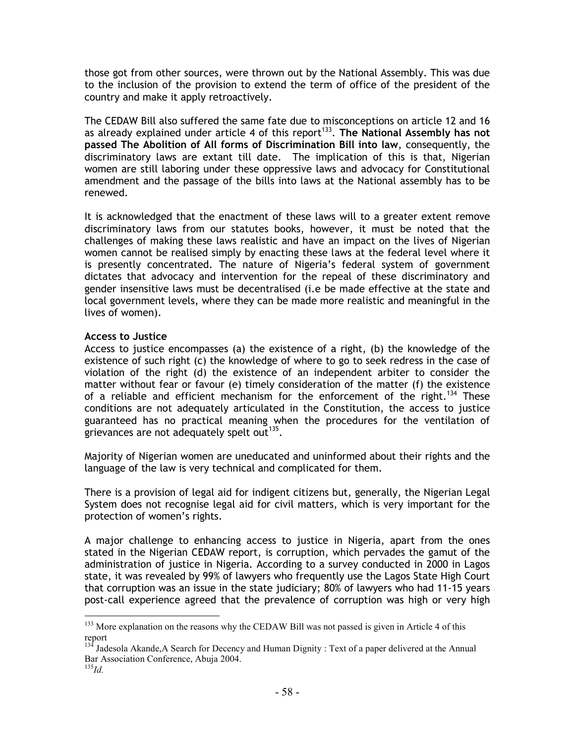those got from other sources, were thrown out by the National Assembly. This was due to the inclusion of the provision to extend the term of office of the president of the country and make it apply retroactively.

The CEDAW Bill also suffered the same fate due to misconceptions on article 12 and 16 as already explained under article 4 of this report<sup>133</sup>. The National Assembly has not passed The Abolition of All forms of Discrimination Bill into law, consequently, the discriminatory laws are extant till date. The implication of this is that, Nigerian women are still laboring under these oppressive laws and advocacy for Constitutional amendment and the passage of the bills into laws at the National assembly has to be renewed.

It is acknowledged that the enactment of these laws will to a greater extent remove discriminatory laws from our statutes books, however, it must be noted that the challenges of making these laws realistic and have an impact on the lives of Nigerian women cannot be realised simply by enacting these laws at the federal level where it is presently concentrated. The nature of Nigeria's federal system of government dictates that advocacy and intervention for the repeal of these discriminatory and gender insensitive laws must be decentralised (i.e be made effective at the state and local government levels, where they can be made more realistic and meaningful in the lives of women).

## Access to Justice

Access to justice encompasses (a) the existence of a right, (b) the knowledge of the existence of such right (c) the knowledge of where to go to seek redress in the case of violation of the right (d) the existence of an independent arbiter to consider the matter without fear or favour (e) timely consideration of the matter (f) the existence of a reliable and efficient mechanism for the enforcement of the right.<sup>134</sup> These conditions are not adequately articulated in the Constitution, the access to justice guaranteed has no practical meaning when the procedures for the ventilation of grievances are not adequately spelt out<sup>135</sup>.

Majority of Nigerian women are uneducated and uninformed about their rights and the language of the law is very technical and complicated for them.

There is a provision of legal aid for indigent citizens but, generally, the Nigerian Legal System does not recognise legal aid for civil matters, which is very important for the protection of women's rights.

A major challenge to enhancing access to justice in Nigeria, apart from the ones stated in the Nigerian CEDAW report, is corruption, which pervades the gamut of the administration of justice in Nigeria. According to a survey conducted in 2000 in Lagos state, it was revealed by 99% of lawyers who frequently use the Lagos State High Court that corruption was an issue in the state judiciary; 80% of lawyers who had 11-15 years post-call experience agreed that the prevalence of corruption was high or very high

 $\overline{a}$ <sup>133</sup> More explanation on the reasons why the CEDAW Bill was not passed is given in Article 4 of this report

 $13<sup>4</sup>$  Jadesola Akande, A Search for Decency and Human Dignity : Text of a paper delivered at the Annual Bar Association Conference, Abuja 2004.

<sup>135</sup>*Id.*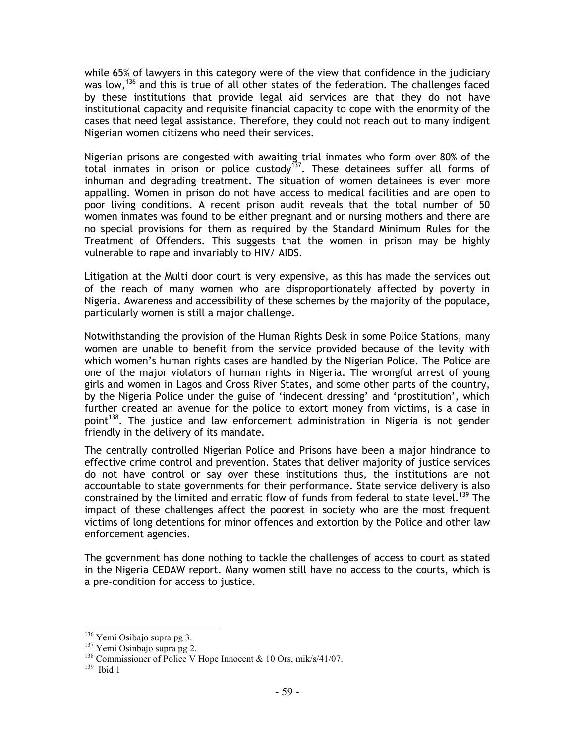while 65% of lawyers in this category were of the view that confidence in the judiciary was low,<sup>136</sup> and this is true of all other states of the federation. The challenges faced by these institutions that provide legal aid services are that they do not have institutional capacity and requisite financial capacity to cope with the enormity of the cases that need legal assistance. Therefore, they could not reach out to many indigent Nigerian women citizens who need their services.

Nigerian prisons are congested with awaiting trial inmates who form over 80% of the total inmates in prison or police custody<sup>137</sup>. These detainees suffer all forms of inhuman and degrading treatment. The situation of women detainees is even more appalling. Women in prison do not have access to medical facilities and are open to poor living conditions. A recent prison audit reveals that the total number of 50 women inmates was found to be either pregnant and or nursing mothers and there are no special provisions for them as required by the Standard Minimum Rules for the Treatment of Offenders. This suggests that the women in prison may be highly vulnerable to rape and invariably to HIV/ AIDS.

Litigation at the Multi door court is very expensive, as this has made the services out of the reach of many women who are disproportionately affected by poverty in Nigeria. Awareness and accessibility of these schemes by the majority of the populace, particularly women is still a major challenge.

Notwithstanding the provision of the Human Rights Desk in some Police Stations, many women are unable to benefit from the service provided because of the levity with which women's human rights cases are handled by the Nigerian Police. The Police are one of the major violators of human rights in Nigeria. The wrongful arrest of young girls and women in Lagos and Cross River States, and some other parts of the country, by the Nigeria Police under the guise of 'indecent dressing' and 'prostitution', which further created an avenue for the police to extort money from victims, is a case in point<sup>138</sup>. The justice and law enforcement administration in Nigeria is not gender friendly in the delivery of its mandate.

The centrally controlled Nigerian Police and Prisons have been a major hindrance to effective crime control and prevention. States that deliver majority of justice services do not have control or say over these institutions thus, the institutions are not accountable to state governments for their performance. State service delivery is also constrained by the limited and erratic flow of funds from federal to state level.<sup>139</sup> The impact of these challenges affect the poorest in society who are the most frequent victims of long detentions for minor offences and extortion by the Police and other law enforcement agencies.

The government has done nothing to tackle the challenges of access to court as stated in the Nigeria CEDAW report. Many women still have no access to the courts, which is a pre-condition for access to justice.

<sup>136</sup> Yemi Osibajo supra pg 3.

<sup>&</sup>lt;sup>137</sup> Yemi Osinbajo supra pg 2.

<sup>&</sup>lt;sup>138</sup> Commissioner of Police V Hope Innocent & 10 Ors, mik/s/41/07.

<sup>139</sup> Ibid 1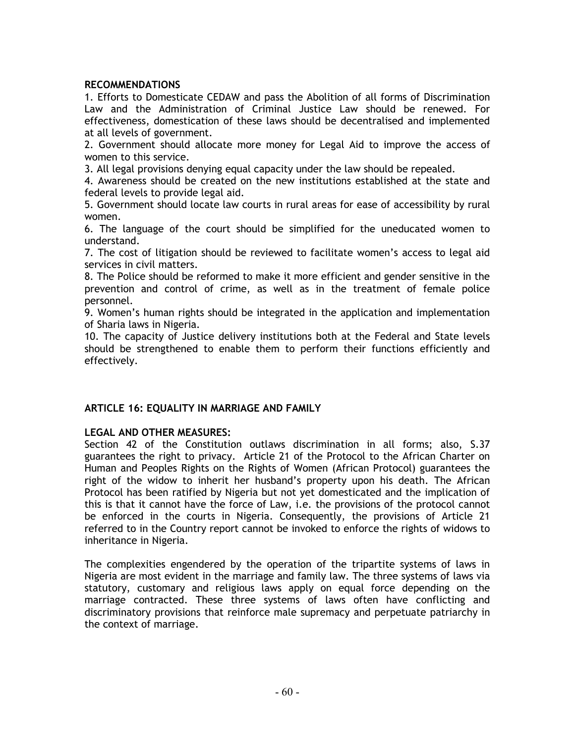# RECOMMENDATIONS

1. Efforts to Domesticate CEDAW and pass the Abolition of all forms of Discrimination Law and the Administration of Criminal Justice Law should be renewed. For effectiveness, domestication of these laws should be decentralised and implemented at all levels of government.

2. Government should allocate more money for Legal Aid to improve the access of women to this service.

3. All legal provisions denying equal capacity under the law should be repealed.

4. Awareness should be created on the new institutions established at the state and federal levels to provide legal aid.

5. Government should locate law courts in rural areas for ease of accessibility by rural women.

6. The language of the court should be simplified for the uneducated women to understand.

7. The cost of litigation should be reviewed to facilitate women's access to legal aid services in civil matters.

8. The Police should be reformed to make it more efficient and gender sensitive in the prevention and control of crime, as well as in the treatment of female police personnel.

9. Women's human rights should be integrated in the application and implementation of Sharia laws in Nigeria.

10. The capacity of Justice delivery institutions both at the Federal and State levels should be strengthened to enable them to perform their functions efficiently and effectively.

# ARTICLE 16: EQUALITY IN MARRIAGE AND FAMILY

# LEGAL AND OTHER MEASURES:

Section 42 of the Constitution outlaws discrimination in all forms; also, S.37 guarantees the right to privacy. Article 21 of the Protocol to the African Charter on Human and Peoples Rights on the Rights of Women (African Protocol) guarantees the right of the widow to inherit her husband's property upon his death. The African Protocol has been ratified by Nigeria but not yet domesticated and the implication of this is that it cannot have the force of Law, i.e. the provisions of the protocol cannot be enforced in the courts in Nigeria. Consequently, the provisions of Article 21 referred to in the Country report cannot be invoked to enforce the rights of widows to inheritance in Nigeria.

The complexities engendered by the operation of the tripartite systems of laws in Nigeria are most evident in the marriage and family law. The three systems of laws via statutory, customary and religious laws apply on equal force depending on the marriage contracted. These three systems of laws often have conflicting and discriminatory provisions that reinforce male supremacy and perpetuate patriarchy in the context of marriage.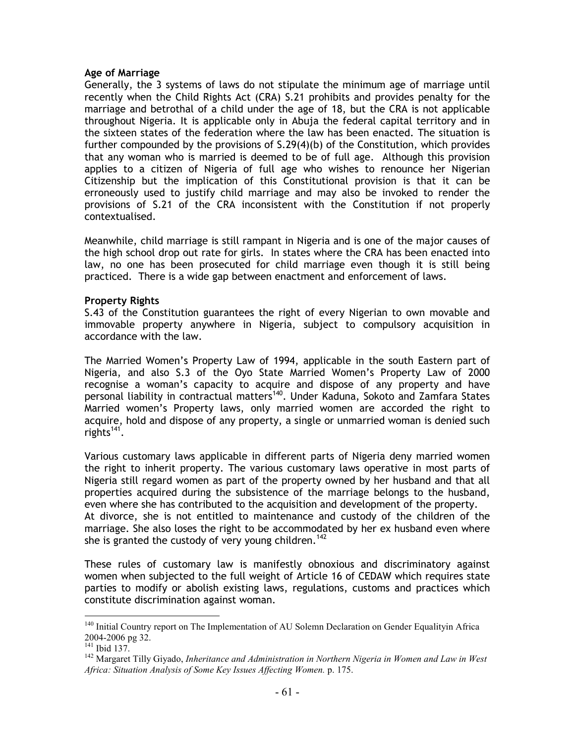#### Age of Marriage

Generally, the 3 systems of laws do not stipulate the minimum age of marriage until recently when the Child Rights Act (CRA) S.21 prohibits and provides penalty for the marriage and betrothal of a child under the age of 18, but the CRA is not applicable throughout Nigeria. It is applicable only in Abuja the federal capital territory and in the sixteen states of the federation where the law has been enacted. The situation is further compounded by the provisions of S.29(4)(b) of the Constitution, which provides that any woman who is married is deemed to be of full age. Although this provision applies to a citizen of Nigeria of full age who wishes to renounce her Nigerian Citizenship but the implication of this Constitutional provision is that it can be erroneously used to justify child marriage and may also be invoked to render the provisions of S.21 of the CRA inconsistent with the Constitution if not properly contextualised.

Meanwhile, child marriage is still rampant in Nigeria and is one of the major causes of the high school drop out rate for girls. In states where the CRA has been enacted into law, no one has been prosecuted for child marriage even though it is still being practiced. There is a wide gap between enactment and enforcement of laws.

# Property Rights

S.43 of the Constitution guarantees the right of every Nigerian to own movable and immovable property anywhere in Nigeria, subject to compulsory acquisition in accordance with the law.

The Married Women's Property Law of 1994, applicable in the south Eastern part of Nigeria, and also S.3 of the Oyo State Married Women's Property Law of 2000 recognise a woman's capacity to acquire and dispose of any property and have personal liability in contractual matters<sup>140</sup>. Under Kaduna, Sokoto and Zamfara States Married women's Property laws, only married women are accorded the right to acquire, hold and dispose of any property, a single or unmarried woman is denied such rights<sup>141</sup>.

Various customary laws applicable in different parts of Nigeria deny married women the right to inherit property. The various customary laws operative in most parts of Nigeria still regard women as part of the property owned by her husband and that all properties acquired during the subsistence of the marriage belongs to the husband, even where she has contributed to the acquisition and development of the property. At divorce, she is not entitled to maintenance and custody of the children of the marriage. She also loses the right to be accommodated by her ex husband even where she is granted the custody of very young children.<sup>142</sup>

These rules of customary law is manifestly obnoxious and discriminatory against women when subjected to the full weight of Article 16 of CEDAW which requires state parties to modify or abolish existing laws, regulations, customs and practices which constitute discrimination against woman.

<sup>&</sup>lt;sup>140</sup> Initial Country report on The Implementation of AU Solemn Declaration on Gender Equalityin Africa 2004-2006 pg 32.

<sup>141</sup> Ibid 137.

<sup>142</sup> Margaret Tilly Giyado, *Inheritance and Administration in Northern Nigeria in Women and Law in West Africa: Situation Analysis of Some Key Issues Affecting Women.* p. 175.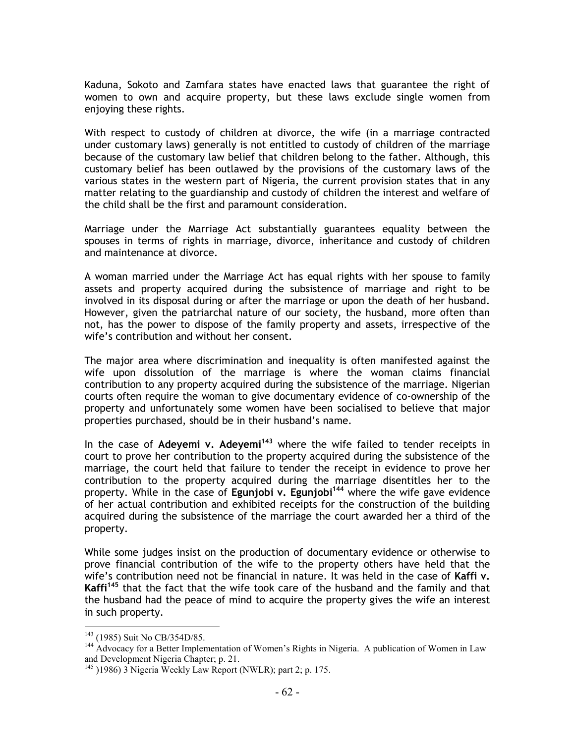Kaduna, Sokoto and Zamfara states have enacted laws that guarantee the right of women to own and acquire property, but these laws exclude single women from enjoying these rights.

With respect to custody of children at divorce, the wife (in a marriage contracted under customary laws) generally is not entitled to custody of children of the marriage because of the customary law belief that children belong to the father. Although, this customary belief has been outlawed by the provisions of the customary laws of the various states in the western part of Nigeria, the current provision states that in any matter relating to the guardianship and custody of children the interest and welfare of the child shall be the first and paramount consideration.

Marriage under the Marriage Act substantially guarantees equality between the spouses in terms of rights in marriage, divorce, inheritance and custody of children and maintenance at divorce.

A woman married under the Marriage Act has equal rights with her spouse to family assets and property acquired during the subsistence of marriage and right to be involved in its disposal during or after the marriage or upon the death of her husband. However, given the patriarchal nature of our society, the husband, more often than not, has the power to dispose of the family property and assets, irrespective of the wife's contribution and without her consent.

The major area where discrimination and inequality is often manifested against the wife upon dissolution of the marriage is where the woman claims financial contribution to any property acquired during the subsistence of the marriage. Nigerian courts often require the woman to give documentary evidence of co-ownership of the property and unfortunately some women have been socialised to believe that major properties purchased, should be in their husband's name.

In the case of Adeyemi v. Adeyemi<sup>143</sup> where the wife failed to tender receipts in court to prove her contribution to the property acquired during the subsistence of the marriage, the court held that failure to tender the receipt in evidence to prove her contribution to the property acquired during the marriage disentitles her to the property. While in the case of Egunjobi v. Egunjobi<sup>144</sup> where the wife gave evidence of her actual contribution and exhibited receipts for the construction of the building acquired during the subsistence of the marriage the court awarded her a third of the property.

While some judges insist on the production of documentary evidence or otherwise to prove financial contribution of the wife to the property others have held that the wife's contribution need not be financial in nature. It was held in the case of Kaffi v. Kaffi<sup>145</sup> that the fact that the wife took care of the husband and the family and that the husband had the peace of mind to acquire the property gives the wife an interest in such property.

<sup>&</sup>lt;sup>143</sup> (1985) Suit No CB/354D/85.

<sup>&</sup>lt;sup>144</sup> Advocacy for a Better Implementation of Women's Rights in Nigeria. A publication of Women in Law and Development Nigeria Chapter; p. 21.

<sup>145</sup> )1986) 3 Nigeria Weekly Law Report (NWLR); part 2; p. 175.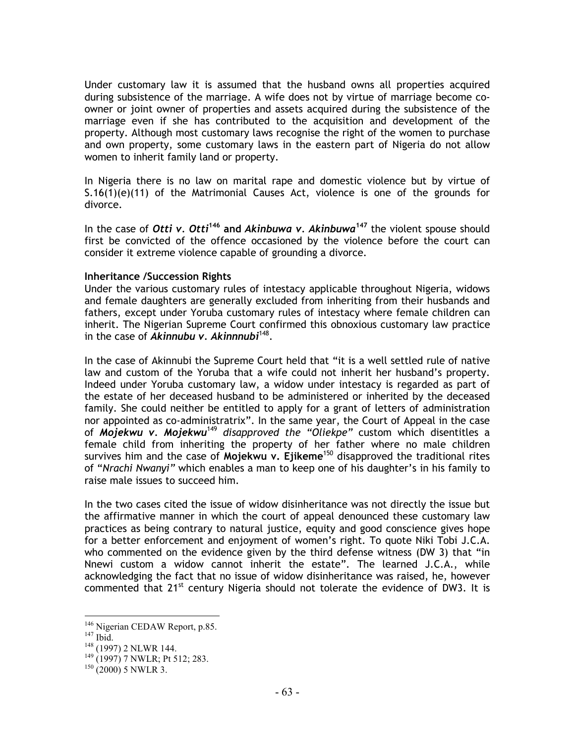Under customary law it is assumed that the husband owns all properties acquired during subsistence of the marriage. A wife does not by virtue of marriage become coowner or joint owner of properties and assets acquired during the subsistence of the marriage even if she has contributed to the acquisition and development of the property. Although most customary laws recognise the right of the women to purchase and own property, some customary laws in the eastern part of Nigeria do not allow women to inherit family land or property.

In Nigeria there is no law on marital rape and domestic violence but by virtue of  $S.16(1)(e)(11)$  of the Matrimonial Causes Act, violence is one of the grounds for divorce.

In the case of Otti v. Otti<sup>146</sup> and Akinbuwa v. Akinbuwa<sup>147</sup> the violent spouse should first be convicted of the offence occasioned by the violence before the court can consider it extreme violence capable of grounding a divorce.

#### Inheritance /Succession Rights

Under the various customary rules of intestacy applicable throughout Nigeria, widows and female daughters are generally excluded from inheriting from their husbands and fathers, except under Yoruba customary rules of intestacy where female children can inherit. The Nigerian Supreme Court confirmed this obnoxious customary law practice in the case of Akinnubu v. Akinnnubi<sup>148</sup>.

In the case of Akinnubi the Supreme Court held that "it is a well settled rule of native law and custom of the Yoruba that a wife could not inherit her husband's property. Indeed under Yoruba customary law, a widow under intestacy is regarded as part of the estate of her deceased husband to be administered or inherited by the deceased family. She could neither be entitled to apply for a grant of letters of administration nor appointed as co-administratrix". In the same year, the Court of Appeal in the case of Mojekwu v. Mojekwu<sup>149</sup> disapproved the "Oliekpe" custom which disentitles a female child from inheriting the property of her father where no male children survives him and the case of Mojekwu v. Ejikeme<sup>150</sup> disapproved the traditional rites of "Nrachi Nwanyi" which enables a man to keep one of his daughter's in his family to raise male issues to succeed him.

In the two cases cited the issue of widow disinheritance was not directly the issue but the affirmative manner in which the court of appeal denounced these customary law practices as being contrary to natural justice, equity and good conscience gives hope for a better enforcement and enjoyment of women's right. To quote Niki Tobi J.C.A. who commented on the evidence given by the third defense witness (DW 3) that "in Nnewi custom a widow cannot inherit the estate". The learned J.C.A., while acknowledging the fact that no issue of widow disinheritance was raised, he, however commented that 21<sup>st</sup> century Nigeria should not tolerate the evidence of DW3. It is

 $\overline{a}$ <sup>146</sup> Nigerian CEDAW Report, p.85.

<sup>147</sup> Ibid.

<sup>148</sup> (1997) 2 NLWR 144.

<sup>149</sup> (1997) 7 NWLR; Pt 512; 283.

 $150 (2000)$  5 NWLR 3.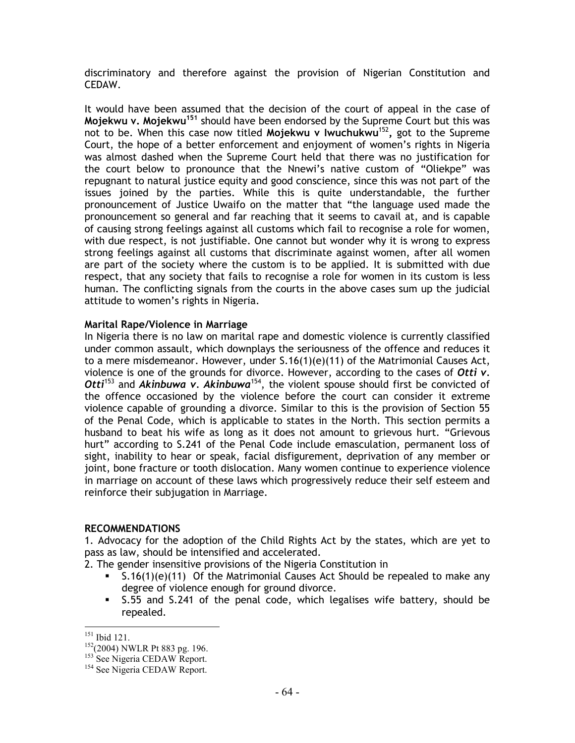discriminatory and therefore against the provision of Nigerian Constitution and CEDAW.

It would have been assumed that the decision of the court of appeal in the case of Mojekwu v. Mojekwu<sup>151</sup> should have been endorsed by the Supreme Court but this was not to be. When this case now titled Mojekwu v Iwuchukwu<sup>152</sup>, got to the Supreme Court, the hope of a better enforcement and enjoyment of women's rights in Nigeria was almost dashed when the Supreme Court held that there was no justification for the court below to pronounce that the Nnewi's native custom of "Oliekpe" was repugnant to natural justice equity and good conscience, since this was not part of the issues joined by the parties. While this is quite understandable, the further pronouncement of Justice Uwaifo on the matter that "the language used made the pronouncement so general and far reaching that it seems to cavail at, and is capable of causing strong feelings against all customs which fail to recognise a role for women, with due respect, is not justifiable. One cannot but wonder why it is wrong to express strong feelings against all customs that discriminate against women, after all women are part of the society where the custom is to be applied. It is submitted with due respect, that any society that fails to recognise a role for women in its custom is less human. The conflicting signals from the courts in the above cases sum up the judicial attitude to women's rights in Nigeria.

# Marital Rape/Violence in Marriage

In Nigeria there is no law on marital rape and domestic violence is currently classified under common assault, which downplays the seriousness of the offence and reduces it to a mere misdemeanor. However, under  $S.16(1)(e)(11)$  of the Matrimonial Causes Act, violence is one of the grounds for divorce. However, according to the cases of Otti  $v$ . Otti<sup>153</sup> and Akinbuwa v. Akinbuwa<sup>154</sup>, the violent spouse should first be convicted of the offence occasioned by the violence before the court can consider it extreme violence capable of grounding a divorce. Similar to this is the provision of Section 55 of the Penal Code, which is applicable to states in the North. This section permits a husband to beat his wife as long as it does not amount to grievous hurt. "Grievous hurt" according to S.241 of the Penal Code include emasculation, permanent loss of sight, inability to hear or speak, facial disfigurement, deprivation of any member or joint, bone fracture or tooth dislocation. Many women continue to experience violence in marriage on account of these laws which progressively reduce their self esteem and reinforce their subjugation in Marriage.

# RECOMMENDATIONS

1. Advocacy for the adoption of the Child Rights Act by the states, which are yet to pass as law, should be intensified and accelerated.

2. The gender insensitive provisions of the Nigeria Constitution in

- - $S.16(1)(e)(11)$  Of the Matrimonial Causes Act Should be repealed to make any degree of violence enough for ground divorce.
- S.55 and S.241 of the penal code, which legalises wife battery, should be repealed.

<sup>151</sup> Ibid 121.

<sup>&</sup>lt;sup>152</sup>(2004) NWLR Pt 883 pg. 196.

<sup>&</sup>lt;sup>153</sup> See Nigeria CEDAW Report.

<sup>&</sup>lt;sup>154</sup> See Nigeria CEDAW Report.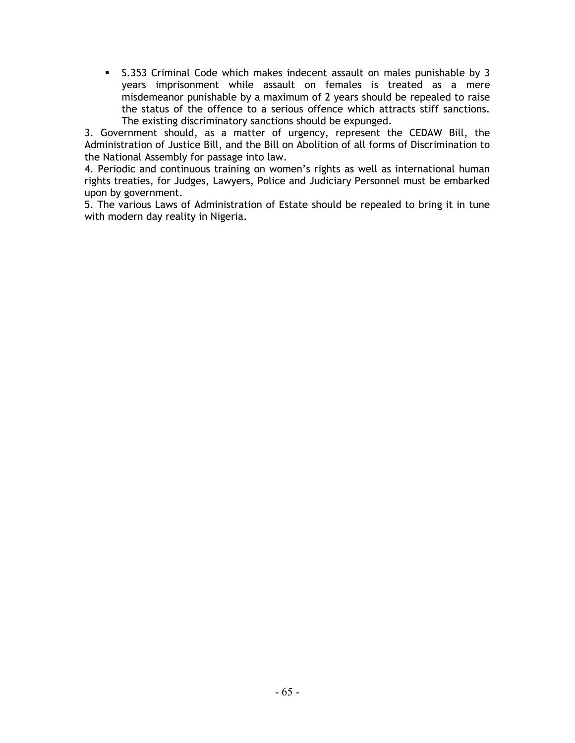- S.353 Criminal Code which makes indecent assault on males punishable by 3 years imprisonment while assault on females is treated as a mere misdemeanor punishable by a maximum of 2 years should be repealed to raise the status of the offence to a serious offence which attracts stiff sanctions. The existing discriminatory sanctions should be expunged.

3. Government should, as a matter of urgency, represent the CEDAW Bill, the Administration of Justice Bill, and the Bill on Abolition of all forms of Discrimination to the National Assembly for passage into law.

4. Periodic and continuous training on women's rights as well as international human rights treaties, for Judges, Lawyers, Police and Judiciary Personnel must be embarked upon by government.

5. The various Laws of Administration of Estate should be repealed to bring it in tune with modern day reality in Nigeria.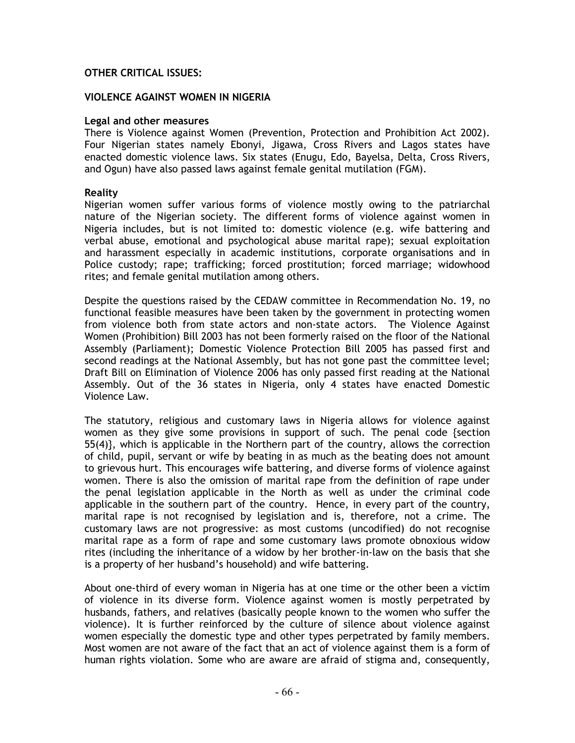# OTHER CRITICAL ISSUES:

#### VIOLENCE AGAINST WOMEN IN NIGERIA

#### Legal and other measures

There is Violence against Women (Prevention, Protection and Prohibition Act 2002). Four Nigerian states namely Ebonyi, Jigawa, Cross Rivers and Lagos states have enacted domestic violence laws. Six states (Enugu, Edo, Bayelsa, Delta, Cross Rivers, and Ogun) have also passed laws against female genital mutilation (FGM).

#### Reality

Nigerian women suffer various forms of violence mostly owing to the patriarchal nature of the Nigerian society. The different forms of violence against women in Nigeria includes, but is not limited to: domestic violence (e.g. wife battering and verbal abuse, emotional and psychological abuse marital rape); sexual exploitation and harassment especially in academic institutions, corporate organisations and in Police custody; rape; trafficking; forced prostitution; forced marriage; widowhood rites; and female genital mutilation among others.

Despite the questions raised by the CEDAW committee in Recommendation No. 19, no functional feasible measures have been taken by the government in protecting women from violence both from state actors and non-state actors. The Violence Against Women (Prohibition) Bill 2003 has not been formerly raised on the floor of the National Assembly (Parliament); Domestic Violence Protection Bill 2005 has passed first and second readings at the National Assembly, but has not gone past the committee level; Draft Bill on Elimination of Violence 2006 has only passed first reading at the National Assembly. Out of the 36 states in Nigeria, only 4 states have enacted Domestic Violence Law.

The statutory, religious and customary laws in Nigeria allows for violence against women as they give some provisions in support of such. The penal code {section 55(4)}, which is applicable in the Northern part of the country, allows the correction of child, pupil, servant or wife by beating in as much as the beating does not amount to grievous hurt. This encourages wife battering, and diverse forms of violence against women. There is also the omission of marital rape from the definition of rape under the penal legislation applicable in the North as well as under the criminal code applicable in the southern part of the country. Hence, in every part of the country, marital rape is not recognised by legislation and is, therefore, not a crime. The customary laws are not progressive: as most customs (uncodified) do not recognise marital rape as a form of rape and some customary laws promote obnoxious widow rites (including the inheritance of a widow by her brother-in-law on the basis that she is a property of her husband's household) and wife battering.

About one-third of every woman in Nigeria has at one time or the other been a victim of violence in its diverse form. Violence against women is mostly perpetrated by husbands, fathers, and relatives (basically people known to the women who suffer the violence). It is further reinforced by the culture of silence about violence against women especially the domestic type and other types perpetrated by family members. Most women are not aware of the fact that an act of violence against them is a form of human rights violation. Some who are aware are afraid of stigma and, consequently,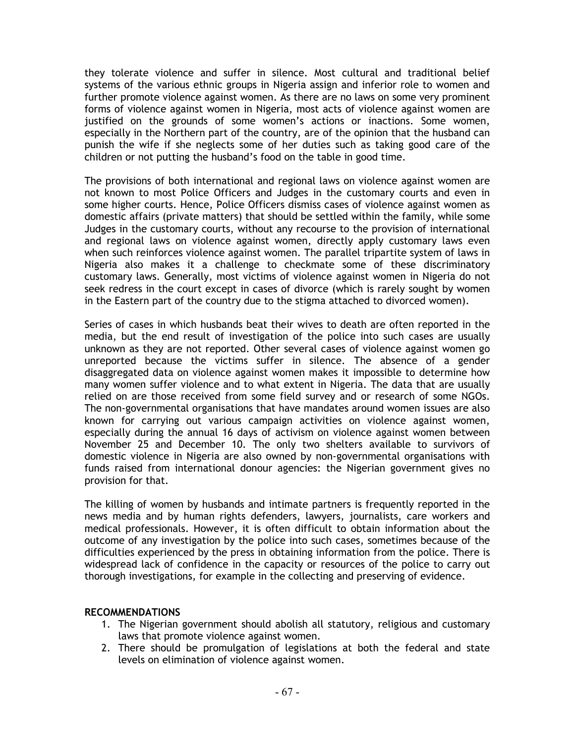they tolerate violence and suffer in silence. Most cultural and traditional belief systems of the various ethnic groups in Nigeria assign and inferior role to women and further promote violence against women. As there are no laws on some very prominent forms of violence against women in Nigeria, most acts of violence against women are justified on the grounds of some women's actions or inactions. Some women, especially in the Northern part of the country, are of the opinion that the husband can punish the wife if she neglects some of her duties such as taking good care of the children or not putting the husband's food on the table in good time.

The provisions of both international and regional laws on violence against women are not known to most Police Officers and Judges in the customary courts and even in some higher courts. Hence, Police Officers dismiss cases of violence against women as domestic affairs (private matters) that should be settled within the family, while some Judges in the customary courts, without any recourse to the provision of international and regional laws on violence against women, directly apply customary laws even when such reinforces violence against women. The parallel tripartite system of laws in Nigeria also makes it a challenge to checkmate some of these discriminatory customary laws. Generally, most victims of violence against women in Nigeria do not seek redress in the court except in cases of divorce (which is rarely sought by women in the Eastern part of the country due to the stigma attached to divorced women).

Series of cases in which husbands beat their wives to death are often reported in the media, but the end result of investigation of the police into such cases are usually unknown as they are not reported. Other several cases of violence against women go unreported because the victims suffer in silence. The absence of a gender disaggregated data on violence against women makes it impossible to determine how many women suffer violence and to what extent in Nigeria. The data that are usually relied on are those received from some field survey and or research of some NGOs. The non-governmental organisations that have mandates around women issues are also known for carrying out various campaign activities on violence against women, especially during the annual 16 days of activism on violence against women between November 25 and December 10. The only two shelters available to survivors of domestic violence in Nigeria are also owned by non-governmental organisations with funds raised from international donour agencies: the Nigerian government gives no provision for that.

The killing of women by husbands and intimate partners is frequently reported in the news media and by human rights defenders, lawyers, journalists, care workers and medical professionals. However, it is often difficult to obtain information about the outcome of any investigation by the police into such cases, sometimes because of the difficulties experienced by the press in obtaining information from the police. There is widespread lack of confidence in the capacity or resources of the police to carry out thorough investigations, for example in the collecting and preserving of evidence.

# RECOMMENDATIONS

- 1. The Nigerian government should abolish all statutory, religious and customary laws that promote violence against women.
- 2. There should be promulgation of legislations at both the federal and state levels on elimination of violence against women.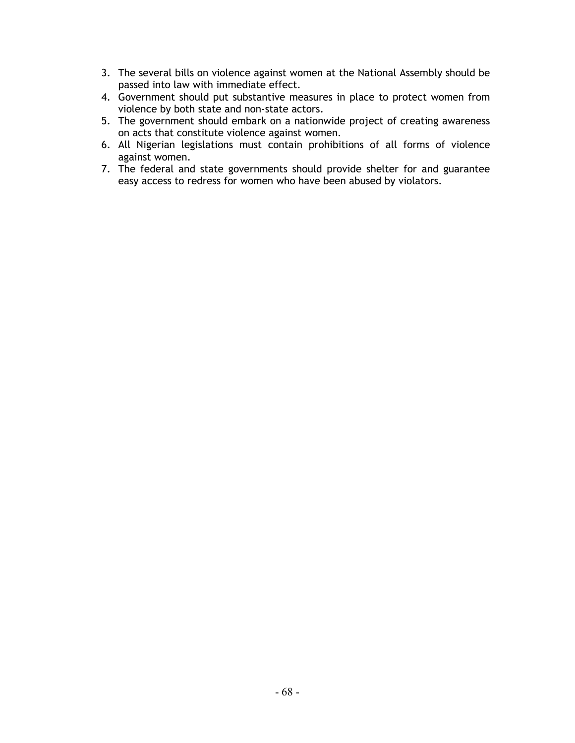- 3. The several bills on violence against women at the National Assembly should be passed into law with immediate effect.
- 4. Government should put substantive measures in place to protect women from violence by both state and non-state actors.
- 5. The government should embark on a nationwide project of creating awareness on acts that constitute violence against women.
- 6. All Nigerian legislations must contain prohibitions of all forms of violence against women.
- 7. The federal and state governments should provide shelter for and guarantee easy access to redress for women who have been abused by violators.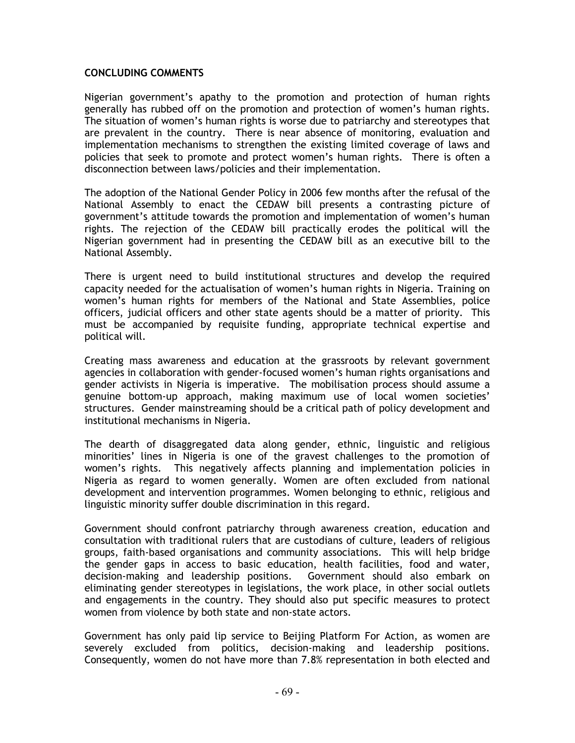#### CONCLUDING COMMENTS

Nigerian government's apathy to the promotion and protection of human rights generally has rubbed off on the promotion and protection of women's human rights. The situation of women's human rights is worse due to patriarchy and stereotypes that are prevalent in the country. There is near absence of monitoring, evaluation and implementation mechanisms to strengthen the existing limited coverage of laws and policies that seek to promote and protect women's human rights. There is often a disconnection between laws/policies and their implementation.

The adoption of the National Gender Policy in 2006 few months after the refusal of the National Assembly to enact the CEDAW bill presents a contrasting picture of government's attitude towards the promotion and implementation of women's human rights. The rejection of the CEDAW bill practically erodes the political will the Nigerian government had in presenting the CEDAW bill as an executive bill to the National Assembly.

There is urgent need to build institutional structures and develop the required capacity needed for the actualisation of women's human rights in Nigeria. Training on women's human rights for members of the National and State Assemblies, police officers, judicial officers and other state agents should be a matter of priority. This must be accompanied by requisite funding, appropriate technical expertise and political will.

Creating mass awareness and education at the grassroots by relevant government agencies in collaboration with gender-focused women's human rights organisations and gender activists in Nigeria is imperative. The mobilisation process should assume a genuine bottom-up approach, making maximum use of local women societies' structures. Gender mainstreaming should be a critical path of policy development and institutional mechanisms in Nigeria.

The dearth of disaggregated data along gender, ethnic, linguistic and religious minorities' lines in Nigeria is one of the gravest challenges to the promotion of women's rights. This negatively affects planning and implementation policies in Nigeria as regard to women generally. Women are often excluded from national development and intervention programmes. Women belonging to ethnic, religious and linguistic minority suffer double discrimination in this regard.

Government should confront patriarchy through awareness creation, education and consultation with traditional rulers that are custodians of culture, leaders of religious groups, faith-based organisations and community associations. This will help bridge the gender gaps in access to basic education, health facilities, food and water, decision-making and leadership positions. Government should also embark on eliminating gender stereotypes in legislations, the work place, in other social outlets and engagements in the country. They should also put specific measures to protect women from violence by both state and non-state actors.

Government has only paid lip service to Beijing Platform For Action, as women are severely excluded from politics, decision-making and leadership positions. Consequently, women do not have more than 7.8% representation in both elected and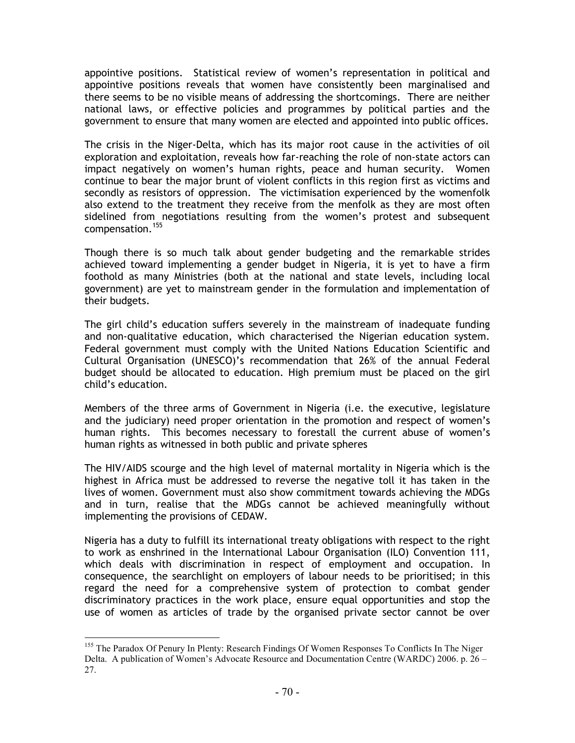appointive positions. Statistical review of women's representation in political and appointive positions reveals that women have consistently been marginalised and there seems to be no visible means of addressing the shortcomings. There are neither national laws, or effective policies and programmes by political parties and the government to ensure that many women are elected and appointed into public offices.

The crisis in the Niger-Delta, which has its major root cause in the activities of oil exploration and exploitation, reveals how far-reaching the role of non-state actors can impact negatively on women's human rights, peace and human security. Women continue to bear the major brunt of violent conflicts in this region first as victims and secondly as resistors of oppression. The victimisation experienced by the womenfolk also extend to the treatment they receive from the menfolk as they are most often sidelined from negotiations resulting from the women's protest and subsequent compensation.<sup>155</sup>

Though there is so much talk about gender budgeting and the remarkable strides achieved toward implementing a gender budget in Nigeria, it is yet to have a firm foothold as many Ministries (both at the national and state levels, including local government) are yet to mainstream gender in the formulation and implementation of their budgets.

The girl child's education suffers severely in the mainstream of inadequate funding and non-qualitative education, which characterised the Nigerian education system. Federal government must comply with the United Nations Education Scientific and Cultural Organisation (UNESCO)'s recommendation that 26% of the annual Federal budget should be allocated to education. High premium must be placed on the girl child's education.

Members of the three arms of Government in Nigeria (i.e. the executive, legislature and the judiciary) need proper orientation in the promotion and respect of women's human rights. This becomes necessary to forestall the current abuse of women's human rights as witnessed in both public and private spheres

The HIV/AIDS scourge and the high level of maternal mortality in Nigeria which is the highest in Africa must be addressed to reverse the negative toll it has taken in the lives of women. Government must also show commitment towards achieving the MDGs and in turn, realise that the MDGs cannot be achieved meaningfully without implementing the provisions of CEDAW.

Nigeria has a duty to fulfill its international treaty obligations with respect to the right to work as enshrined in the International Labour Organisation (ILO) Convention 111, which deals with discrimination in respect of employment and occupation. In consequence, the searchlight on employers of labour needs to be prioritised; in this regard the need for a comprehensive system of protection to combat gender discriminatory practices in the work place, ensure equal opportunities and stop the use of women as articles of trade by the organised private sector cannot be over

 $\overline{a}$ <sup>155</sup> The Paradox Of Penury In Plenty: Research Findings Of Women Responses To Conflicts In The Niger Delta. A publication of Women's Advocate Resource and Documentation Centre (WARDC) 2006. p. 26 – 27.